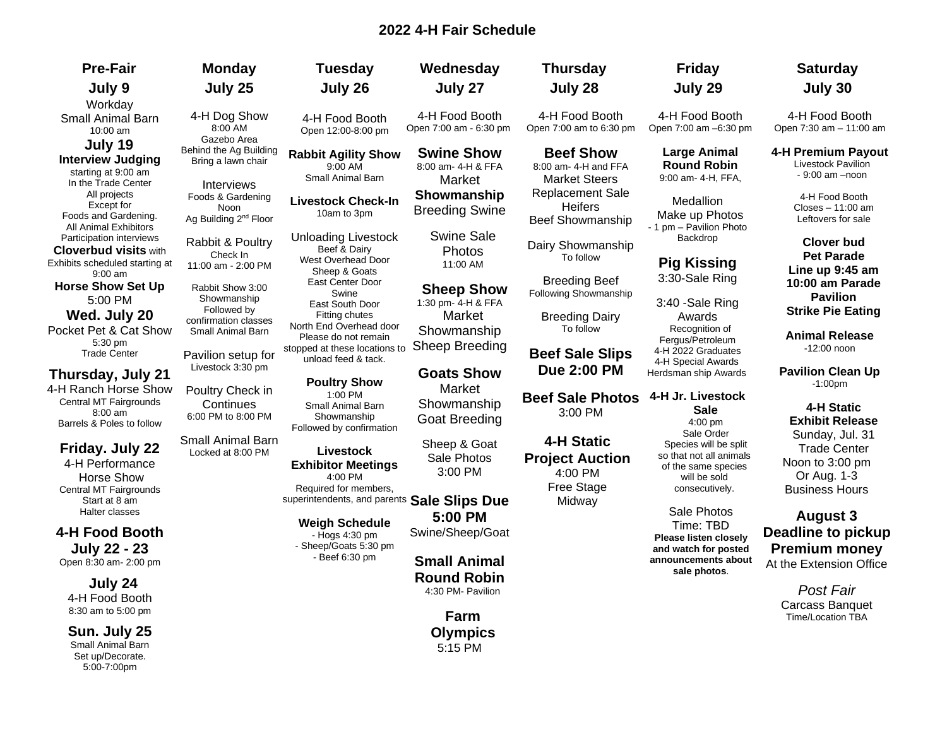# **2022 4-H Fair Schedule**

| <b>Pre-Fair</b>                                          | <b>Monday</b>                                | <b>Tuesday</b>                                       | Wednesday                                | <b>Thursday</b>                           | <b>Friday</b>                                  | <b>Saturday</b>                                                 |
|----------------------------------------------------------|----------------------------------------------|------------------------------------------------------|------------------------------------------|-------------------------------------------|------------------------------------------------|-----------------------------------------------------------------|
| July 9                                                   | July 25                                      | July 26                                              | July 27                                  | July 28                                   | July 29                                        | July 30                                                         |
| Workday                                                  |                                              |                                                      |                                          |                                           |                                                |                                                                 |
| Small Animal Barn<br>10:00 am                            | 4-H Dog Show<br>8:00 AM                      | 4-H Food Booth<br>Open 12:00-8:00 pm                 | 4-H Food Booth<br>Open 7:00 am - 6:30 pm | 4-H Food Booth<br>Open 7:00 am to 6:30 pm | 4-H Food Booth<br>Open 7:00 am -6:30 pm        | 4-H Food Booth<br>Open 7:30 am - 11:00 am                       |
| July 19                                                  | Gazebo Area                                  |                                                      |                                          |                                           |                                                |                                                                 |
| <b>Interview Judging</b><br>starting at 9:00 am          | Behind the Ag Building<br>Bring a lawn chair | <b>Rabbit Agility Show</b><br>9:00 AM                | <b>Swine Show</b><br>8:00 am- 4-H & FFA  | <b>Beef Show</b><br>8:00 am- 4-H and FFA  | <b>Large Animal</b><br><b>Round Robin</b>      | 4-H Premium Payout<br>Livestock Pavilion<br>$-9:00$ am $-$ noon |
| In the Trade Center                                      | Interviews                                   | Small Animal Barn                                    | Market                                   | <b>Market Steers</b>                      | 9:00 am- 4-H, FFA,                             |                                                                 |
| All projects<br>Except for                               | Foods & Gardening<br>Noon                    | <b>Livestock Check-In</b><br>10am to 3pm             | Showmanship<br><b>Breeding Swine</b>     | <b>Replacement Sale</b><br><b>Heifers</b> | Medallion                                      | 4-H Food Booth<br>Closes - 11:00 am                             |
| Foods and Gardening.<br><b>All Animal Exhibitors</b>     | Ag Building 2 <sup>nd</sup> Floor            |                                                      | <b>Swine Sale</b>                        | <b>Beef Showmanship</b>                   | Make up Photos<br>- 1 pm - Pavilion Photo      | Leftovers for sale                                              |
| Participation interviews<br><b>Cloverbud visits with</b> | Rabbit & Poultry                             | <b>Unloading Livestock</b><br>Beef & Dairy           | Photos                                   | Dairy Showmanship                         | Backdrop                                       | Clover bud                                                      |
| Exhibits scheduled starting at                           | Check In<br>11:00 am - 2:00 PM               | West Overhead Door                                   | 11:00 AM                                 | To follow                                 | <b>Pig Kissing</b>                             | Pet Parade                                                      |
| $9:00$ am                                                |                                              | Sheep & Goats<br>East Center Door                    |                                          | <b>Breeding Beef</b>                      | 3:30-Sale Ring                                 | Line up 9:45 am<br>10:00 am Parade                              |
| <b>Horse Show Set Up</b><br>5:00 PM                      | Rabbit Show 3:00<br>Showmanship              | Swine                                                | <b>Sheep Show</b>                        | Following Showmanship                     |                                                | <b>Pavilion</b>                                                 |
|                                                          | Followed by                                  | East South Door                                      | 1:30 pm- 4-H & FFA                       |                                           | 3:40 - Sale Ring                               | <b>Strike Pie Eating</b>                                        |
| Wed. July 20<br>Pocket Pet & Cat Show                    | confirmation classes                         | Fitting chutes<br>North End Overhead door            | Market                                   | <b>Breeding Dairy</b><br>To follow        | Awards<br>Recognition of                       |                                                                 |
| $5:30$ pm                                                | Small Animal Barn                            | Please do not remain                                 | Showmanship                              |                                           | Fergus/Petroleum                               | <b>Animal Release</b>                                           |
| <b>Trade Center</b>                                      | Pavilion setup for                           | stopped at these locations to<br>unload feed & tack. | Sheep Breeding                           | <b>Beef Sale Slips</b>                    | 4-H 2022 Graduates                             | $-12:00$ noon                                                   |
| Thursday, July 21                                        | Livestock 3:30 pm                            |                                                      | <b>Goats Show</b>                        | <b>Due 2:00 PM</b>                        | 4-H Special Awards<br>Herdsman ship Awards     | <b>Pavilion Clean Up</b>                                        |
| 4-H Ranch Horse Show                                     | Poultry Check in                             | <b>Poultry Show</b>                                  | Market                                   |                                           |                                                | $-1:00pm$                                                       |
| Central MT Fairgrounds                                   | Continues                                    | 1:00 PM<br>Small Animal Barn                         | Showmanship                              | <b>Beef Sale Photos</b>                   | 4-H Jr. Livestock                              |                                                                 |
| $8:00$ am                                                | 6:00 PM to 8:00 PM                           | Showmanship                                          | <b>Goat Breeding</b>                     | 3:00 PM                                   | <b>Sale</b><br>$4:00$ pm                       | 4-H Static<br><b>Exhibit Release</b>                            |
| Barrels & Poles to follow                                |                                              | Followed by confirmation                             |                                          |                                           | Sale Order                                     | Sunday, Jul. 31                                                 |
| Friday. July 22                                          | Small Animal Barn<br>Locked at 8:00 PM       | Livestock                                            | Sheep & Goat                             | <b>4-H Static</b>                         | Species will be split                          | <b>Trade Center</b>                                             |
| 4-H Performance                                          |                                              | <b>Exhibitor Meetings</b>                            | Sale Photos                              | <b>Project Auction</b>                    | so that not all animals<br>of the same species | Noon to 3:00 pm                                                 |
| Horse Show                                               |                                              | 4:00 PM                                              | 3:00 PM                                  | 4:00 PM                                   | will be sold                                   | Or Aug. 1-3                                                     |
| Central MT Fairgrounds                                   |                                              | Required for members.                                |                                          | Free Stage                                | consecutively.                                 | <b>Business Hours</b>                                           |
| Start at 8 am<br>Halter classes                          |                                              | superintendents, and parents Sale Slips Due          |                                          | Midway                                    | Sale Photos                                    |                                                                 |
|                                                          |                                              | <b>Weigh Schedule</b>                                | 5:00 PM                                  |                                           | Time: TBD                                      | <b>August 3</b>                                                 |
| 4-H Food Booth                                           |                                              | - Hogs 4:30 pm<br>- Sheep/Goats 5:30 pm              | Swine/Sheep/Goat                         |                                           | <b>Please listen closely</b>                   | <b>Deadline to pickup</b>                                       |
| <b>July 22 - 23</b><br>Open 8:30 am- 2:00 pm             |                                              | - Beef 6:30 pm                                       | <b>Small Animal</b>                      |                                           | and watch for posted<br>announcements about    | <b>Premium money</b>                                            |
|                                                          |                                              |                                                      | <b>Round Robin</b>                       |                                           | sale photos.                                   | At the Extension Office                                         |
| July 24                                                  |                                              |                                                      | 4:30 PM- Pavilion                        |                                           |                                                | <b>Post Fair</b>                                                |
| 4-H Food Booth                                           |                                              |                                                      |                                          |                                           |                                                | Carcass Banquet                                                 |
| 8:30 am to 5:00 pm                                       |                                              |                                                      | <b>Farm</b>                              |                                           |                                                | <b>Time/Location TBA</b>                                        |

**Olympics** 5:15 PM

**Sun. July 25** Small Animal Barn Set up/Decorate. 5:00-7:00pm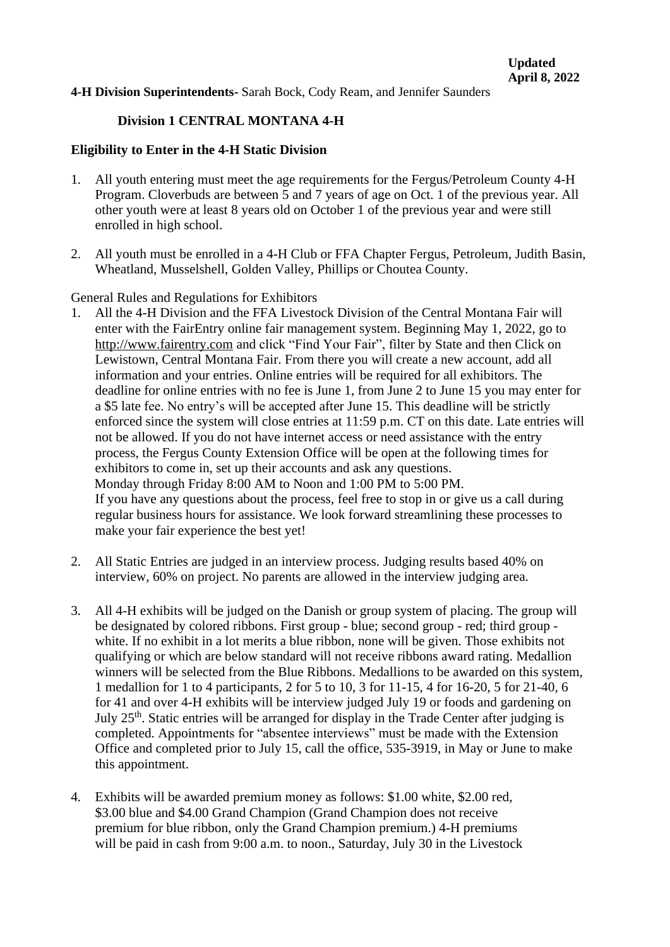**4-H Division Superintendents-** Sarah Bock, Cody Ream, and Jennifer Saunders

#### **Division 1 CENTRAL MONTANA 4-H**

#### **Eligibility to Enter in the 4-H Static Division**

- 1. All youth entering must meet the age requirements for the Fergus/Petroleum County 4-H Program. Cloverbuds are between 5 and 7 years of age on Oct. 1 of the previous year. All other youth were at least 8 years old on October 1 of the previous year and were still enrolled in high school.
- 2. All youth must be enrolled in a 4-H Club or FFA Chapter Fergus, Petroleum, Judith Basin, Wheatland, Musselshell, Golden Valley, Phillips or Choutea County.

#### General Rules and Regulations for Exhibitors

- 1. All the 4-H Division and the FFA Livestock Division of the Central Montana Fair will enter with the FairEntry online fair management system. Beginning May 1, 2022, go to [http://www.fairentry.com](http://www.fairentry.com/) and click "Find Your Fair", filter by State and then Click on Lewistown, Central Montana Fair. From there you will create a new account, add all information and your entries. Online entries will be required for all exhibitors. The deadline for online entries with no fee is June 1, from June 2 to June 15 you may enter for a \$5 late fee. No entry's will be accepted after June 15. This deadline will be strictly enforced since the system will close entries at 11:59 p.m. CT on this date. Late entries will not be allowed. If you do not have internet access or need assistance with the entry process, the Fergus County Extension Office will be open at the following times for exhibitors to come in, set up their accounts and ask any questions. Monday through Friday 8:00 AM to Noon and 1:00 PM to 5:00 PM. If you have any questions about the process, feel free to stop in or give us a call during regular business hours for assistance. We look forward streamlining these processes to make your fair experience the best yet!
- 2. All Static Entries are judged in an interview process. Judging results based 40% on interview, 60% on project. No parents are allowed in the interview judging area.
- 3. All 4-H exhibits will be judged on the Danish or group system of placing. The group will be designated by colored ribbons. First group - blue; second group - red; third group white. If no exhibit in a lot merits a blue ribbon, none will be given. Those exhibits not qualifying or which are below standard will not receive ribbons award rating. Medallion winners will be selected from the Blue Ribbons. Medallions to be awarded on this system, 1 medallion for 1 to 4 participants, 2 for 5 to 10, 3 for 11-15, 4 for 16-20, 5 for 21-40, 6 for 41 and over 4-H exhibits will be interview judged July 19 or foods and gardening on July 25th. Static entries will be arranged for display in the Trade Center after judging is completed. Appointments for "absentee interviews" must be made with the Extension Office and completed prior to July 15, call the office, 535-3919, in May or June to make this appointment.
- 4. Exhibits will be awarded premium money as follows: \$1.00 white, \$2.00 red, \$3.00 blue and \$4.00 Grand Champion (Grand Champion does not receive premium for blue ribbon, only the Grand Champion premium.) 4-H premiums will be paid in cash from 9:00 a.m. to noon., Saturday, July 30 in the Livestock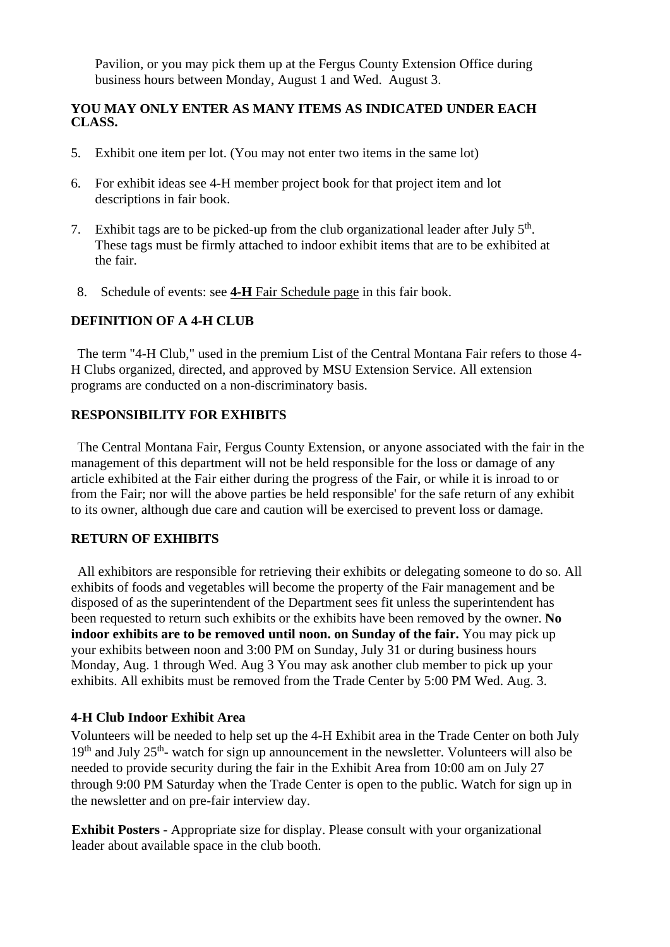Pavilion, or you may pick them up at the Fergus County Extension Office during business hours between Monday, August 1 and Wed. August 3.

#### **YOU MAY ONLY ENTER AS MANY ITEMS AS INDICATED UNDER EACH CLASS.**

- 5. Exhibit one item per lot. (You may not enter two items in the same lot)
- 6. For exhibit ideas see 4-H member project book for that project item and lot descriptions in fair book.
- 7. Exhibit tags are to be picked-up from the club organizational leader after July  $5<sup>th</sup>$ . These tags must be firmly attached to indoor exhibit items that are to be exhibited at the fair.
- 8. Schedule of events: see **4-H** Fair Schedule page in this fair book.

#### **DEFINITION OF A 4-H CLUB**

The term "4-H Club," used in the premium List of the Central Montana Fair refers to those 4- H Clubs organized, directed, and approved by MSU Extension Service. All extension programs are conducted on a non-discriminatory basis.

#### **RESPONSIBILITY FOR EXHIBITS**

The Central Montana Fair, Fergus County Extension, or anyone associated with the fair in the management of this department will not be held responsible for the loss or damage of any article exhibited at the Fair either during the progress of the Fair, or while it is inroad to or from the Fair; nor will the above parties be held responsible' for the safe return of any exhibit to its owner, although due care and caution will be exercised to prevent loss or damage.

#### **RETURN OF EXHIBITS**

All exhibitors are responsible for retrieving their exhibits or delegating someone to do so. All exhibits of foods and vegetables will become the property of the Fair management and be disposed of as the superintendent of the Department sees fit unless the superintendent has been requested to return such exhibits or the exhibits have been removed by the owner. **No indoor exhibits are to be removed until noon. on Sunday of the fair.** You may pick up your exhibits between noon and 3:00 PM on Sunday, July 31 or during business hours Monday, Aug. 1 through Wed. Aug 3 You may ask another club member to pick up your exhibits. All exhibits must be removed from the Trade Center by 5:00 PM Wed. Aug. 3.

#### **4-H Club Indoor Exhibit Area**

Volunteers will be needed to help set up the 4-H Exhibit area in the Trade Center on both July 19<sup>th</sup> and July 25<sup>th</sup>- watch for sign up announcement in the newsletter. Volunteers will also be needed to provide security during the fair in the Exhibit Area from 10:00 am on July 27 through 9:00 PM Saturday when the Trade Center is open to the public. Watch for sign up in the newsletter and on pre-fair interview day.

**Exhibit Posters** - Appropriate size for display. Please consult with your organizational leader about available space in the club booth.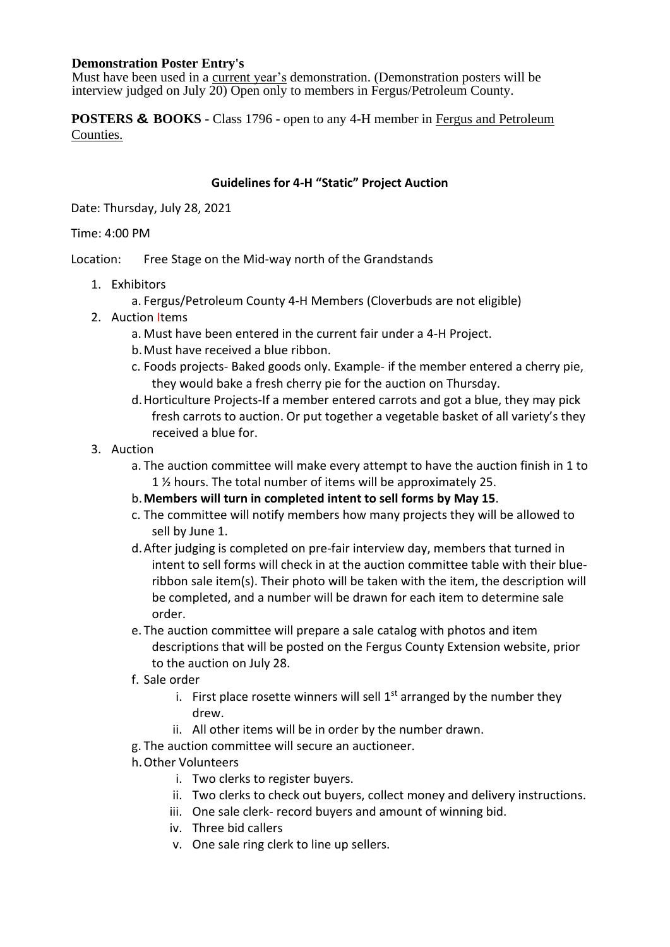#### **Demonstration Poster Entry's**

Must have been used in a current year's demonstration. (Demonstration posters will be interview judged on July 20) Open only to members in Fergus/Petroleum County.

**POSTERS & BOOKS** - Class 1796 - open to any 4-H member in Fergus and Petroleum Counties.

## **Guidelines for 4-H "Static" Project Auction**

Date: Thursday, July 28, 2021

#### Time: 4:00 PM

Location: Free Stage on the Mid-way north of the Grandstands

- 1. Exhibitors
	- a. Fergus/Petroleum County 4-H Members (Cloverbuds are not eligible)
- 2. Auction Items
	- a. Must have been entered in the current fair under a 4-H Project.
	- b.Must have received a blue ribbon.
	- c. Foods projects- Baked goods only. Example- if the member entered a cherry pie, they would bake a fresh cherry pie for the auction on Thursday.
	- d.Horticulture Projects-If a member entered carrots and got a blue, they may pick fresh carrots to auction. Or put together a vegetable basket of all variety's they received a blue for.
- 3. Auction
	- a. The auction committee will make every attempt to have the auction finish in 1 to 1 ½ hours. The total number of items will be approximately 25.
	- b.**Members will turn in completed intent to sell forms by May 15**.
	- c. The committee will notify members how many projects they will be allowed to sell by June 1.
	- d.After judging is completed on pre-fair interview day, members that turned in intent to sell forms will check in at the auction committee table with their blueribbon sale item(s). Their photo will be taken with the item, the description will be completed, and a number will be drawn for each item to determine sale order.
	- e. The auction committee will prepare a sale catalog with photos and item descriptions that will be posted on the Fergus County Extension website, prior to the auction on July 28.
	- f. Sale order
		- i. First place rosette winners will sell  $1<sup>st</sup>$  arranged by the number they drew.
		- ii. All other items will be in order by the number drawn.
	- g. The auction committee will secure an auctioneer.
	- h.Other Volunteers
		- i. Two clerks to register buyers.
		- ii. Two clerks to check out buyers, collect money and delivery instructions.
		- iii. One sale clerk- record buyers and amount of winning bid.
		- iv. Three bid callers
		- v. One sale ring clerk to line up sellers.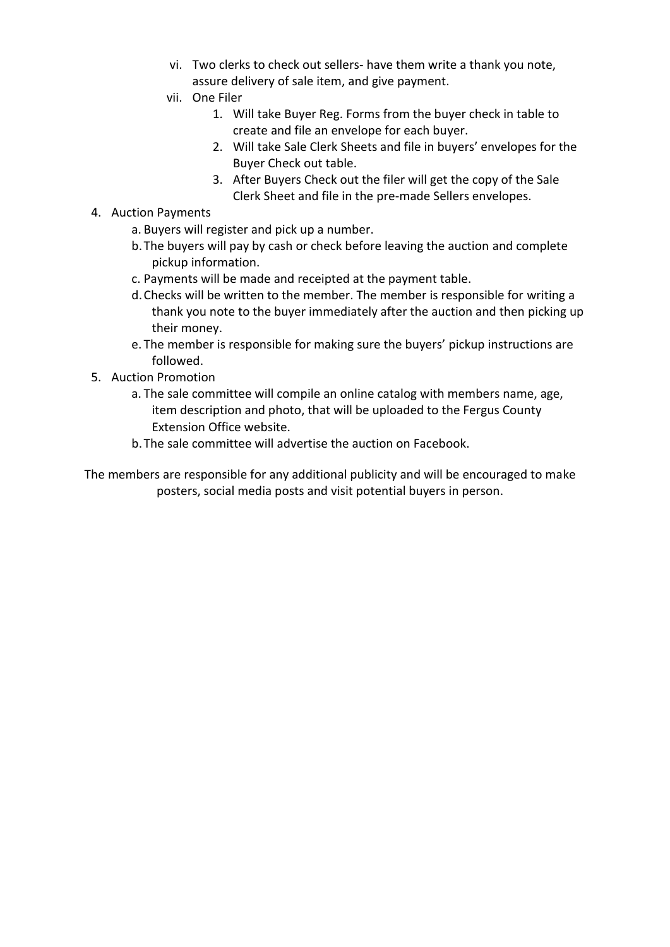- vi. Two clerks to check out sellers- have them write a thank you note, assure delivery of sale item, and give payment.
- vii. One Filer
	- 1. Will take Buyer Reg. Forms from the buyer check in table to create and file an envelope for each buyer.
	- 2. Will take Sale Clerk Sheets and file in buyers' envelopes for the Buyer Check out table.
	- 3. After Buyers Check out the filer will get the copy of the Sale Clerk Sheet and file in the pre-made Sellers envelopes.
- 4. Auction Payments
	- a. Buyers will register and pick up a number.
	- b.The buyers will pay by cash or check before leaving the auction and complete pickup information.
	- c. Payments will be made and receipted at the payment table.
	- d.Checks will be written to the member. The member is responsible for writing a thank you note to the buyer immediately after the auction and then picking up their money.
	- e. The member is responsible for making sure the buyers' pickup instructions are followed.
- 5. Auction Promotion
	- a. The sale committee will compile an online catalog with members name, age, item description and photo, that will be uploaded to the Fergus County Extension Office website.
	- b.The sale committee will advertise the auction on Facebook.

The members are responsible for any additional publicity and will be encouraged to make posters, social media posts and visit potential buyers in person.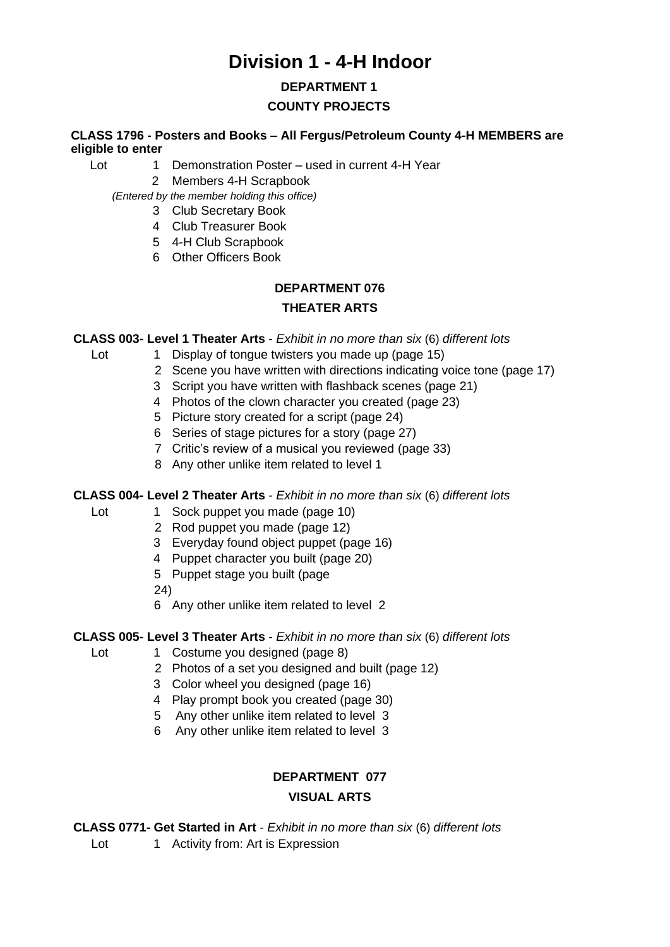# **Division 1 - 4-H Indoor**

## **DEPARTMENT 1**

## **COUNTY PROJECTS**

## **CLASS 1796 - Posters and Books – All Fergus/Petroleum County 4-H MEMBERS are eligible to enter**

- Lot 1 Demonstration Poster used in current 4-H Year
	- 2 Members 4-H Scrapbook

*(Entered by the member holding this office)* 

- 3 Club Secretary Book
- 4 Club Treasurer Book
- 5 4-H Club Scrapbook
- 6 Other Officers Book

## **DEPARTMENT 076 THEATER ARTS**

#### **CLASS 003- Level 1 Theater Arts** - *Exhibit in no more than six* (6) *different lots*

Lot 1 Display of tongue twisters you made up (page 15)

- 2 Scene you have written with directions indicating voice tone (page 17)
- 3 Script you have written with flashback scenes (page 21)
- 4 Photos of the clown character you created (page 23)
- 5 Picture story created for a script (page 24)
- 6 Series of stage pictures for a story (page 27)
- 7 Critic's review of a musical you reviewed (page 33)
- 8 Any other unlike item related to level 1

## **CLASS 004- Level 2 Theater Arts** - *Exhibit in no more than six* (6) *different lots*

- Lot 1 Sock puppet you made (page 10) 2 Rod puppet you made (page 12)
	- 3 Everyday found object puppet (page 16)
	-
	- 4 Puppet character you built (page 20)
	- 5 Puppet stage you built (page
	- 24)

6 Any other unlike item related to level 2

## **CLASS 005- Level 3 Theater Arts** - *Exhibit in no more than six* (6) *different lots*

- Lot 1 Costume you designed (page 8)
	- 2 Photos of a set you designed and built (page 12)
	- 3 Color wheel you designed (page 16)
	- 4 Play prompt book you created (page 30)
	- 5 Any other unlike item related to level 3
	- 6 Any other unlike item related to level 3

# **DEPARTMENT 077 VISUAL ARTS**

**CLASS 0771- Get Started in Art** - *Exhibit in no more than six* (6) *different lots* 

Lot 1 Activity from: Art is Expression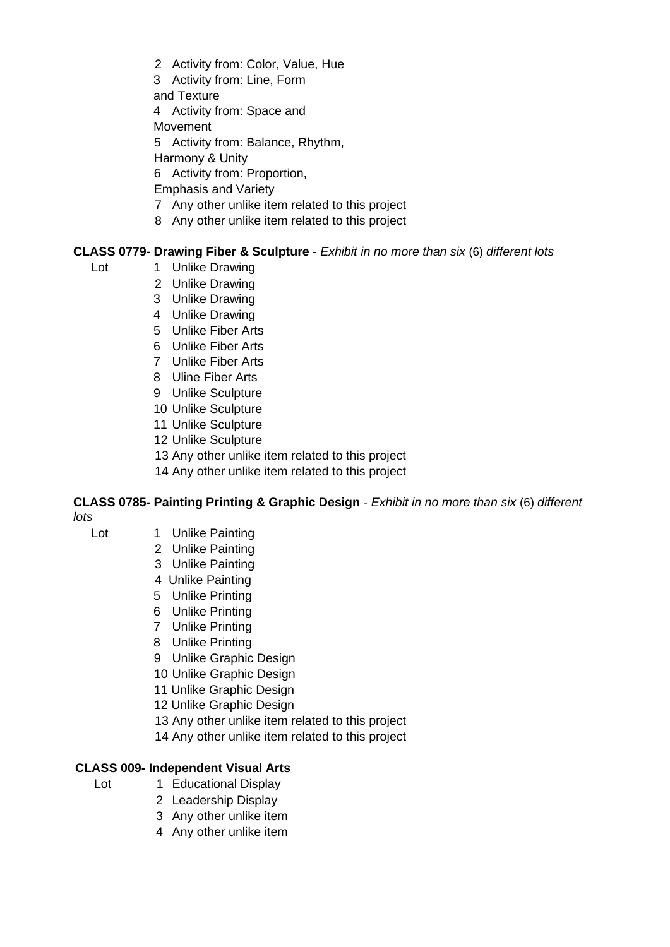- 2 Activity from: Color, Value, Hue
- 3 Activity from: Line, Form
- and Texture
- 4 Activity from: Space and
- **Movement**
- 5 Activity from: Balance, Rhythm,
- Harmony & Unity
- 6 Activity from: Proportion,
- Emphasis and Variety
- 7 Any other unlike item related to this project
- 8 Any other unlike item related to this project

## **CLASS 0779- Drawing Fiber & Sculpture** - *Exhibit in no more than six* (6) *different lots*

- Lot 1 Unlike Drawing
	- 2 Unlike Drawing
	- 3 Unlike Drawing
	- 4 Unlike Drawing
	- 5 Unlike Fiber Arts
	- 6 Unlike Fiber Arts
	- 7 Unlike Fiber Arts
	- 8 Uline Fiber Arts
	- 9 Unlike Sculpture
	- 10 Unlike Sculpture
	- 11 Unlike Sculpture
	- 12 Unlike Sculpture
	- 13 Any other unlike item related to this project
	- 14 Any other unlike item related to this project

#### **CLASS 0785- Painting Printing & Graphic Design** - *Exhibit in no more than six* (6) *different lots*

- Lot 1 Unlike Painting
	- 2 Unlike Painting
	- 3 Unlike Painting
	- 4 Unlike Painting
	- 5 Unlike Printing
	- 6 Unlike Printing
	- 7 Unlike Printing
	- 8 Unlike Printing
	- 9 Unlike Graphic Design
	- 10 Unlike Graphic Design
	- 11 Unlike Graphic Design
	- 12 Unlike Graphic Design
	- 13 Any other unlike item related to this project
	- 14 Any other unlike item related to this project

#### **CLASS 009- Independent Visual Arts**

- Lot 1 Educational Display
	- 2 Leadership Display
	- 3 Any other unlike item
	- 4 Any other unlike item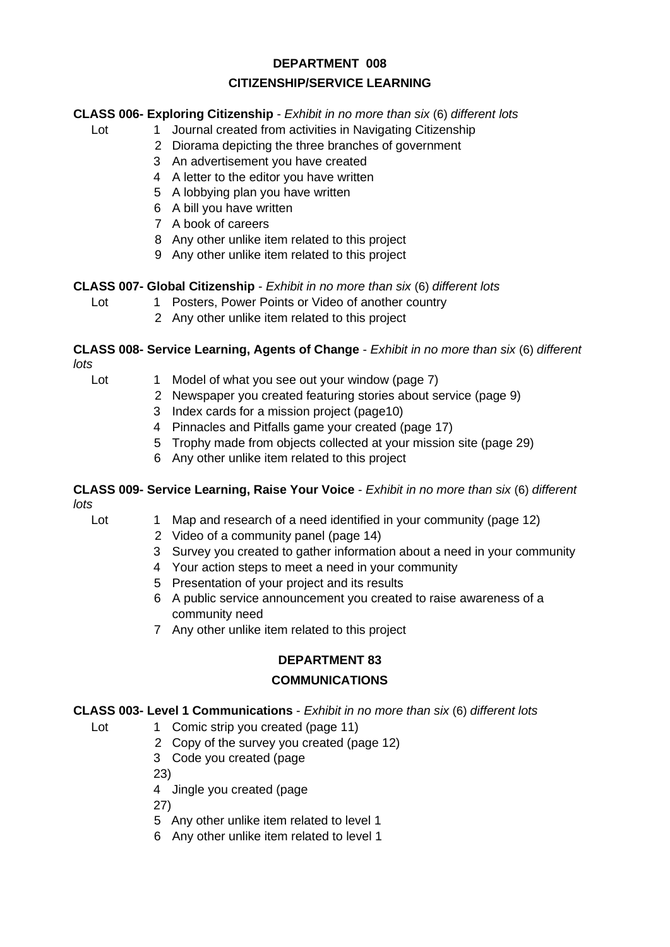# **DEPARTMENT 008 CITIZENSHIP/SERVICE LEARNING**

## **CLASS 006- Exploring Citizenship** - *Exhibit in no more than six* (6) *different lots*

- Lot 1 Journal created from activities in Navigating Citizenship
	- 2 Diorama depicting the three branches of government
	- 3 An advertisement you have created
	- 4 A letter to the editor you have written
	- 5 A lobbying plan you have written
	- 6 A bill you have written
	- 7 A book of careers
	- 8 Any other unlike item related to this project
	- 9 Any other unlike item related to this project

## **CLASS 007- Global Citizenship** - *Exhibit in no more than six* (6) *different lots*

- Lot 1 Posters, Power Points or Video of another country
	- 2 Any other unlike item related to this project

#### **CLASS 008- Service Learning, Agents of Change** - *Exhibit in no more than six* (6) *different lots*

- - Lot 1 Model of what you see out your window (page 7)
		- 2 Newspaper you created featuring stories about service (page 9)
		- 3 Index cards for a mission project (page10)
		- 4 Pinnacles and Pitfalls game your created (page 17)
		- 5 Trophy made from objects collected at your mission site (page 29)
		- 6 Any other unlike item related to this project

#### **CLASS 009- Service Learning, Raise Your Voice** - *Exhibit in no more than six* (6) *different lots*

- Lot 1 Map and research of a need identified in your community (page 12)
	- 2 Video of a community panel (page 14)
	- 3 Survey you created to gather information about a need in your community
	- 4 Your action steps to meet a need in your community
	- 5 Presentation of your project and its results
	- 6 A public service announcement you created to raise awareness of a community need
	- 7 Any other unlike item related to this project

#### **DEPARTMENT 83**

#### **COMMUNICATIONS**

#### **CLASS 003- Level 1 Communications** - *Exhibit in no more than six* (6) *different lots*

- Lot 1 Comic strip you created (page 11)
	- 2 Copy of the survey you created (page 12)
		- 3 Code you created (page

23)

4 Jingle you created (page

27)

- 5 Any other unlike item related to level 1
- 6 Any other unlike item related to level 1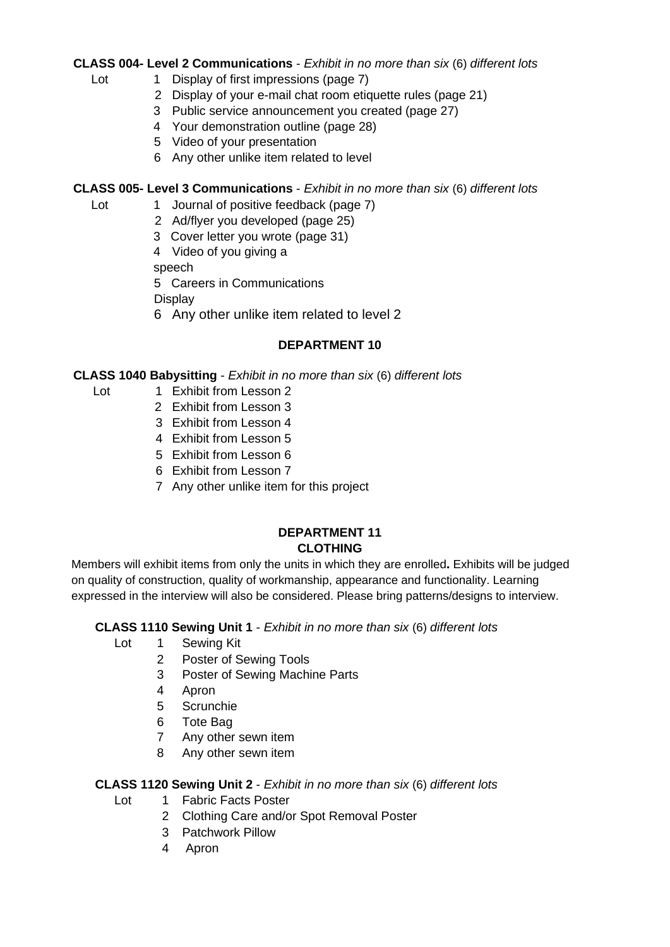## **CLASS 004- Level 2 Communications** - *Exhibit in no more than six* (6) *different lots*

- Lot 1 Display of first impressions (page 7)
	- 2 Display of your e-mail chat room etiquette rules (page 21)
	- 3 Public service announcement you created (page 27)
	- 4 Your demonstration outline (page 28)
	- 5 Video of your presentation
	- 6 Any other unlike item related to level

## **CLASS 005- Level 3 Communications** - *Exhibit in no more than six* (6) *different lots*

- Lot 1 Journal of positive feedback (page 7)
	- 2 Ad/flyer you developed (page 25)
	- 3 Cover letter you wrote (page 31)
	- 4 Video of you giving a
	- speech
	- 5 Careers in Communications

**Display** 

6 Any other unlike item related to level 2

## **DEPARTMENT 10**

## **CLASS 1040 Babysitting** - *Exhibit in no more than six* (6) *different lots*

- Lot 1 Exhibit from Lesson 2
	- 2 Exhibit from Lesson 3
	- 3 Exhibit from Lesson 4
	- 4 Exhibit from Lesson 5
	- 5 Exhibit from Lesson 6
	- 6 Exhibit from Lesson 7
	- 7 Any other unlike item for this project

## **DEPARTMENT 11 CLOTHING**

Members will exhibit items from only the units in which they are enrolled**.** Exhibits will be judged on quality of construction, quality of workmanship, appearance and functionality. Learning expressed in the interview will also be considered. Please bring patterns/designs to interview.

## **CLASS 1110 Sewing Unit 1** - *Exhibit in no more than six* (6) *different lots*

- Lot 1 Sewing Kit
	- 2 Poster of Sewing Tools
	- 3 Poster of Sewing Machine Parts
	- 4 Apron
	- 5 Scrunchie
	- 6 Tote Bag
	- 7 Any other sewn item
	- 8 Any other sewn item

## **CLASS 1120 Sewing Unit 2** - *Exhibit in no more than six* (6) *different lots*

- Lot 1 Fabric Facts Poster
	- 2 Clothing Care and/or Spot Removal Poster
	- 3 Patchwork Pillow
	- 4 Apron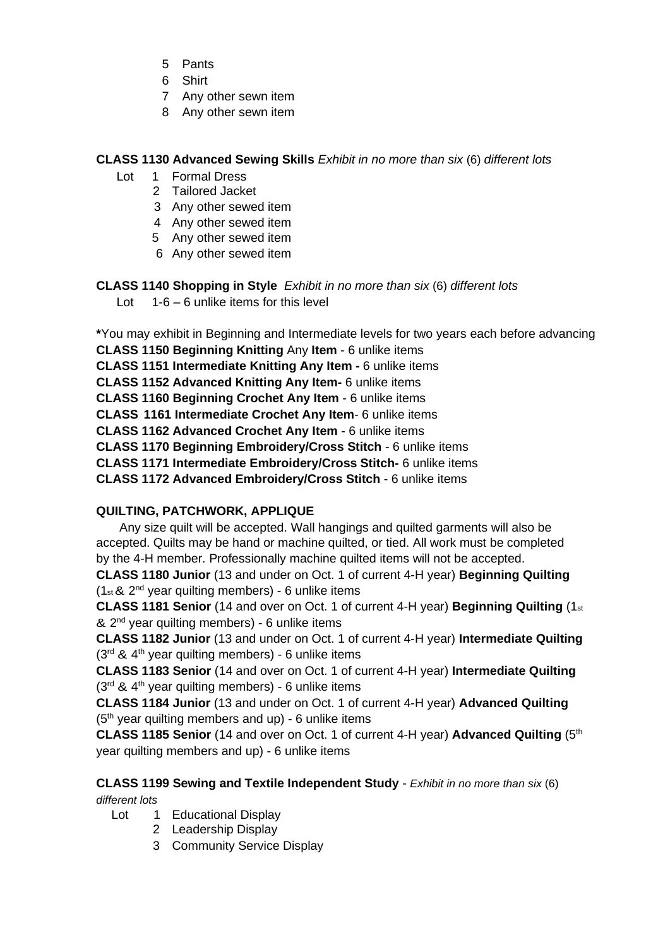- 5 Pants
- 6 Shirt
- 7 Any other sewn item
- 8 Any other sewn item

## **CLASS 1130 Advanced Sewing Skills** *Exhibit in no more than six* (6) *different lots*

- Lot 1 Formal Dress
	- 2 Tailored Jacket
	- 3 Any other sewed item
	- 4 Any other sewed item
	- 5 Any other sewed item
	- 6 Any other sewed item

## **CLASS 1140 Shopping in Style** *Exhibit in no more than six* (6) *different lots*

Lot  $1-6-6$  unlike items for this level

**\***You may exhibit in Beginning and Intermediate levels for two years each before advancing

**CLASS 1150 Beginning Knitting** Any **Item** - 6 unlike items

**CLASS 1151 Intermediate Knitting Any Item -** 6 unlike items

**CLASS 1152 Advanced Knitting Any Item-** 6 unlike items

**CLASS 1160 Beginning Crochet Any Item** - 6 unlike items

**CLASS 1161 Intermediate Crochet Any Item**- 6 unlike items

**CLASS 1162 Advanced Crochet Any Item** - 6 unlike items

**CLASS 1170 Beginning Embroidery/Cross Stitch** - 6 unlike items

**CLASS 1171 Intermediate Embroidery/Cross Stitch-** 6 unlike items

**CLASS 1172 Advanced Embroidery/Cross Stitch** - 6 unlike items

## **QUILTING, PATCHWORK, APPLIQUE**

Any size quilt will be accepted. Wall hangings and quilted garments will also be accepted. Quilts may be hand or machine quilted, or tied. All work must be completed by the 4-H member. Professionally machine quilted items will not be accepted.

**CLASS 1180 Junior** (13 and under on Oct. 1 of current 4-H year) **Beginning Quilting**  (1st & 2 nd year quilting members) - 6 unlike items

**CLASS 1181 Senior** (14 and over on Oct. 1 of current 4-H year) **Beginning Quilting** (1st & 2<sup>nd</sup> year quilting members) - 6 unlike items

**CLASS 1182 Junior** (13 and under on Oct. 1 of current 4-H year) **Intermediate Quilting**   $(3<sup>rd</sup>$  & 4<sup>th</sup> year quilting members) - 6 unlike items

**CLASS 1183 Senior** (14 and over on Oct. 1 of current 4-H year) **Intermediate Quilting**  (3<sup>rd</sup> & 4<sup>th</sup> year quilting members) - 6 unlike items

**CLASS 1184 Junior** (13 and under on Oct. 1 of current 4-H year) **Advanced Quilting**   $(5<sup>th</sup>$  year quilting members and up) - 6 unlike items

**CLASS 1185 Senior** (14 and over on Oct. 1 of current 4-H year) **Advanced Quilting** (5th year quilting members and up) - 6 unlike items

## **CLASS 1199 Sewing and Textile Independent Study** - *Exhibit in no more than six* (6) *different lots*

- Lot 1 Educational Display
	- 2 Leadership Display
	- 3 Community Service Display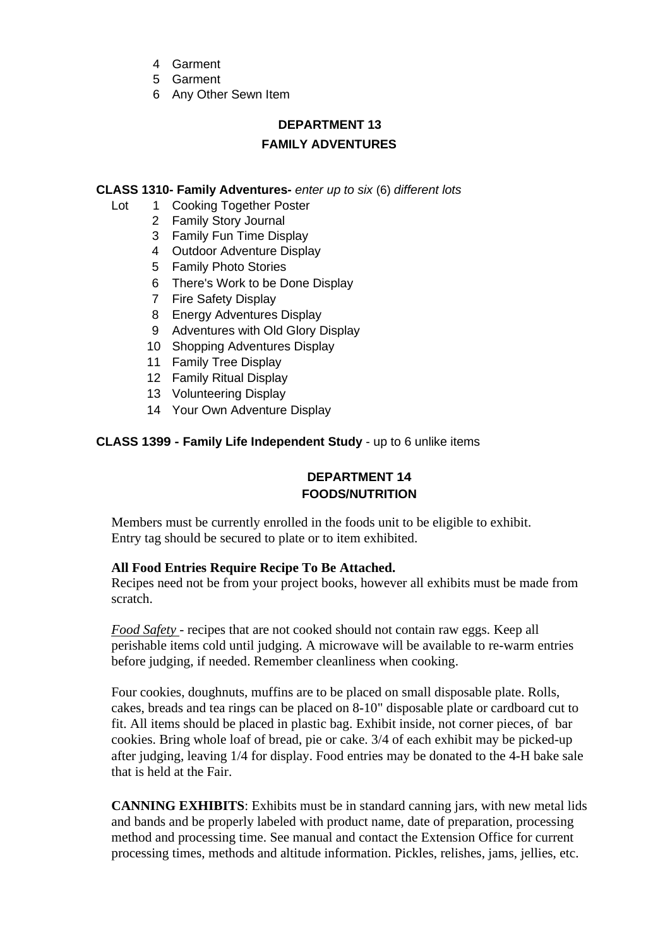- 4 Garment
- 5 Garment
- 6 Any Other Sewn Item

# **DEPARTMENT 13 FAMILY ADVENTURES**

#### **CLASS 1310- Family Adventures-** *enter up to six* (6) *different lots*

- Lot 1 Cooking Together Poster
	- 2 Family Story Journal
	- 3 Family Fun Time Display
	- 4 Outdoor Adventure Display
	- 5 Family Photo Stories
	- 6 There's Work to be Done Display
	- 7 Fire Safety Display
	- 8 Energy Adventures Display
	- 9 Adventures with Old Glory Display
	- 10 Shopping Adventures Display
	- 11 Family Tree Display
	- 12 Family Ritual Display
	- 13 Volunteering Display
	- 14 Your Own Adventure Display

## **CLASS 1399 - Family Life Independent Study** - up to 6 unlike items

## **DEPARTMENT 14 FOODS/NUTRITION**

Members must be currently enrolled in the foods unit to be eligible to exhibit. Entry tag should be secured to plate or to item exhibited.

#### **All Food Entries Require Recipe To Be Attached.**

Recipes need not be from your project books, however all exhibits must be made from scratch.

*Food Safety* - recipes that are not cooked should not contain raw eggs. Keep all perishable items cold until judging. A microwave will be available to re-warm entries before judging, if needed. Remember cleanliness when cooking.

Four cookies, doughnuts, muffins are to be placed on small disposable plate. Rolls, cakes, breads and tea rings can be placed on 8-10" disposable plate or cardboard cut to fit. All items should be placed in plastic bag. Exhibit inside, not corner pieces, of bar cookies. Bring whole loaf of bread, pie or cake. 3/4 of each exhibit may be picked-up after judging, leaving 1/4 for display. Food entries may be donated to the 4-H bake sale that is held at the Fair.

**CANNING EXHIBITS**: Exhibits must be in standard canning jars, with new metal lids and bands and be properly labeled with product name, date of preparation, processing method and processing time. See manual and contact the Extension Office for current processing times, methods and altitude information. Pickles, relishes, jams, jellies, etc.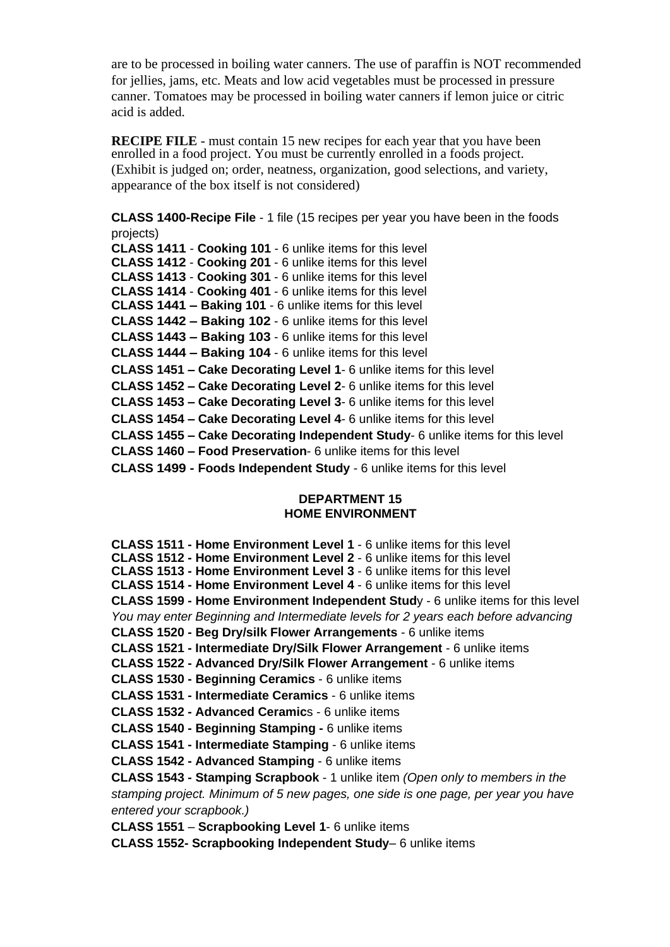are to be processed in boiling water canners. The use of paraffin is NOT recommended for jellies, jams, etc. Meats and low acid vegetables must be processed in pressure canner. Tomatoes may be processed in boiling water canners if lemon juice or citric acid is added.

**RECIPE FILE** - must contain 15 new recipes for each year that you have been enrolled in a food project. You must be currently enrolled in a foods project. (Exhibit is judged on; order, neatness, organization, good selections, and variety, appearance of the box itself is not considered)

**CLASS 1400-Recipe File** - 1 file (15 recipes per year you have been in the foods projects)

**CLASS 1411** - **Cooking 101** - 6 unlike items for this level **CLASS 1412** - **Cooking 201** - 6 unlike items for this level **CLASS 1413** - **Cooking 301** - 6 unlike items for this level **CLASS 1414** - **Cooking 401** - 6 unlike items for this level **CLASS 1441 – Baking 101** - 6 unlike items for this level **CLASS 1442 – Baking 102** - 6 unlike items for this level **CLASS 1443 – Baking 103** - 6 unlike items for this level **CLASS 1444 – Baking 104** - 6 unlike items for this level **CLASS 1451 – Cake Decorating Level 1**- 6 unlike items for this level **CLASS 1452 – Cake Decorating Level 2**- 6 unlike items for this level **CLASS 1453 – Cake Decorating Level 3**- 6 unlike items for this level **CLASS 1454 – Cake Decorating Level 4**- 6 unlike items for this level **CLASS 1455 – Cake Decorating Independent Study**- 6 unlike items for this level **CLASS 1460 – Food Preservation**- 6 unlike items for this level **CLASS 1499 - Foods Independent Study** - 6 unlike items for this level

#### **DEPARTMENT 15 HOME ENVIRONMENT**

**CLASS 1511 - Home Environment Level 1** - 6 unlike items for this level **CLASS 1512 - Home Environment Level 2** - 6 unlike items for this level **CLASS 1513 - Home Environment Level 3** - 6 unlike items for this level **CLASS 1514 - Home Environment Level 4** - 6 unlike items for this level **CLASS 1599 - Home Environment Independent Stud**y - 6 unlike items for this level *You may enter Beginning and Intermediate levels for 2 years each before advancing* **CLASS 1520 - Beg Dry/silk Flower Arrangements** - 6 unlike items **CLASS 1521 - Intermediate Dry/Silk Flower Arrangement** - 6 unlike items **CLASS 1522 - Advanced Dry/Silk Flower Arrangement** - 6 unlike items **CLASS 1530 - Beginning Ceramics** - 6 unlike items **CLASS 1531 - Intermediate Ceramics** - 6 unlike items **CLASS 1532 - Advanced Ceramic**s - 6 unlike items **CLASS 1540 - Beginning Stamping -** 6 unlike items **CLASS 1541 - Intermediate Stamping** - 6 unlike items **CLASS 1542 - Advanced Stamping** - 6 unlike items **CLASS 1543 - Stamping Scrapbook** - 1 unlike item *(Open only to members in the stamping project. Minimum of 5 new pages, one side is one page, per year you have entered your scrapbook.)* **CLASS 1551** – **Scrapbooking Level 1**- 6 unlike items

**CLASS 1552- Scrapbooking Independent Study**– 6 unlike items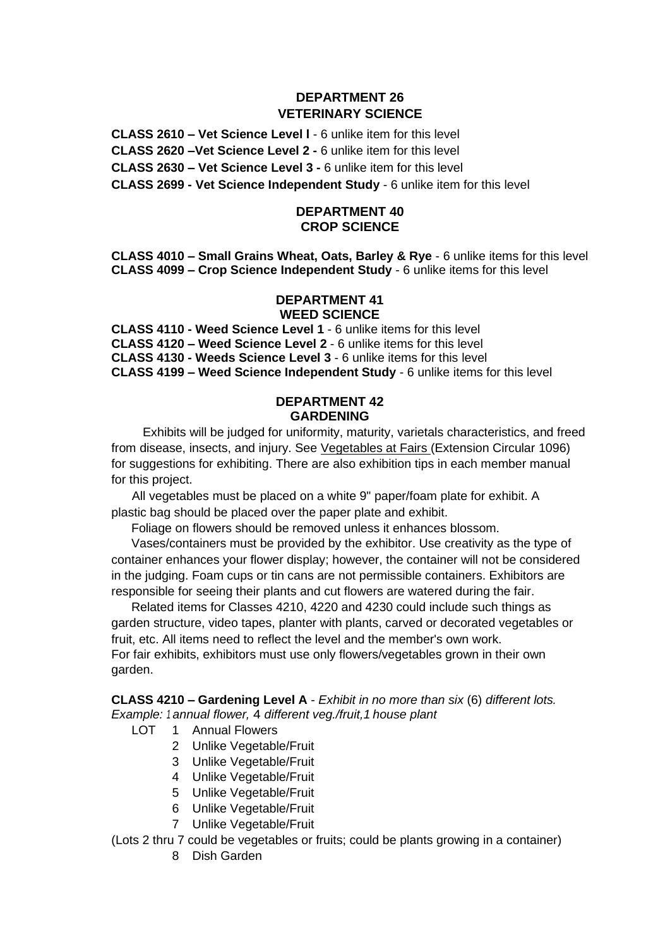## **DEPARTMENT 26 VETERINARY SCIENCE**

**CLASS 2610 – Vet Science Level l** - 6 unlike item for this level **CLASS 2620 –Vet Science Level 2 -** 6 unlike item for this level **CLASS 2630 – Vet Science Level 3 -** 6 unlike item for this level

**CLASS 2699 - Vet Science Independent Study** - 6 unlike item for this level

#### **DEPARTMENT 40 CROP SCIENCE**

**CLASS 4010 – Small Grains Wheat, Oats, Barley & Rye** - 6 unlike items for this level **CLASS 4099 – Crop Science Independent Study** - 6 unlike items for this level

#### **DEPARTMENT 41 WEED SCIENCE**

**CLASS 4110 - Weed Science Level 1** - 6 unlike items for this level **CLASS 4120 – Weed Science Level 2** - 6 unlike items for this level **CLASS 4130 - Weeds Science Level 3** - 6 unlike items for this level **CLASS 4199 – Weed Science Independent Study** - 6 unlike items for this level

#### **DEPARTMENT 42 GARDENING**

Exhibits will be judged for uniformity, maturity, varietals characteristics, and freed from disease, insects, and injury. See Vegetables at Fairs (Extension Circular 1096) for suggestions for exhibiting. There are also exhibition tips in each member manual for this project.

All vegetables must be placed on a white 9" paper/foam plate for exhibit. A plastic bag should be placed over the paper plate and exhibit.

Foliage on flowers should be removed unless it enhances blossom.

Vases/containers must be provided by the exhibitor. Use creativity as the type of container enhances your flower display; however, the container will not be considered in the judging. Foam cups or tin cans are not permissible containers. Exhibitors are responsible for seeing their plants and cut flowers are watered during the fair.

Related items for Classes 4210, 4220 and 4230 could include such things as garden structure, video tapes, planter with plants, carved or decorated vegetables or fruit, etc. All items need to reflect the level and the member's own work. For fair exhibits, exhibitors must use only flowers/vegetables grown in their own garden.

**CLASS 4210 – Gardening Level A** - *Exhibit in no more than six* (6) *different lots. Example: <sup>1</sup> annual flower,* 4 *different veg./fruit,1 house plant* 

- LOT<sub>1</sub> Annual Flowers
	- 2 Unlike Vegetable/Fruit
	- 3 Unlike Vegetable/Fruit
	- 4 Unlike Vegetable/Fruit
	- 5 Unlike Vegetable/Fruit
	- 6 Unlike Vegetable/Fruit
	- 7 Unlike Vegetable/Fruit

(Lots 2 thru 7 could be vegetables or fruits; could be plants growing in a container)

8 Dish Garden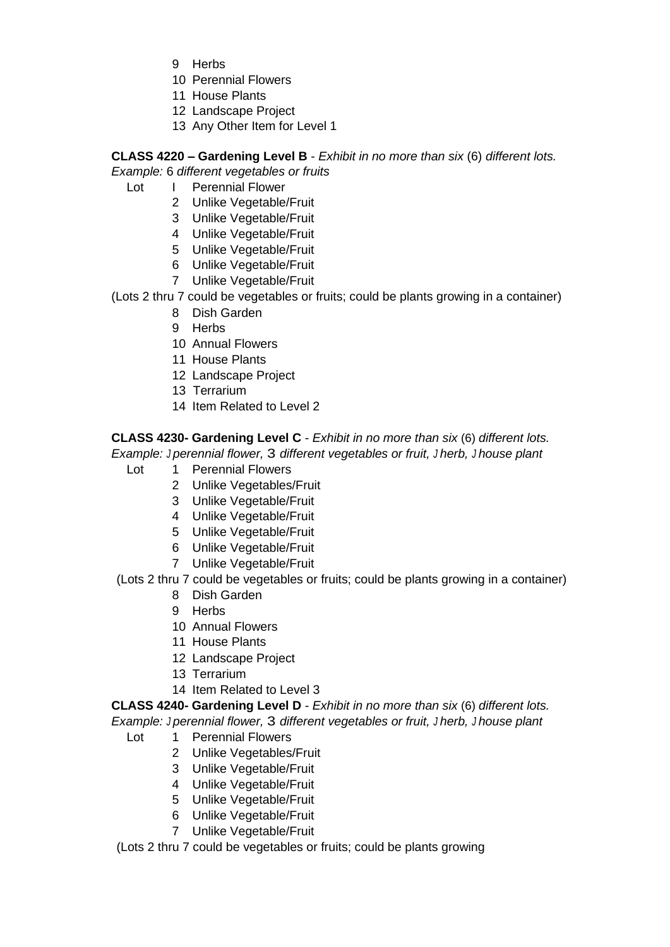- 9 Herbs
- 10 Perennial Flowers
- 11 House Plants
- 12 Landscape Project
- 13 Any Other Item for Level 1

**CLASS 4220 – Gardening Level B** - *Exhibit in no more than six* (6) *different lots.* 

## *Example:* 6 *different vegetables or fruits*

- Lot I Perennial Flower
	- 2 Unlike Vegetable/Fruit
	- 3 Unlike Vegetable/Fruit
	- 4 Unlike Vegetable/Fruit
	- 5 Unlike Vegetable/Fruit
	- 6 Unlike Vegetable/Fruit
	- 7 Unlike Vegetable/Fruit

(Lots 2 thru 7 could be vegetables or fruits; could be plants growing in a container)

- 8 Dish Garden
- 9 Herbs
- 10 Annual Flowers
- 11 House Plants
- 12 Landscape Project
- 13 Terrarium
- 14 Item Related to Level 2

**CLASS 4230- Gardening Level C** - *Exhibit in no more than six* (6) *different lots.* 

*Example: J perennial flower,* 3 *different vegetables or fruit, J herb, J house plant* 

- Lot 1 Perennial Flowers
	- 2 Unlike Vegetables/Fruit
	- 3 Unlike Vegetable/Fruit
	- 4 Unlike Vegetable/Fruit
	- 5 Unlike Vegetable/Fruit
	- 6 Unlike Vegetable/Fruit
	- 7 Unlike Vegetable/Fruit

(Lots 2 thru 7 could be vegetables or fruits; could be plants growing in a container)

- 8 Dish Garden
- 9 Herbs
- 10 Annual Flowers
- 11 House Plants
- 12 Landscape Project
- 13 Terrarium
- 14 Item Related to Level 3

**CLASS 4240- Gardening Level D** - *Exhibit in no more than six* (6) *different lots.* 

*Example: J perennial flower,* 3 *different vegetables or fruit, J herb, <sup>J</sup> house plant* 

- Lot 1 Perennial Flowers
	- 2 Unlike Vegetables/Fruit
	- 3 Unlike Vegetable/Fruit
	- 4 Unlike Vegetable/Fruit
	- 5 Unlike Vegetable/Fruit
	- 6 Unlike Vegetable/Fruit
	- 7 Unlike Vegetable/Fruit

(Lots 2 thru 7 could be vegetables or fruits; could be plants growing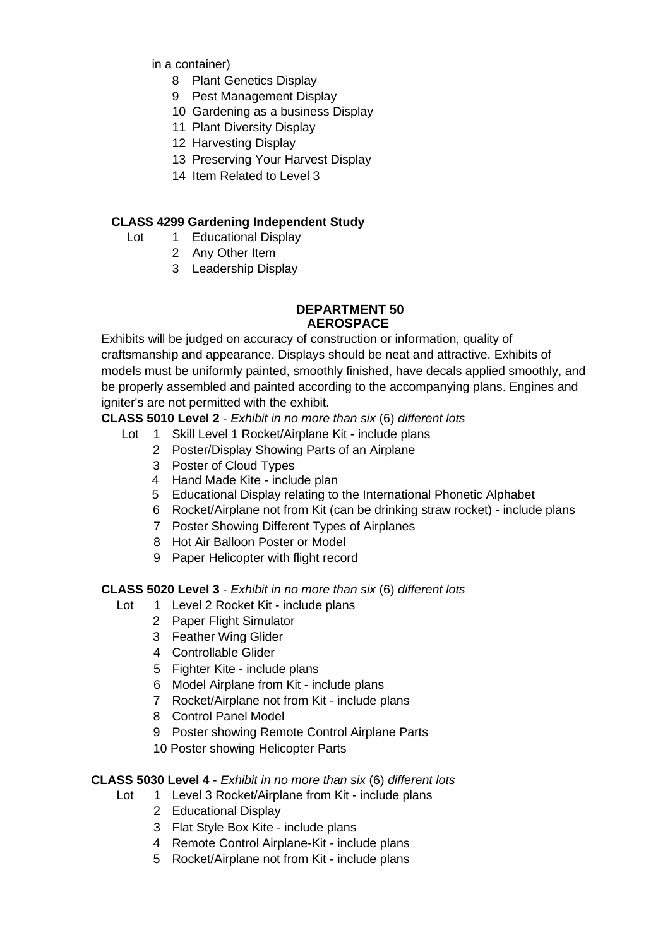in a container)

- 8 Plant Genetics Display
- 9 Pest Management Display
- 10 Gardening as a business Display
- 11 Plant Diversity Display
- 12 Harvesting Display
- 13 Preserving Your Harvest Display
- 14 Item Related to Level 3

## **CLASS 4299 Gardening Independent Study**

- Lot 1 Educational Display
	- 2 Any Other Item
	- 3 Leadership Display

#### **DEPARTMENT 50 AEROSPACE**

Exhibits will be judged on accuracy of construction or information, quality of craftsmanship and appearance. Displays should be neat and attractive. Exhibits of models must be uniformly painted, smoothly finished, have decals applied smoothly, and be properly assembled and painted according to the accompanying plans. Engines and igniter's are not permitted with the exhibit.

## **CLASS 5010 Level 2** - *Exhibit in no more than six* (6) *different lots*

- Lot 1 Skill Level 1 Rocket/Airplane Kit include plans
	- 2 Poster/Display Showing Parts of an Airplane
		- 3 Poster of Cloud Types
		- 4 Hand Made Kite include plan
		- 5 Educational Display relating to the International Phonetic Alphabet
	- 6 Rocket/Airplane not from Kit (can be drinking straw rocket) include plans
	- 7 Poster Showing Different Types of Airplanes
	- 8 Hot Air Balloon Poster or Model
	- 9 Paper Helicopter with flight record

## **CLASS 5020 Level 3** - *Exhibit in no more than six* (6) *different lots*

- Lot 1 Level 2 Rocket Kit include plans
	- 2 Paper Flight Simulator
	- 3 Feather Wing Glider
	- 4 Controllable Glider
	- 5 Fighter Kite include plans
	- 6 Model Airplane from Kit include plans
	- 7 Rocket/Airplane not from Kit include plans
	- 8 Control Panel Model
	- 9 Poster showing Remote Control Airplane Parts
	- 10 Poster showing Helicopter Parts

#### **CLASS 5030 Level 4** - *Exhibit in no more than six* (6) *different lots*

- Lot 1 Level 3 Rocket/Airplane from Kit include plans
	- 2 Educational Display
	- 3 Flat Style Box Kite include plans
	- 4 Remote Control Airplane-Kit include plans
	- 5 Rocket/Airplane not from Kit include plans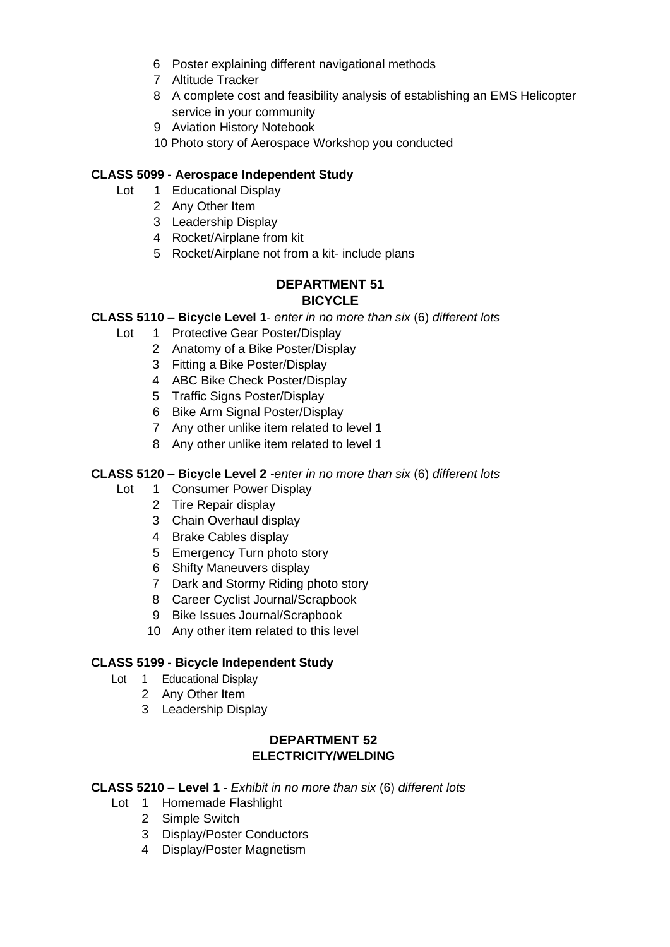- 6 Poster explaining different navigational methods
- 7 Altitude Tracker
- 8 A complete cost and feasibility analysis of establishing an EMS Helicopter service in your community
- 9 Aviation History Notebook
- 10 Photo story of Aerospace Workshop you conducted

## **CLASS 5099 - Aerospace Independent Study**

- Lot 1 Educational Display
	- 2 Any Other Item
	- 3 Leadership Display
	- 4 Rocket/Airplane from kit
	- 5 Rocket/Airplane not from a kit- include plans

## **DEPARTMENT 51 BICYCLE**

## **CLASS 5110 – Bicycle Level 1**- *enter in no more than six* (6) *different lots*

- Lot 1 Protective Gear Poster/Display
	- 2 Anatomy of a Bike Poster/Display
		- 3 Fitting a Bike Poster/Display
		- 4 ABC Bike Check Poster/Display
		- 5 Traffic Signs Poster/Display
		- 6 Bike Arm Signal Poster/Display
		- 7 Any other unlike item related to level 1
		- 8 Any other unlike item related to level 1

## **CLASS 5120 – Bicycle Level 2** *-enter in no more than six* (6) *different lots*

- Lot 1 Consumer Power Display
	- 2 Tire Repair display
	- 3 Chain Overhaul display
	- 4 Brake Cables display
	- 5 Emergency Turn photo story
	- 6 Shifty Maneuvers display
	- 7 Dark and Stormy Riding photo story
	- 8 Career Cyclist Journal/Scrapbook
	- 9 Bike Issues Journal/Scrapbook
	- 10 Any other item related to this level

#### **CLASS 5199 - Bicycle Independent Study**

- Lot 1 Educational Display
	- 2 Any Other Item
	- 3 Leadership Display

## **DEPARTMENT 52 ELECTRICITY/WELDING**

- **CLASS 5210 – Level 1** *Exhibit in no more than six* (6) *different lots* 
	- Lot 1 Homemade Flashlight
		- 2 Simple Switch
		- 3 Display/Poster Conductors
		- 4 Display/Poster Magnetism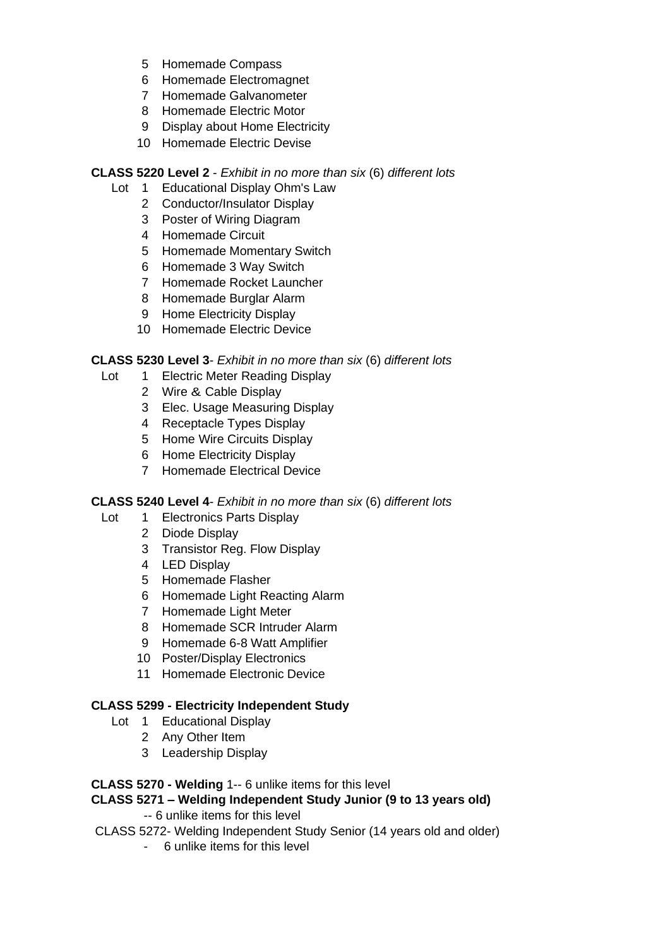- 5 Homemade Compass
- 6 Homemade Electromagnet
- 7 Homemade Galvanometer
- 8 Homemade Electric Motor
- 9 Display about Home Electricity
- 10 Homemade Electric Devise

## **CLASS 5220 Level 2** - *Exhibit in no more than six* (6) *different lots*

- Lot 1 Educational Display Ohm's Law
	- 2 Conductor/Insulator Display
	- 3 Poster of Wiring Diagram
	- 4 Homemade Circuit
	- 5 Homemade Momentary Switch
	- 6 Homemade 3 Way Switch
	- 7 Homemade Rocket Launcher
	- 8 Homemade Burglar Alarm
	- 9 Home Electricity Display
	- 10 Homemade Electric Device

## **CLASS 5230 Level 3**- *Exhibit in no more than six* (6) *different lots*

- Lot 1 Electric Meter Reading Display
	- 2 Wire & Cable Display
	- 3 Elec. Usage Measuring Display
	- 4 Receptacle Types Display
	- 5 Home Wire Circuits Display
	- 6 Home Electricity Display
	- 7 Homemade Electrical Device

#### **CLASS 5240 Level 4**- *Exhibit in no more than six* (6) *different lots*

- Lot 1 Electronics Parts Display
	- 2 Diode Display
	- 3 Transistor Reg. Flow Display
	- 4 LED Display
	- 5 Homemade Flasher
	- 6 Homemade Light Reacting Alarm
	- 7 Homemade Light Meter
	- 8 Homemade SCR Intruder Alarm
	- 9 Homemade 6-8 Watt Amplifier
	- 10 Poster/Display Electronics
	- 11 Homemade Electronic Device

## **CLASS 5299 - Electricity Independent Study**

- Lot 1 Educational Display
	- 2 Any Other Item
	- 3 Leadership Display

## **CLASS 5270 - Welding** 1-- 6 unlike items for this level

## **CLASS 5271 – Welding Independent Study Junior (9 to 13 years old)**

- -- 6 unlike items for this level
- CLASS 5272- Welding Independent Study Senior (14 years old and older)
	- 6 unlike items for this level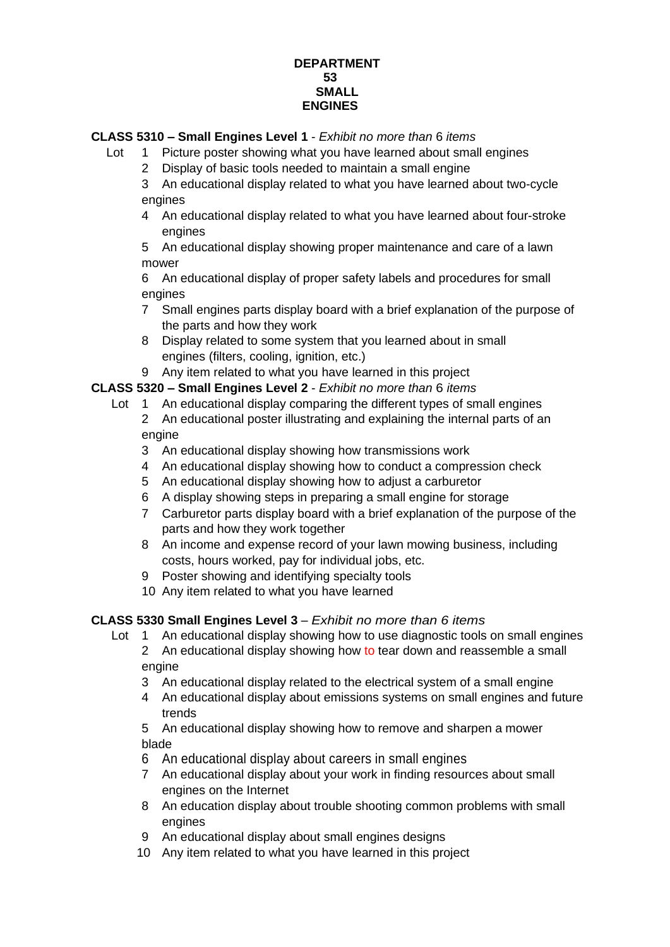## **DEPARTMENT 53 SMALL ENGINES**

## **CLASS 5310 – Small Engines Level 1** - *Exhibit no more than* 6 *items*

- Lot 1 Picture poster showing what you have learned about small engines
	- 2 Display of basic tools needed to maintain a small engine
	- 3 An educational display related to what you have learned about two-cycle engines
	- 4 An educational display related to what you have learned about four-stroke engines

5 An educational display showing proper maintenance and care of a lawn mower

6 An educational display of proper safety labels and procedures for small engines

- 7 Small engines parts display board with a brief explanation of the purpose of the parts and how they work
- 8 Display related to some system that you learned about in small engines (filters, cooling, ignition, etc.)

9 Any item related to what you have learned in this project

## **CLASS 5320 – Small Engines Level 2** - *Exhibit no more than* 6 *items*

- Lot 1 An educational display comparing the different types of small engines
	- 2 An educational poster illustrating and explaining the internal parts of an engine
	- 3 An educational display showing how transmissions work
	- 4 An educational display showing how to conduct a compression check
	- 5 An educational display showing how to adjust a carburetor
	- 6 A display showing steps in preparing a small engine for storage
	- 7 Carburetor parts display board with a brief explanation of the purpose of the parts and how they work together
	- 8 An income and expense record of your lawn mowing business, including costs, hours worked, pay for individual jobs, etc.
	- 9 Poster showing and identifying specialty tools
	- 10 Any item related to what you have learned

## **CLASS 5330 Small Engines Level 3** – *Exhibit no more than 6 items*

- Lot 1 An educational display showing how to use diagnostic tools on small engines 2 An educational display showing how to tear down and reassemble a small engine
	- 3 An educational display related to the electrical system of a small engine
	- 4 An educational display about emissions systems on small engines and future trends

5 An educational display showing how to remove and sharpen a mower blade

- 6 An educational display about careers in small engines
- 7 An educational display about your work in finding resources about small engines on the Internet
- 8 An education display about trouble shooting common problems with small engines
- 9 An educational display about small engines designs
- 10 Any item related to what you have learned in this project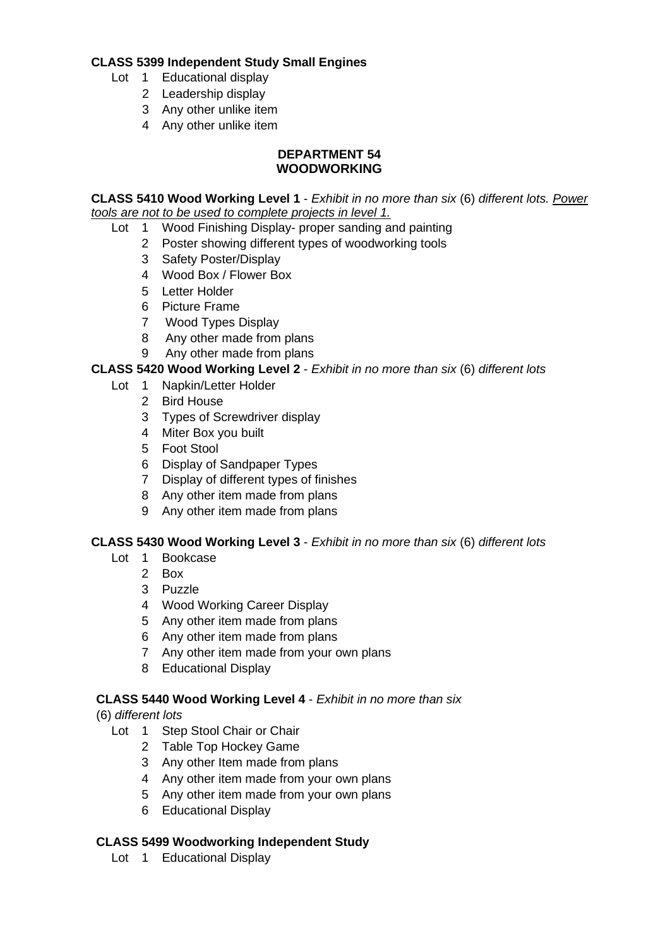## **CLASS 5399 Independent Study Small Engines**

- Lot 1 Educational display
	- 2 Leadership display
	- 3 Any other unlike item
	- 4 Any other unlike item

#### **DEPARTMENT 54 WOODWORKING**

**CLASS 5410 Wood Working Level 1** - *Exhibit in no more than six* (6) *different lots. Power tools are not to be used to complete projects in level 1.*

- Lot 1 Wood Finishing Display- proper sanding and painting
	- 2 Poster showing different types of woodworking tools
	- 3 Safety Poster/Display
	- 4 Wood Box / Flower Box
	- 5 Letter Holder
	- 6 Picture Frame
	- 7 Wood Types Display
	- 8 Any other made from plans
	- 9 Any other made from plans

## **CLASS 5420 Wood Working Level 2** - *Exhibit in no more than six* (6) *different lots*

- Lot 1 Napkin/Letter Holder
	- 2 Bird House
	- 3 Types of Screwdriver display
	- 4 Miter Box you built
	- 5 Foot Stool
	- 6 Display of Sandpaper Types
	- 7 Display of different types of finishes
	- 8 Any other item made from plans
	- 9 Any other item made from plans

#### **CLASS 5430 Wood Working Level 3** - *Exhibit in no more than six* (6) *different lots*

- Lot 1 Bookcase
	- 2 Box
	- 3 Puzzle
	- 4 Wood Working Career Display
	- 5 Any other item made from plans
	- 6 Any other item made from plans
	- 7 Any other item made from your own plans
	- 8 Educational Display

#### **CLASS 5440 Wood Working Level 4** - *Exhibit in no more than six*

- (6) *different lots* 
	- Lot 1 Step Stool Chair or Chair
		- 2 Table Top Hockey Game
		- 3 Any other Item made from plans
		- 4 Any other item made from your own plans
		- 5 Any other item made from your own plans
		- 6 Educational Display

## **CLASS 5499 Woodworking Independent Study**

Lot 1 Educational Display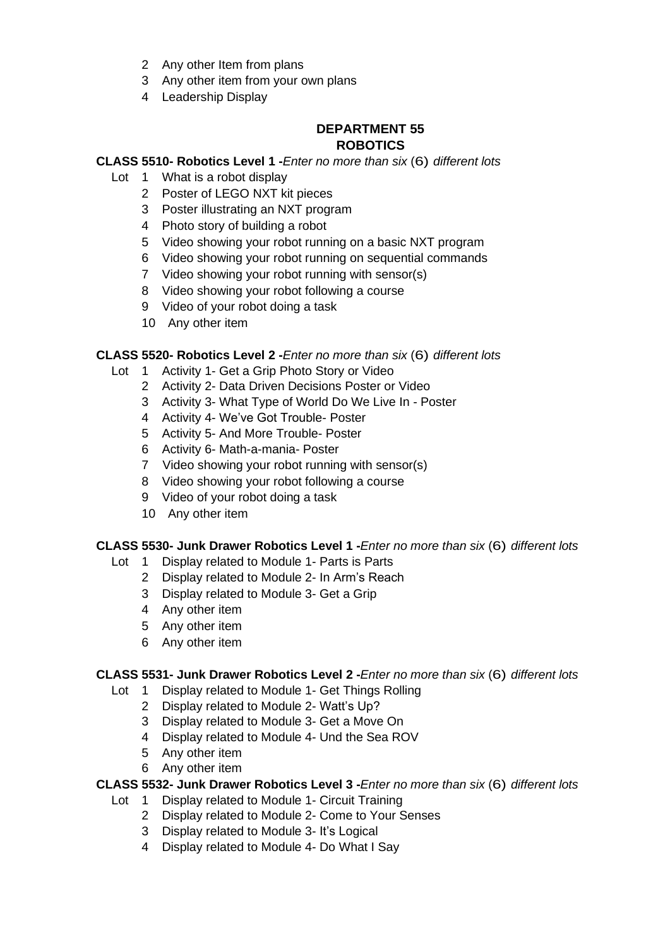- 2 Any other Item from plans
- Any other item from your own plans
- Leadership Display

## **DEPARTMENT 55 ROBOTICS**

## **CLASS 5510- Robotics Level 1 -***Enter no more than six* (6) *different lots*

- Lot 1 What is a robot display
	- Poster of LEGO NXT kit pieces
	- Poster illustrating an NXT program
	- Photo story of building a robot
	- Video showing your robot running on a basic NXT program
	- Video showing your robot running on sequential commands
	- Video showing your robot running with sensor(s)
	- Video showing your robot following a course
	- Video of your robot doing a task
	- Any other item

#### **CLASS 5520- Robotics Level 2 -***Enter no more than six* (6) *different lots*

- Lot 1 Activity 1- Get a Grip Photo Story or Video
	- Activity 2- Data Driven Decisions Poster or Video
	- Activity 3- What Type of World Do We Live In Poster
	- Activity 4- We've Got Trouble- Poster
	- Activity 5- And More Trouble- Poster
	- Activity 6- Math-a-mania- Poster
	- 7 Video showing your robot running with sensor(s)
	- Video showing your robot following a course
	- Video of your robot doing a task
	- Any other item

#### **CLASS 5530- Junk Drawer Robotics Level 1 -***Enter no more than six* (6) *different lots*

- Lot 1 Display related to Module 1- Parts is Parts
	- Display related to Module 2- In Arm's Reach
	- Display related to Module 3- Get a Grip
	- Any other item
	- Any other item
	- Any other item

#### **CLASS 5531- Junk Drawer Robotics Level 2 -***Enter no more than six* (6) *different lots*

- Lot 1 Display related to Module 1- Get Things Rolling
	- Display related to Module 2- Watt's Up?
	- Display related to Module 3- Get a Move On
	- Display related to Module 4- Und the Sea ROV
	- Any other item
	- Any other item

#### **CLASS 5532- Junk Drawer Robotics Level 3 -***Enter no more than six* (6) *different lots*

- Lot 1 Display related to Module 1- Circuit Training
	- Display related to Module 2- Come to Your Senses
	- Display related to Module 3- It's Logical
	- Display related to Module 4- Do What I Say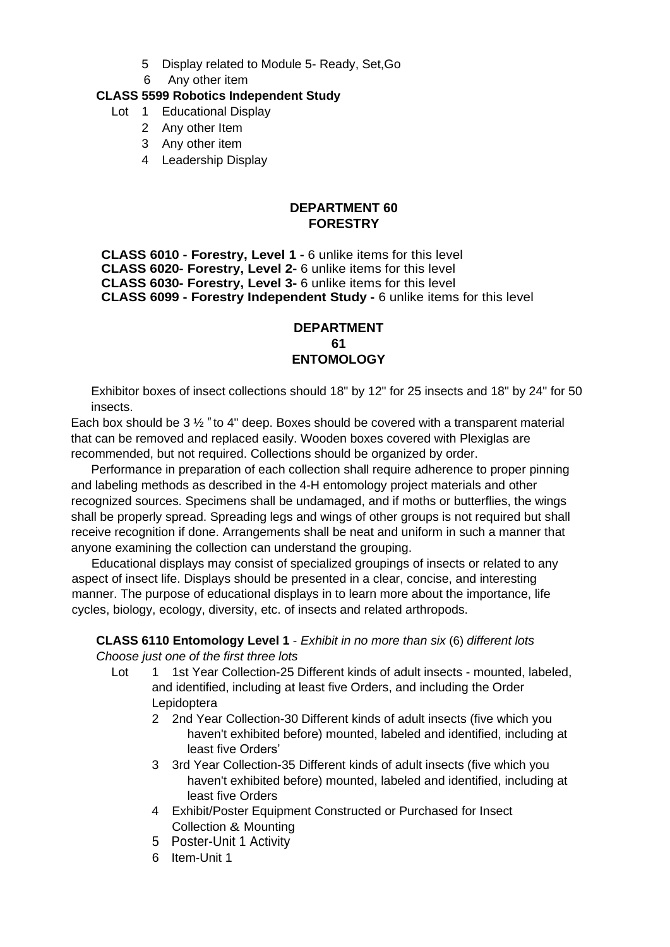- 5 Display related to Module 5- Ready, Set,Go
- 6 Any other item

## **CLASS 5599 Robotics Independent Study**

- Lot 1 Educational Display
	- 2 Any other Item
	- 3 Any other item
	- 4 Leadership Display

## **DEPARTMENT 60 FORESTRY**

**CLASS 6010 - Forestry, Level 1 -** 6 unlike items for this level **CLASS 6020- Forestry, Level 2-** 6 unlike items for this level **CLASS 6030- Forestry, Level 3-** 6 unlike items for this level **CLASS 6099 - Forestry Independent Study -** 6 unlike items for this level

#### **DEPARTMENT 61 ENTOMOLOGY**

Exhibitor boxes of insect collections should 18" by 12" for 25 insects and 18" by 24" for 50 insects.

Each box should be 3 ½ *"* to 4" deep. Boxes should be covered with a transparent material that can be removed and replaced easily. Wooden boxes covered with Plexiglas are recommended, but not required. Collections should be organized by order.

Performance in preparation of each collection shall require adherence to proper pinning and labeling methods as described in the 4-H entomology project materials and other recognized sources. Specimens shall be undamaged, and if moths or butterflies, the wings shall be properly spread. Spreading legs and wings of other groups is not required but shall receive recognition if done. Arrangements shall be neat and uniform in such a manner that anyone examining the collection can understand the grouping.

Educational displays may consist of specialized groupings of insects or related to any aspect of insect life. Displays should be presented in a clear, concise, and interesting manner. The purpose of educational displays in to learn more about the importance, life cycles, biology, ecology, diversity, etc. of insects and related arthropods.

## **CLASS 6110 Entomology Level 1** - *Exhibit in no more than six* (6) *different lots Choose just one of the first three lots*

- Lot 1 1st Year Collection-25 Different kinds of adult insects mounted, labeled, and identified, including at least five Orders, and including the Order Lepidoptera
	- 2 2nd Year Collection-30 Different kinds of adult insects (five which you haven't exhibited before) mounted, labeled and identified, including at least five Orders'
	- 3 3rd Year Collection-35 Different kinds of adult insects (five which you haven't exhibited before) mounted, labeled and identified, including at least five Orders
	- 4 Exhibit/Poster Equipment Constructed or Purchased for Insect Collection & Mounting
	- 5 Poster-Unit 1 Activity
	- 6 Item-Unit 1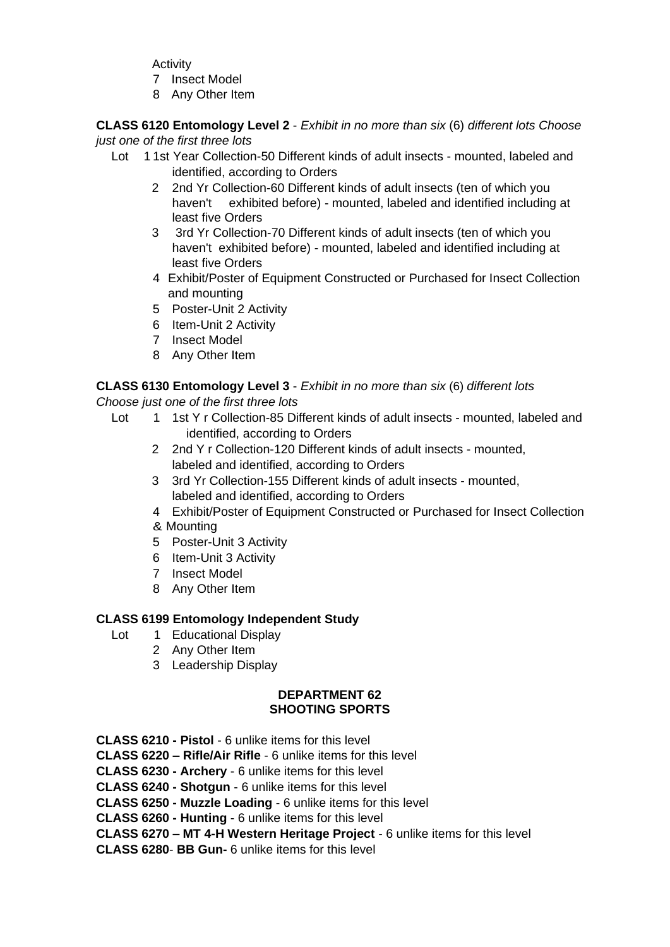**Activity** 

- 7 Insect Model
- 8 Any Other Item

**CLASS 6120 Entomology Level 2** - *Exhibit in no more than six* (6) *different lots Choose just one of the first three lots* 

- Lot 11st Year Collection-50 Different kinds of adult insects mounted, labeled and identified, according to Orders
	- 2 2nd Yr Collection-60 Different kinds of adult insects (ten of which you haven't exhibited before) - mounted, labeled and identified including at least five Orders
	- 3 3rd Yr Collection-70 Different kinds of adult insects (ten of which you haven't exhibited before) - mounted, labeled and identified including at least five Orders
	- 4 Exhibit/Poster of Equipment Constructed or Purchased for Insect Collection and mounting
	- 5 Poster-Unit 2 Activity
	- 6 Item-Unit 2 Activity
	- 7 Insect Model
	- 8 Any Other Item

## **CLASS 6130 Entomology Level 3** - *Exhibit in no more than six* (6) *different lots*

*Choose just one of the first three lots* 

- Lot 1 1st Y r Collection-85 Different kinds of adult insects mounted, labeled and identified, according to Orders
	- 2 2nd Y r Collection-120 Different kinds of adult insects mounted, labeled and identified, according to Orders
	- 3 3rd Yr Collection-155 Different kinds of adult insects mounted, labeled and identified, according to Orders
	- 4 Exhibit/Poster of Equipment Constructed or Purchased for Insect Collection
	- & Mounting
	- 5 Poster-Unit 3 Activity
	- 6 Item-Unit 3 Activity
	- 7 Insect Model
	- 8 Any Other Item

#### **CLASS 6199 Entomology Independent Study**

- Lot 1 Educational Display
	- 2 Any Other Item
	- 3 Leadership Display

#### **DEPARTMENT 62 SHOOTING SPORTS**

- **CLASS 6210 - Pistol** 6 unlike items for this level
- **CLASS 6220 – Rifle/Air Rifle** 6 unlike items for this level
- **CLASS 6230 - Archery** 6 unlike items for this level
- **CLASS 6240 - Shotgun** 6 unlike items for this level
- **CLASS 6250 - Muzzle Loading** 6 unlike items for this level

**CLASS 6260 - Hunting** - 6 unlike items for this level

**CLASS 6270 – MT 4-H Western Heritage Project** - 6 unlike items for this level

**CLASS 6280**- **BB Gun-** 6 unlike items for this level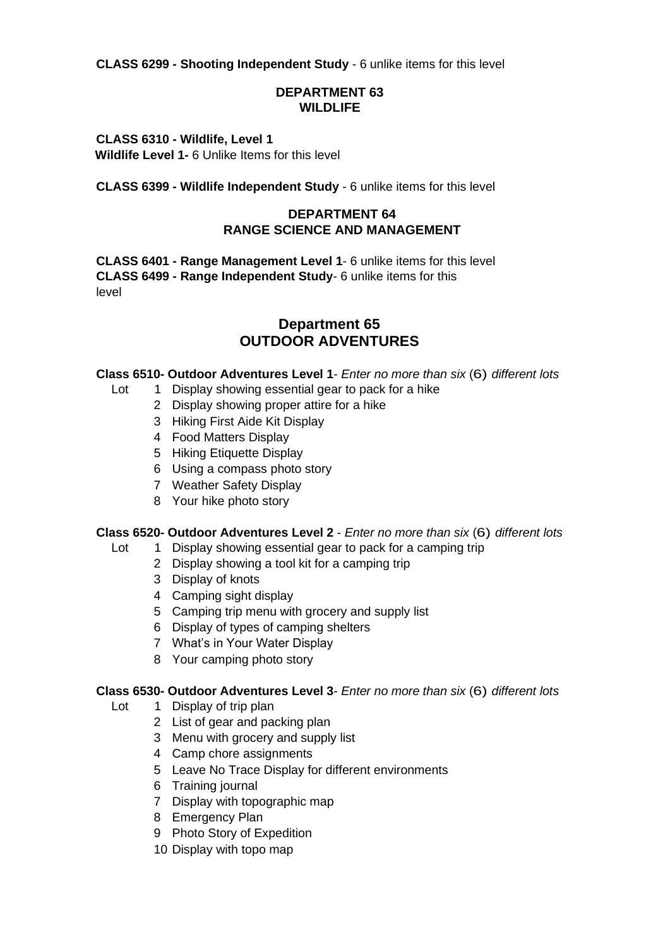**CLASS 6299 - Shooting Independent Study** - 6 unlike items for this level

#### **DEPARTMENT 63 WILDLIFE**

**CLASS 6310 - Wildlife, Level 1 Wildlife Level 1-** 6 Unlike Items for this level

**CLASS 6399 - Wildlife Independent Study** - 6 unlike items for this level

## **DEPARTMENT 64 RANGE SCIENCE AND MANAGEMENT**

**CLASS 6401 - Range Management Level 1**- 6 unlike items for this level **CLASS 6499 - Range Independent Study**- 6 unlike items for this level

## **Department 65 OUTDOOR ADVENTURES**

#### **Class 6510- Outdoor Adventures Level 1**- *Enter no more than six* (6) *different lots*

- Lot 1 Display showing essential gear to pack for a hike
	- 2 Display showing proper attire for a hike
	- 3 Hiking First Aide Kit Display
	- 4 Food Matters Display
	- 5 Hiking Etiquette Display
	- 6 Using a compass photo story
	- 7 Weather Safety Display
	- 8 Your hike photo story

#### **Class 6520- Outdoor Adventures Level 2** - *Enter no more than six* (6) *different lots*

- Lot 1 Display showing essential gear to pack for a camping trip
	- 2 Display showing a tool kit for a camping trip
	- 3 Display of knots
	- 4 Camping sight display
	- 5 Camping trip menu with grocery and supply list
	- 6 Display of types of camping shelters
	- 7 What's in Your Water Display
	- 8 Your camping photo story

#### **Class 6530- Outdoor Adventures Level 3**- *Enter no more than six* (6) *different lots*

- Lot 1 Display of trip plan
	- 2 List of gear and packing plan
	- 3 Menu with grocery and supply list
	- 4 Camp chore assignments
	- 5 Leave No Trace Display for different environments
	- 6 Training journal
	- 7 Display with topographic map
	- 8 Emergency Plan
	- 9 Photo Story of Expedition
	- 10 Display with topo map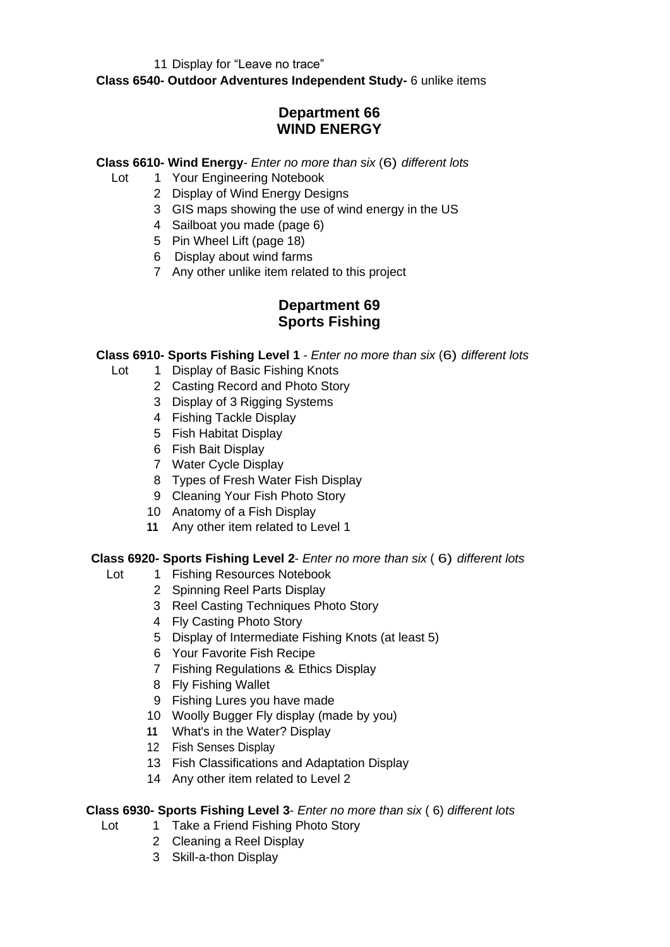11 Display for "Leave no trace"

**Class 6540- Outdoor Adventures Independent Study-** 6 unlike items

# **Department 66 WIND ENERGY**

#### **Class 6610- Wind Energy**- *Enter no more than six* (6) *different lots*

- Lot 1 Your Engineering Notebook
	- 2 Display of Wind Energy Designs
	- 3 GIS maps showing the use of wind energy in the US
	- 4 Sailboat you made (page 6)
	- 5 Pin Wheel Lift (page 18)
	- 6 Display about wind farms
	- 7 Any other unlike item related to this project

## **Department 69 Sports Fishing**

#### **Class 6910- Sports Fishing Level 1** - *Enter no more than six* (6) *different lots*

- Lot 1 Display of Basic Fishing Knots
	- 2 Casting Record and Photo Story
	- 3 Display of 3 Rigging Systems
	- 4 Fishing Tackle Display
	- 5 Fish Habitat Display
	- 6 Fish Bait Display
	- 7 Water Cycle Display
	- 8 Types of Fresh Water Fish Display
	- 9 Cleaning Your Fish Photo Story
	- 10 Anatomy of a Fish Display
	- **11** Any other item related to Level 1

#### **Class 6920- Sports Fishing Level 2**- *Enter no more than six* ( 6) *different lots*

- Lot 1 Fishing Resources Notebook
	- 2 Spinning Reel Parts Display
	- 3 Reel Casting Techniques Photo Story
	- 4 Fly Casting Photo Story
	- 5 Display of Intermediate Fishing Knots (at least 5)
	- 6 Your Favorite Fish Recipe
	- 7 Fishing Regulations & Ethics Display
	- 8 Fly Fishing Wallet
	- 9 Fishing Lures you have made
	- 10 Woolly Bugger Fly display (made by you)
	- **11** What's in the Water? Display
	- 12 Fish Senses Display
	- 13 Fish Classifications and Adaptation Display
	- 14 Any other item related to Level 2

#### **Class 6930- Sports Fishing Level 3**- *Enter no more than six* ( 6) *different lots*

- Lot 1 Take a Friend Fishing Photo Story
	- 2 Cleaning a Reel Display
		- 3 Skill-a-thon Display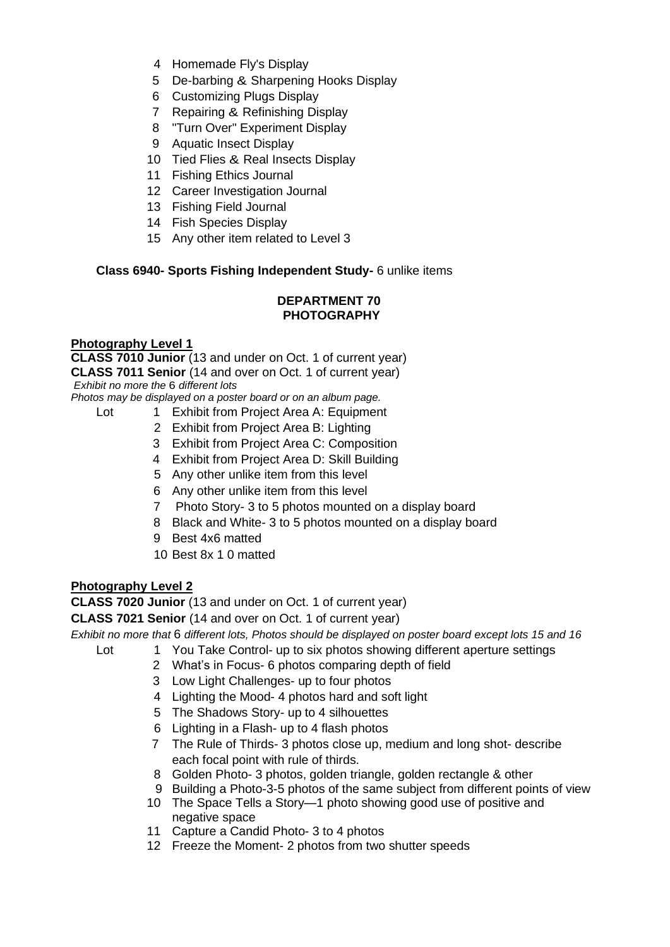- 4 Homemade Fly's Display
- 5 De-barbing & Sharpening Hooks Display
- 6 Customizing Plugs Display
- 7 Repairing & Refinishing Display
- 8 "Turn Over" Experiment Display
- 9 Aquatic Insect Display
- 10 Tied Flies & Real Insects Display
- 11 Fishing Ethics Journal
- 12 Career Investigation Journal
- 13 Fishing Field Journal
- 14 Fish Species Display
- 15 Any other item related to Level 3

## **Class 6940- Sports Fishing Independent Study-** 6 unlike items

#### **DEPARTMENT 70 PHOTOGRAPHY**

#### **Photography Level 1**

**CLASS 7010 Junior** (13 and under on Oct. 1 of current year) **CLASS 7011 Senior** (14 and over on Oct. 1 of current year) *Exhibit no more the* 6 *different lots* 

*Photos may be displayed on a poster board or on an album page.* 

- Lot 1 Exhibit from Project Area A: Equipment
	- 2 Exhibit from Project Area B: Lighting
	- 3 Exhibit from Project Area C: Composition
	- 4 Exhibit from Project Area D: Skill Building
	- 5 Any other unlike item from this level
	- 6 Any other unlike item from this level
	- 7 Photo Story- 3 to 5 photos mounted on a display board
	- 8 Black and White- 3 to 5 photos mounted on a display board
	- 9 Best 4x6 matted
	- 10 Best 8x 1 0 matted

#### **Photography Level 2**

**CLASS 7020 Junior** (13 and under on Oct. 1 of current year)

**CLASS 7021 Senior** (14 and over on Oct. 1 of current year)

*Exhibit no more that* 6 *different lots, Photos should be displayed on poster board except lots 15 and 16*

- 
- Lot 1 You Take Control- up to six photos showing different aperture settings 2 What's in Focus- 6 photos comparing depth of field
	- 3 Low Light Challenges- up to four photos
	- 4 Lighting the Mood- 4 photos hard and soft light
	- 5 The Shadows Story- up to 4 silhouettes
	- 6 Lighting in a Flash- up to 4 flash photos
	- 7 The Rule of Thirds- 3 photos close up, medium and long shot- describe each focal point with rule of thirds.
	- 8 Golden Photo- 3 photos, golden triangle, golden rectangle & other
	- 9 Building a Photo-3-5 photos of the same subject from different points of view
	- 10 The Space Tells a Story—1 photo showing good use of positive and negative space
	- 11 Capture a Candid Photo- 3 to 4 photos
	- 12 Freeze the Moment- 2 photos from two shutter speeds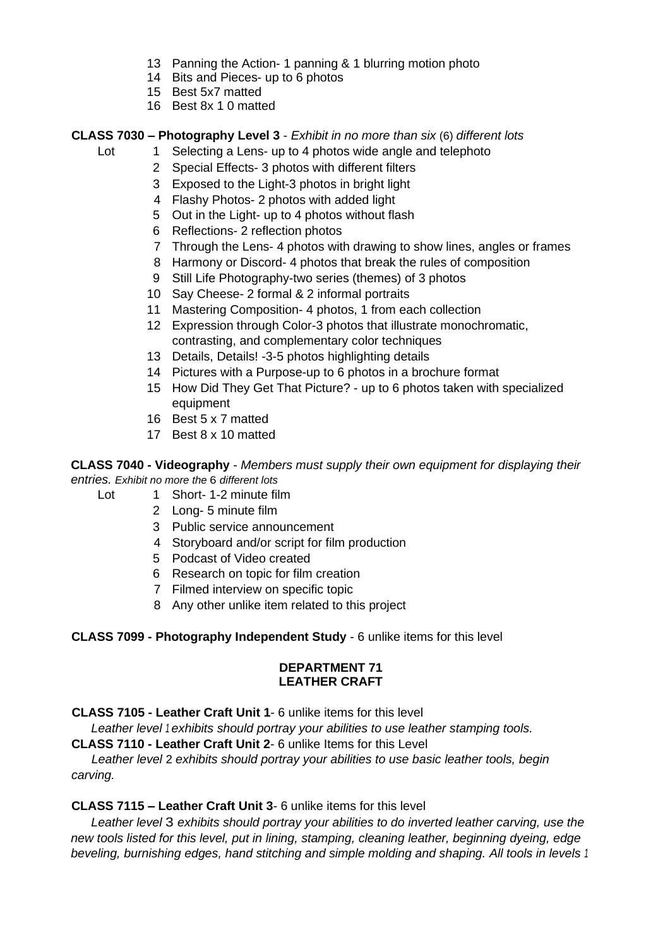- 13 Panning the Action- 1 panning & 1 blurring motion photo
- 14 Bits and Pieces- up to 6 photos
- 15 Best 5x7 matted
- 16 Best 8x 1 0 matted

## **CLASS 7030 – Photography Level 3** - *Exhibit in no more than six* (6) *different lots*

- Lot 1 Selecting a Lens- up to 4 photos wide angle and telephoto
	- 2 Special Effects- 3 photos with different filters
	- 3 Exposed to the Light-3 photos in bright light
	- 4 Flashy Photos- 2 photos with added light
	- 5 Out in the Light- up to 4 photos without flash
	- 6 Reflections- 2 reflection photos
	- 7 Through the Lens- 4 photos with drawing to show lines, angles or frames
	- 8 Harmony or Discord- 4 photos that break the rules of composition
	- 9 Still Life Photography-two series (themes) of 3 photos
	- 10 Say Cheese- 2 formal & 2 informal portraits
	- 11 Mastering Composition- 4 photos, 1 from each collection
	- 12 Expression through Color-3 photos that illustrate monochromatic, contrasting, and complementary color techniques
	- 13 Details, Details! -3-5 photos highlighting details
	- 14 Pictures with a Purpose-up to 6 photos in a brochure format
	- 15 How Did They Get That Picture? up to 6 photos taken with specialized equipment
	- 16 Best 5 x 7 matted
	- 17 Best 8 x 10 matted

**CLASS 7040 - Videography** - *Members must supply their own equipment for displaying their entries. Exhibit no more the* 6 *different lots* 

- Lot 1 Short- 1-2 minute film
	- 2 Long- 5 minute film
	- 3 Public service announcement
	- 4 Storyboard and/or script for film production
	- 5 Podcast of Video created
	- 6 Research on topic for film creation
	- 7 Filmed interview on specific topic
	- 8 Any other unlike item related to this project

#### **CLASS 7099 - Photography Independent Study** - 6 unlike items for this level

#### **DEPARTMENT 71 LEATHER CRAFT**

**CLASS 7105 - Leather Craft Unit 1**- 6 unlike items for this level

*Leather level 1 exhibits should portray your abilities to use leather stamping tools.*

**CLASS 7110 - Leather Craft Unit 2**- 6 unlike Items for this Level

*Leather level* 2 *exhibits should portray your abilities to use basic leather tools, begin carving.*

#### **CLASS 7115 – Leather Craft Unit 3**- 6 unlike items for this level

*Leather level* 3 *exhibits should portray your abilities to do inverted leather carving, use the new tools listed for this level, put in lining, stamping, cleaning leather, beginning dyeing, edge beveling, burnishing edges, hand stitching and simple molding and shaping. All tools in levels <sup>1</sup>*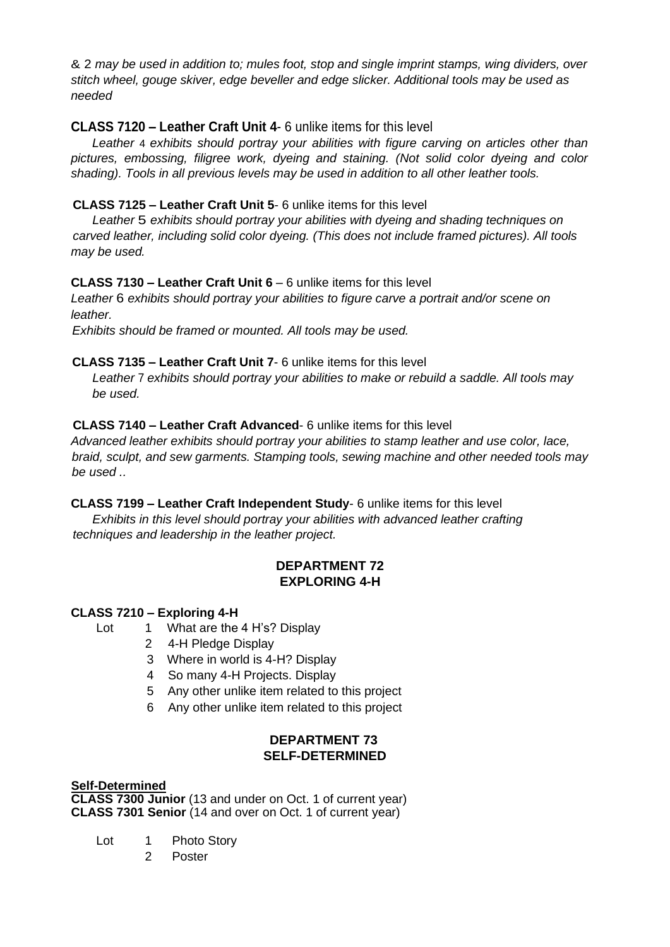& 2 *may be used in addition to; mules foot, stop and single imprint stamps, wing dividers, over stitch wheel, gouge skiver, edge beveller and edge slicker. Additional tools may be used as needed* 

## **CLASS 7120 – Leather Craft Unit 4**- 6 unlike items for this level

*Leather* 4 *exhibits should portray your abilities with figure carving on articles other than pictures, embossing, filigree work, dyeing and staining. (Not solid color dyeing and color shading). Tools in all previous levels may be used in addition to all other leather tools.* 

## **CLASS 7125 – Leather Craft Unit 5**- 6 unlike items for this level

*Leather* 5 *exhibits should portray your abilities with dyeing and shading techniques on carved leather, including solid color dyeing. (This does not include framed pictures). All tools may be used.* 

## **CLASS 7130 – Leather Craft Unit 6** – 6 unlike items for this level

*Leather* 6 *exhibits should portray your abilities to figure carve a portrait and/or scene on leather.*

*Exhibits should be framed or mounted. All tools may be used.*

## **CLASS 7135 – Leather Craft Unit 7**- 6 unlike items for this level

*Leather* 7 *exhibits should portray your abilities to make or rebuild a saddle. All tools may be used.* 

## **CLASS 7140 – Leather Craft Advanced**- 6 unlike items for this level

*Advanced leather exhibits should portray your abilities to stamp leather and use color, lace, braid, sculpt, and sew garments. Stamping tools, sewing machine and other needed tools may be used ..* 

#### **CLASS 7199 – Leather Craft Independent Study**- 6 unlike items for this level

*Exhibits in this level should portray your abilities with advanced leather crafting techniques and leadership in the leather project.* 

#### **DEPARTMENT 72 EXPLORING 4-H**

#### **CLASS 7210 – Exploring 4-H**

- Lot 1 What are the 4 H's? Display
	- 2 4-H Pledge Display
	- 3 Where in world is 4-H? Display
	- 4 So many 4-H Projects. Display
	- 5 Any other unlike item related to this project
	- 6 Any other unlike item related to this project

## **DEPARTMENT 73 SELF-DETERMINED**

#### **Self-Determined**

**CLASS 7300 Junior** (13 and under on Oct. 1 of current year) **CLASS 7301 Senior** (14 and over on Oct. 1 of current year)

- Lot 1 Photo Story
	- 2 Poster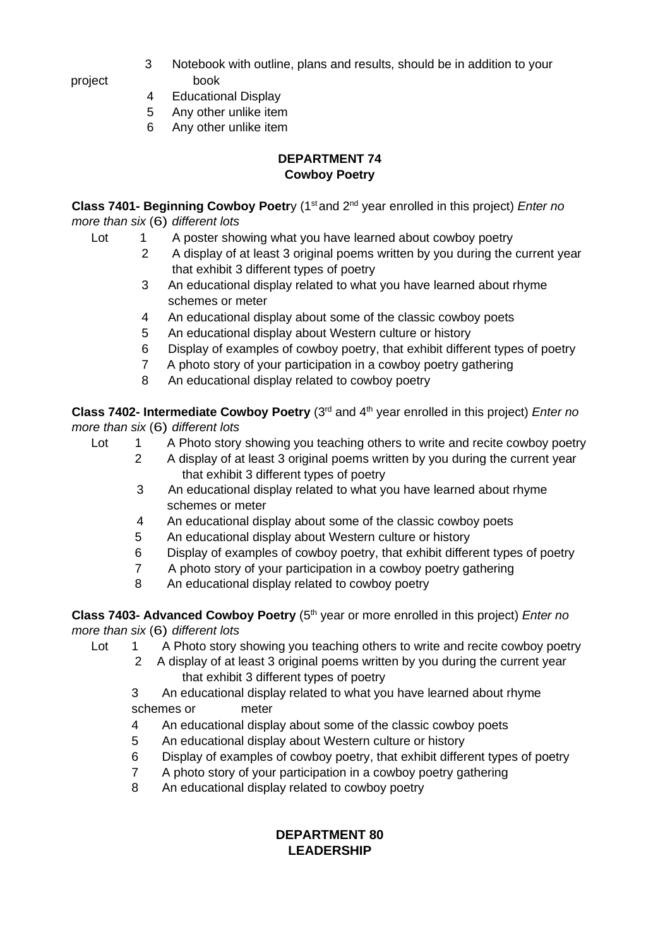- 3 Notebook with outline, plans and results, should be in addition to your project book
	- 4 Educational Display
	- 5 Any other unlike item
	- 6 Any other unlike item

## **DEPARTMENT 74 Cowboy Poetry**

**Class 7401- Beginning Cowboy Poetr**y (1<sup>st</sup> and 2<sup>nd</sup> year enrolled in this project) *Enter no more than six* (6) *different lots*

- Lot 1 A poster showing what you have learned about cowboy poetry
	- 2 A display of at least 3 original poems written by you during the current year that exhibit 3 different types of poetry
	- 3 An educational display related to what you have learned about rhyme schemes or meter
	- 4 An educational display about some of the classic cowboy poets
	- 5 An educational display about Western culture or history
	- 6 Display of examples of cowboy poetry, that exhibit different types of poetry
	- 7 A photo story of your participation in a cowboy poetry gathering
	- 8 An educational display related to cowboy poetry

**Class 7402- Intermediate Cowboy Poetry** (3<sup>rd</sup> and 4<sup>th</sup> year enrolled in this project) *Enter no more than six* (6) *different lots*

- Lot 1 A Photo story showing you teaching others to write and recite cowboy poetry
	- 2 A display of at least 3 original poems written by you during the current year that exhibit 3 different types of poetry
	- 3 An educational display related to what you have learned about rhyme schemes or meter
	- 4 An educational display about some of the classic cowboy poets
	- 5 An educational display about Western culture or history
	- 6 Display of examples of cowboy poetry, that exhibit different types of poetry
	- 7 A photo story of your participation in a cowboy poetry gathering
	- 8 An educational display related to cowboy poetry

**Class 7403- Advanced Cowboy Poetry** (5th year or more enrolled in this project) *Enter no more than six* (6) *different lots*

- Lot 1 A Photo story showing you teaching others to write and recite cowboy poetry
	- 2 A display of at least 3 original poems written by you during the current year that exhibit 3 different types of poetry

3 An educational display related to what you have learned about rhyme schemes or meter

- 4 An educational display about some of the classic cowboy poets
- 5 An educational display about Western culture or history
- 6 Display of examples of cowboy poetry, that exhibit different types of poetry
- 7 A photo story of your participation in a cowboy poetry gathering
- 8 An educational display related to cowboy poetry

## **DEPARTMENT 80 LEADERSHIP**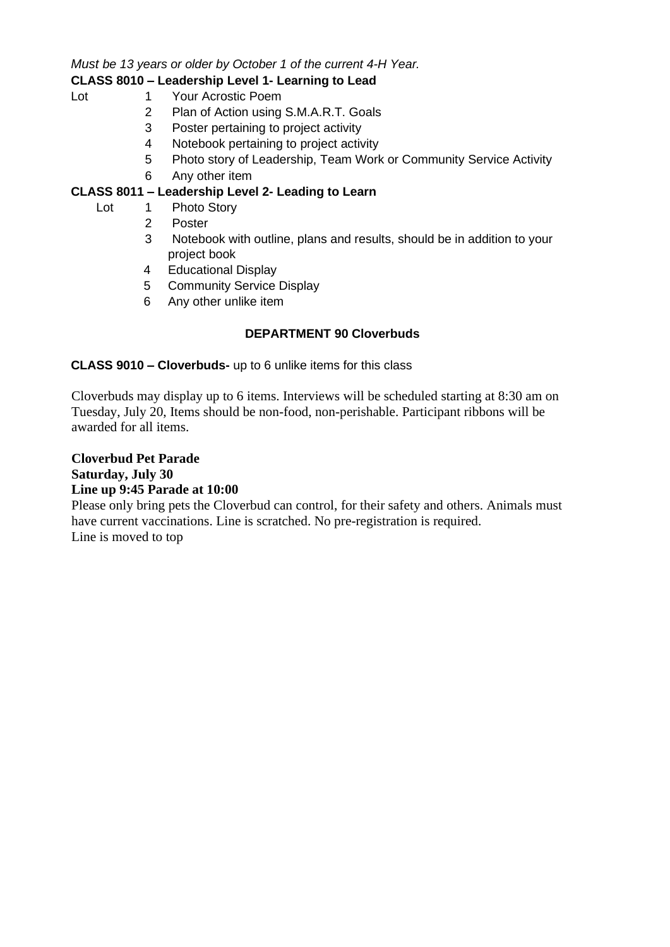*Must be 13 years or older by October 1 of the current 4-H Year.*

## **CLASS 8010 – Leadership Level 1- Learning to Lead**

- Lot 1 Your Acrostic Poem
	- 2 Plan of Action using S.M.A.R.T. Goals
	- 3 Poster pertaining to project activity
	- 4 Notebook pertaining to project activity
	- 5 Photo story of Leadership, Team Work or Community Service Activity
	- 6 Any other item

## **CLASS 8011 – Leadership Level 2- Leading to Learn**

- Lot 1 Photo Story
	- 2 Poster
	- 3 Notebook with outline, plans and results, should be in addition to your project book
	- 4 Educational Display
	- 5 Community Service Display
	- 6 Any other unlike item

## **DEPARTMENT 90 Cloverbuds**

## **CLASS 9010 – Cloverbuds-** up to 6 unlike items for this class

Cloverbuds may display up to 6 items. Interviews will be scheduled starting at 8:30 am on Tuesday, July 20, Items should be non-food, non-perishable. Participant ribbons will be awarded for all items.

**Cloverbud Pet Parade Saturday, July 30 Line up 9:45 Parade at 10:00**

Please only bring pets the Cloverbud can control, for their safety and others. Animals must have current vaccinations. Line is scratched. No pre-registration is required. Line is moved to top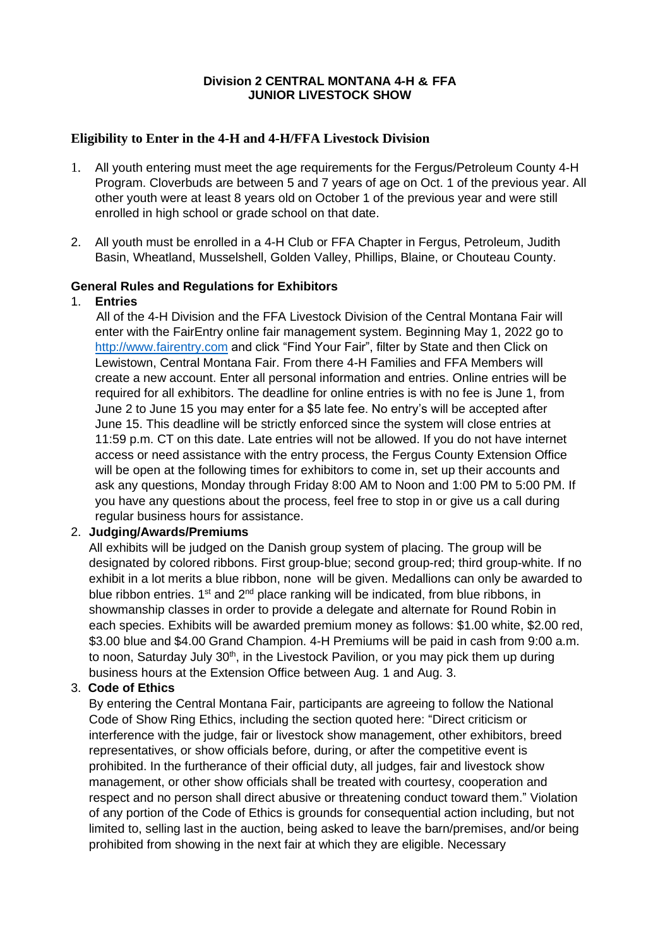#### **Division 2 CENTRAL MONTANA 4-H & FFA JUNIOR LIVESTOCK SHOW**

#### **Eligibility to Enter in the 4-H and 4-H/FFA Livestock Division**

- 1. All youth entering must meet the age requirements for the Fergus/Petroleum County 4-H Program. Cloverbuds are between 5 and 7 years of age on Oct. 1 of the previous year. All other youth were at least 8 years old on October 1 of the previous year and were still enrolled in high school or grade school on that date.
- 2. All youth must be enrolled in a 4-H Club or FFA Chapter in Fergus, Petroleum, Judith Basin, Wheatland, Musselshell, Golden Valley, Phillips, Blaine, or Chouteau County.

#### **General Rules and Regulations for Exhibitors**

#### 1. **Entries**

All of the 4-H Division and the FFA Livestock Division of the Central Montana Fair will enter with the FairEntry online fair management system. Beginning May 1, 2022 go to [http://www.fairentry.com](http://www.fairentry.com/) and click "Find Your Fair", filter by State and then Click on Lewistown, Central Montana Fair. From there 4-H Families and FFA Members will create a new account. Enter all personal information and entries. Online entries will be required for all exhibitors. The deadline for online entries is with no fee is June 1, from June 2 to June 15 you may enter for a \$5 late fee. No entry's will be accepted after June 15. This deadline will be strictly enforced since the system will close entries at 11:59 p.m. CT on this date. Late entries will not be allowed. If you do not have internet access or need assistance with the entry process, the Fergus County Extension Office will be open at the following times for exhibitors to come in, set up their accounts and ask any questions, Monday through Friday 8:00 AM to Noon and 1:00 PM to 5:00 PM. If you have any questions about the process, feel free to stop in or give us a call during regular business hours for assistance.

#### 2. **Judging/Awards/Premiums**

All exhibits will be judged on the Danish group system of placing. The group will be designated by colored ribbons. First group-blue; second group-red; third group-white. If no exhibit in a lot merits a blue ribbon, none will be given. Medallions can only be awarded to blue ribbon entries. 1<sup>st</sup> and 2<sup>nd</sup> place ranking will be indicated, from blue ribbons, in showmanship classes in order to provide a delegate and alternate for Round Robin in each species. Exhibits will be awarded premium money as follows: \$1.00 white, \$2.00 red, \$3.00 blue and \$4.00 Grand Champion. 4-H Premiums will be paid in cash from 9:00 a.m. to noon, Saturday July 30<sup>th</sup>, in the Livestock Pavilion, or you may pick them up during business hours at the Extension Office between Aug. 1 and Aug. 3.

## 3. **Code of Ethics**

By entering the Central Montana Fair, participants are agreeing to follow the National Code of Show Ring Ethics, including the section quoted here: "Direct criticism or interference with the judge, fair or livestock show management, other exhibitors, breed representatives, or show officials before, during, or after the competitive event is prohibited. In the furtherance of their official duty, all judges, fair and livestock show management, or other show officials shall be treated with courtesy, cooperation and respect and no person shall direct abusive or threatening conduct toward them." Violation of any portion of the Code of Ethics is grounds for consequential action including, but not limited to, selling last in the auction, being asked to leave the barn/premises, and/or being prohibited from showing in the next fair at which they are eligible. Necessary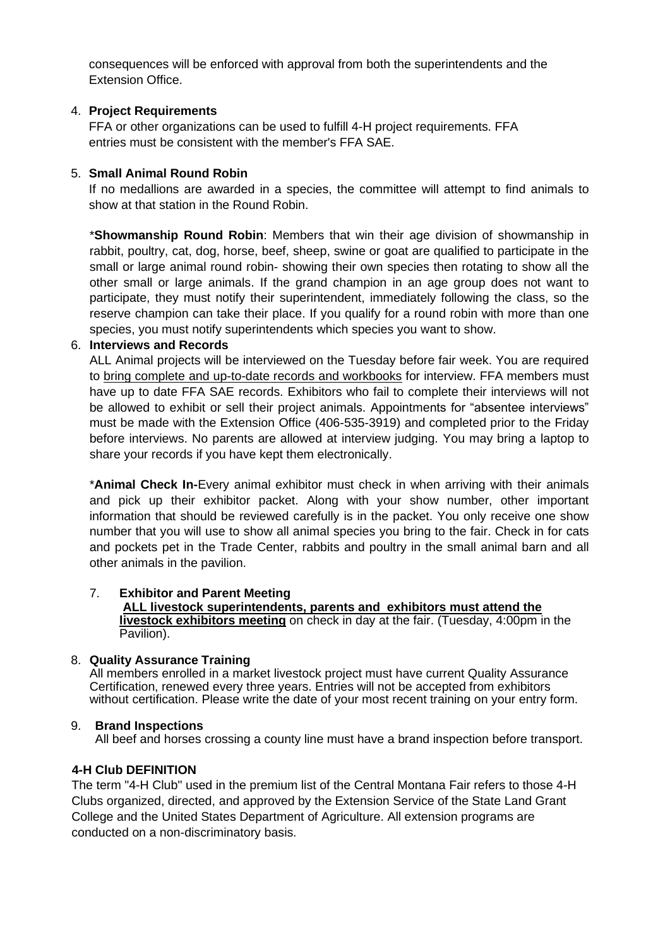consequences will be enforced with approval from both the superintendents and the Extension Office.

#### 4. **Project Requirements**

FFA or other organizations can be used to fulfill 4-H project requirements. FFA entries must be consistent with the member's FFA SAE.

#### 5. **Small Animal Round Robin**

If no medallions are awarded in a species, the committee will attempt to find animals to show at that station in the Round Robin.

\***Showmanship Round Robin**: Members that win their age division of showmanship in rabbit, poultry, cat, dog, horse, beef, sheep, swine or goat are qualified to participate in the small or large animal round robin- showing their own species then rotating to show all the other small or large animals. If the grand champion in an age group does not want to participate, they must notify their superintendent, immediately following the class, so the reserve champion can take their place. If you qualify for a round robin with more than one species, you must notify superintendents which species you want to show.

#### 6. **Interviews and Records**

ALL Animal projects will be interviewed on the Tuesday before fair week. You are required to bring complete and up-to-date records and workbooks for interview. FFA members must have up to date FFA SAE records. Exhibitors who fail to complete their interviews will not be allowed to exhibit or sell their project animals. Appointments for "absentee interviews" must be made with the Extension Office (406-535-3919) and completed prior to the Friday before interviews. No parents are allowed at interview judging. You may bring a laptop to share your records if you have kept them electronically.

\***Animal Check In-**Every animal exhibitor must check in when arriving with their animals and pick up their exhibitor packet. Along with your show number, other important information that should be reviewed carefully is in the packet. You only receive one show number that you will use to show all animal species you bring to the fair. Check in for cats and pockets pet in the Trade Center, rabbits and poultry in the small animal barn and all other animals in the pavilion.

#### 7. **Exhibitor and Parent Meeting**

#### **ALL livestock superintendents, parents and exhibitors must attend the livestock exhibitors meeting** on check in day at the fair. (Tuesday, 4:00pm in the Pavilion).

#### 8. **Quality Assurance Training**

All members enrolled in a market livestock project must have current Quality Assurance Certification, renewed every three years. Entries will not be accepted from exhibitors without certification. Please write the date of your most recent training on your entry form.

#### 9. **Brand Inspections**

All beef and horses crossing a county line must have a brand inspection before transport.

#### **4-H Club DEFINITION**

The term "4-H Club" used in the premium list of the Central Montana Fair refers to those 4-H Clubs organized, directed, and approved by the Extension Service of the State Land Grant College and the United States Department of Agriculture. All extension programs are conducted on a non-discriminatory basis.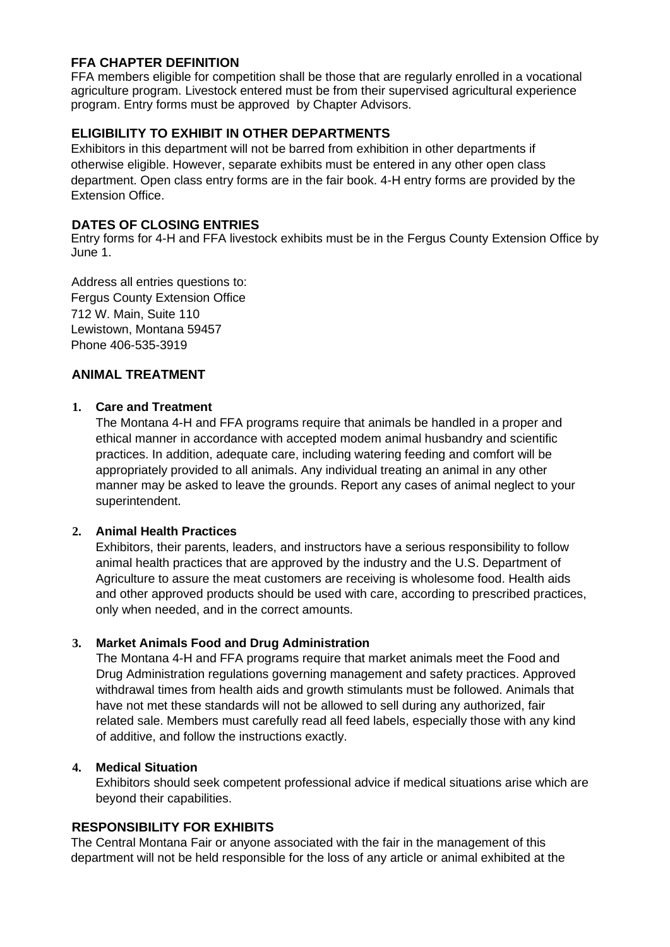## **FFA CHAPTER DEFINITION**

FFA members eligible for competition shall be those that are regularly enrolled in a vocational agriculture program. Livestock entered must be from their supervised agricultural experience program. Entry forms must be approved by Chapter Advisors.

## **ELIGIBILITY TO EXHIBIT IN OTHER DEPARTMENTS**

Exhibitors in this department will not be barred from exhibition in other departments if otherwise eligible. However, separate exhibits must be entered in any other open class department. Open class entry forms are in the fair book. 4-H entry forms are provided by the Extension Office.

## **DATES OF CLOSING ENTRIES**

Entry forms for 4-H and FFA livestock exhibits must be in the Fergus County Extension Office by June 1.

Address all entries questions to: Fergus County Extension Office 712 W. Main, Suite 110 Lewistown, Montana 59457 Phone 406-535-3919

## **ANIMAL TREATMENT**

#### **1. Care and Treatment**

The Montana 4-H and FFA programs require that animals be handled in a proper and ethical manner in accordance with accepted modem animal husbandry and scientific practices. In addition, adequate care, including watering feeding and comfort will be appropriately provided to all animals. Any individual treating an animal in any other manner may be asked to leave the grounds. Report any cases of animal neglect to your superintendent.

#### **2. Animal Health Practices**

Exhibitors, their parents, leaders, and instructors have a serious responsibility to follow animal health practices that are approved by the industry and the U.S. Department of Agriculture to assure the meat customers are receiving is wholesome food. Health aids and other approved products should be used with care, according to prescribed practices, only when needed, and in the correct amounts.

#### **3. Market Animals Food and Drug Administration**

The Montana 4-H and FFA programs require that market animals meet the Food and Drug Administration regulations governing management and safety practices. Approved withdrawal times from health aids and growth stimulants must be followed. Animals that have not met these standards will not be allowed to sell during any authorized, fair related sale. Members must carefully read all feed labels, especially those with any kind of additive, and follow the instructions exactly.

## **4. Medical Situation**

Exhibitors should seek competent professional advice if medical situations arise which are beyond their capabilities.

#### **RESPONSIBILITY FOR EXHIBITS**

The Central Montana Fair or anyone associated with the fair in the management of this department will not be held responsible for the loss of any article or animal exhibited at the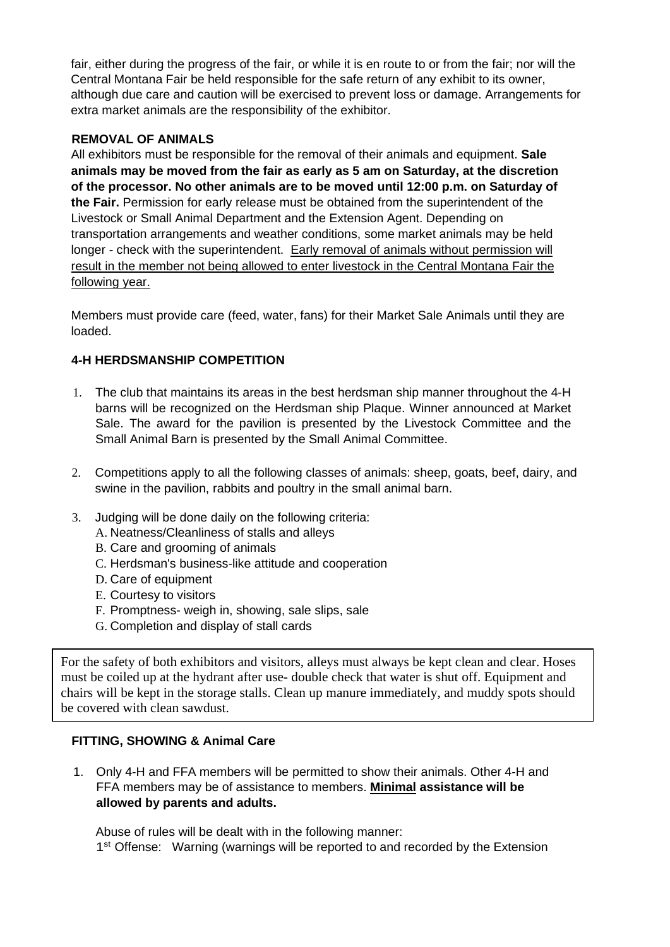fair, either during the progress of the fair, or while it is en route to or from the fair; nor will the Central Montana Fair be held responsible for the safe return of any exhibit to its owner, although due care and caution will be exercised to prevent loss or damage. Arrangements for extra market animals are the responsibility of the exhibitor.

## **REMOVAL OF ANIMALS**

All exhibitors must be responsible for the removal of their animals and equipment. **Sale animals may be moved from the fair as early as 5 am on Saturday, at the discretion of the processor. No other animals are to be moved until 12:00 p.m. on Saturday of the Fair.** Permission for early release must be obtained from the superintendent of the Livestock or Small Animal Department and the Extension Agent. Depending on transportation arrangements and weather conditions, some market animals may be held longer - check with the superintendent. Early removal of animals without permission will result in the member not being allowed to enter livestock in the Central Montana Fair the following year.

Members must provide care (feed, water, fans) for their Market Sale Animals until they are loaded.

## **4-H HERDSMANSHIP COMPETITION**

- 1. The club that maintains its areas in the best herdsman ship manner throughout the 4-H barns will be recognized on the Herdsman ship Plaque. Winner announced at Market Sale. The award for the pavilion is presented by the Livestock Committee and the Small Animal Barn is presented by the Small Animal Committee.
- 2. Competitions apply to all the following classes of animals: sheep, goats, beef, dairy, and swine in the pavilion, rabbits and poultry in the small animal barn.
- 3. Judging will be done daily on the following criteria:
	- A. Neatness/Cleanliness of stalls and alleys
	- B. Care and grooming of animals
	- C. Herdsman's business-like attitude and cooperation
	- D. Care of equipment
	- E. Courtesy to visitors
	- F. Promptness- weigh in, showing, sale slips, sale
	- G. Completion and display of stall cards

For the safety of both exhibitors and visitors, alleys must always be kept clean and clear. Hoses must be coiled up at the hydrant after use- double check that water is shut off. Equipment and chairs will be kept in the storage stalls. Clean up manure immediately, and muddy spots should be covered with clean sawdust.

#### **FITTING, SHOWING & Animal Care**

1. Only 4-H and FFA members will be permitted to show their animals. Other 4-H and FFA members may be of assistance to members. **Minimal assistance will be allowed by parents and adults.**

Abuse of rules will be dealt with in the following manner: 1<sup>st</sup> Offense: Warning (warnings will be reported to and recorded by the Extension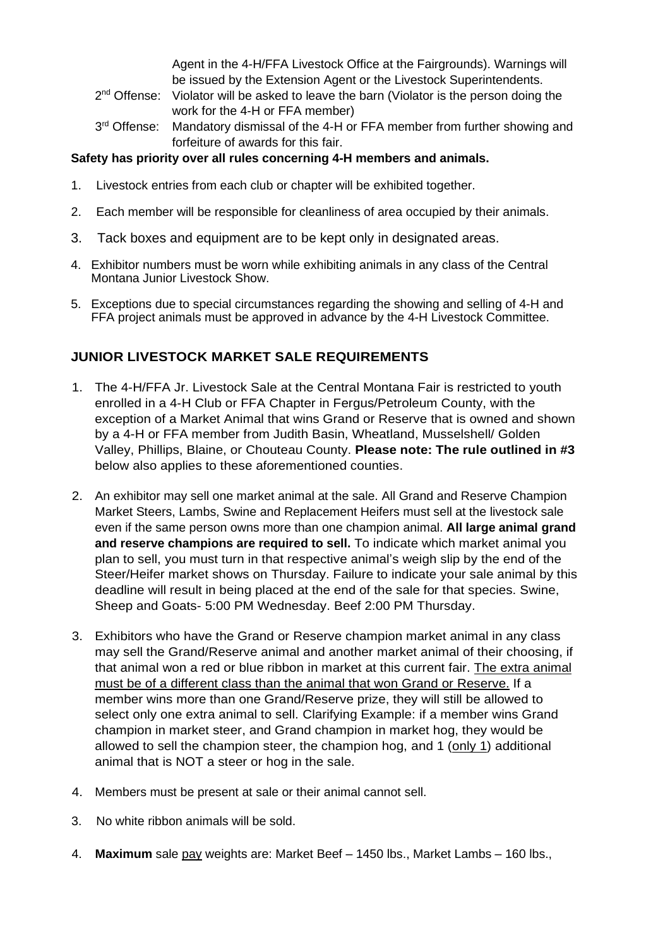Agent in the 4-H/FFA Livestock Office at the Fairgrounds). Warnings will be issued by the Extension Agent or the Livestock Superintendents.

- 2<sup>nd</sup> Offense: Violator will be asked to leave the barn (Violator is the person doing the work for the 4-H or FFA member)
- 3<sup>rd</sup> Offense: Mandatory dismissal of the 4-H or FFA member from further showing and forfeiture of awards for this fair.

## **Safety has priority over all rules concerning 4-H members and animals.**

- 1. Livestock entries from each club or chapter will be exhibited together.
- 2. Each member will be responsible for cleanliness of area occupied by their animals.
- 3. Tack boxes and equipment are to be kept only in designated areas.
- 4. Exhibitor numbers must be worn while exhibiting animals in any class of the Central Montana Junior Livestock Show.
- 5. Exceptions due to special circumstances regarding the showing and selling of 4-H and FFA project animals must be approved in advance by the 4-H Livestock Committee.

## **JUNIOR LIVESTOCK MARKET SALE REQUIREMENTS**

- 1. The 4-H/FFA Jr. Livestock Sale at the Central Montana Fair is restricted to youth enrolled in a 4-H Club or FFA Chapter in Fergus/Petroleum County, with the exception of a Market Animal that wins Grand or Reserve that is owned and shown by a 4-H or FFA member from Judith Basin, Wheatland, Musselshell/ Golden Valley, Phillips, Blaine, or Chouteau County. **Please note: The rule outlined in #3** below also applies to these aforementioned counties.
- 2. An exhibitor may sell one market animal at the sale. All Grand and Reserve Champion Market Steers, Lambs, Swine and Replacement Heifers must sell at the livestock sale even if the same person owns more than one champion animal. **All large animal grand and reserve champions are required to sell.** To indicate which market animal you plan to sell, you must turn in that respective animal's weigh slip by the end of the Steer/Heifer market shows on Thursday. Failure to indicate your sale animal by this deadline will result in being placed at the end of the sale for that species. Swine, Sheep and Goats- 5:00 PM Wednesday. Beef 2:00 PM Thursday.
- 3. Exhibitors who have the Grand or Reserve champion market animal in any class may sell the Grand/Reserve animal and another market animal of their choosing, if that animal won a red or blue ribbon in market at this current fair. The extra animal must be of a different class than the animal that won Grand or Reserve. If a member wins more than one Grand/Reserve prize, they will still be allowed to select only one extra animal to sell. Clarifying Example: if a member wins Grand champion in market steer, and Grand champion in market hog, they would be allowed to sell the champion steer, the champion hog, and 1 (only 1) additional animal that is NOT a steer or hog in the sale.
- 4. Members must be present at sale or their animal cannot sell.
- 3. No white ribbon animals will be sold.
- 4. **Maximum** sale pay weights are: Market Beef 1450 lbs., Market Lambs 160 lbs.,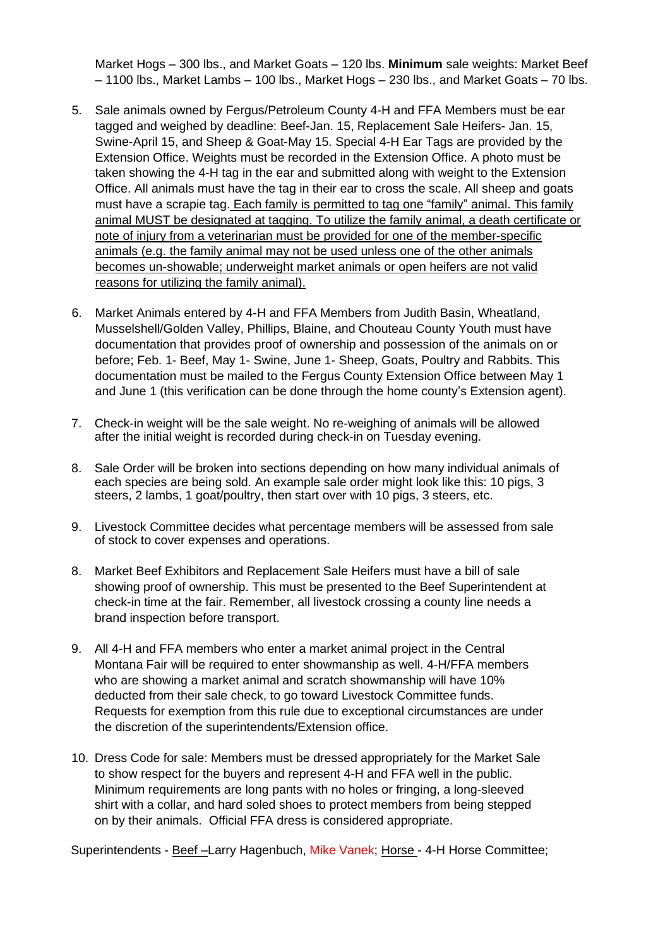Market Hogs – 300 lbs., and Market Goats – 120 lbs. **Minimum** sale weights: Market Beef – 1100 lbs., Market Lambs – 100 lbs., Market Hogs – 230 lbs., and Market Goats – 70 lbs.

- 5. Sale animals owned by Fergus/Petroleum County 4-H and FFA Members must be ear tagged and weighed by deadline: Beef-Jan. 15, Replacement Sale Heifers- Jan. 15, Swine-April 15, and Sheep & Goat-May 15. Special 4-H Ear Tags are provided by the Extension Office. Weights must be recorded in the Extension Office. A photo must be taken showing the 4-H tag in the ear and submitted along with weight to the Extension Office. All animals must have the tag in their ear to cross the scale. All sheep and goats must have a scrapie tag. Each family is permitted to tag one "family" animal. This family animal MUST be designated at tagging. To utilize the family animal, a death certificate or note of injury from a veterinarian must be provided for one of the member-specific animals (e.g. the family animal may not be used unless one of the other animals becomes un-showable; underweight market animals or open heifers are not valid reasons for utilizing the family animal).
- 6. Market Animals entered by 4-H and FFA Members from Judith Basin, Wheatland, Musselshell/Golden Valley, Phillips, Blaine, and Chouteau County Youth must have documentation that provides proof of ownership and possession of the animals on or before; Feb. 1- Beef, May 1- Swine, June 1- Sheep, Goats, Poultry and Rabbits. This documentation must be mailed to the Fergus County Extension Office between May 1 and June 1 (this verification can be done through the home county's Extension agent).
- 7. Check-in weight will be the sale weight. No re-weighing of animals will be allowed after the initial weight is recorded during check-in on Tuesday evening.
- 8. Sale Order will be broken into sections depending on how many individual animals of each species are being sold. An example sale order might look like this: 10 pigs, 3 steers, 2 lambs, 1 goat/poultry, then start over with 10 pigs, 3 steers, etc.
- 9. Livestock Committee decides what percentage members will be assessed from sale of stock to cover expenses and operations.
- 8. Market Beef Exhibitors and Replacement Sale Heifers must have a bill of sale showing proof of ownership. This must be presented to the Beef Superintendent at check-in time at the fair. Remember, all livestock crossing a county line needs a brand inspection before transport.
- 9. All 4-H and FFA members who enter a market animal project in the Central Montana Fair will be required to enter showmanship as well. 4-H/FFA members who are showing a market animal and scratch showmanship will have 10% deducted from their sale check, to go toward Livestock Committee funds. Requests for exemption from this rule due to exceptional circumstances are under the discretion of the superintendents/Extension office.
- 10. Dress Code for sale: Members must be dressed appropriately for the Market Sale to show respect for the buyers and represent 4-H and FFA well in the public. Minimum requirements are long pants with no holes or fringing, a long-sleeved shirt with a collar, and hard soled shoes to protect members from being stepped on by their animals. Official FFA dress is considered appropriate.

Superintendents - Beef -Larry Hagenbuch, Mike Vanek; Horse - 4-H Horse Committee;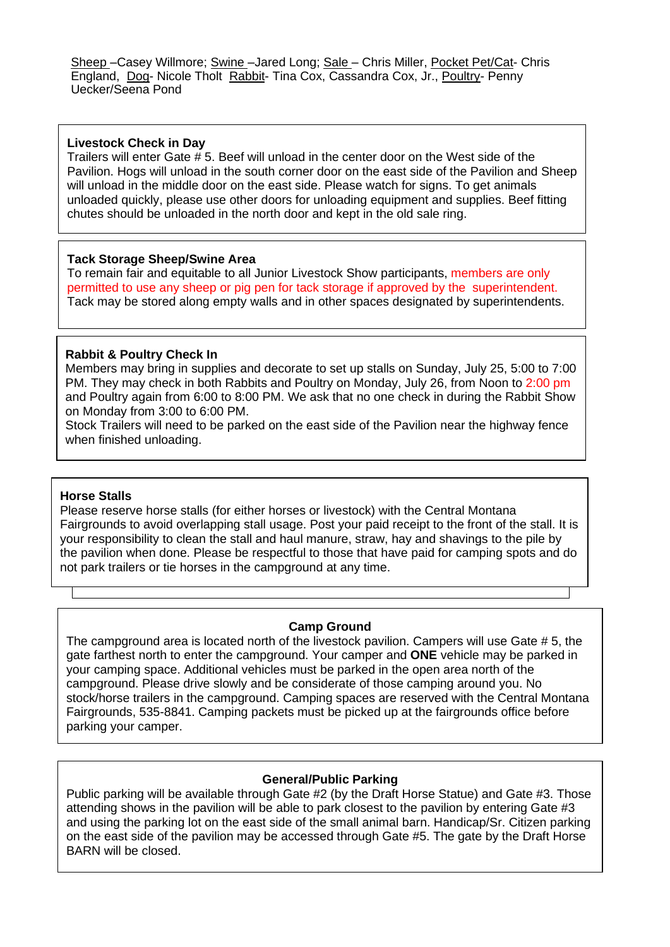Sheep - Casey Willmore; Swine - Jared Long; Sale - Chris Miller, Pocket Pet/Cat- Chris England, Dog- Nicole Tholt Rabbit- Tina Cox, Cassandra Cox, Jr., Poultry- Penny Uecker/Seena Pond

#### **Livestock Check in Day**

Trailers will enter Gate # 5. Beef will unload in the center door on the West side of the Pavilion. Hogs will unload in the south corner door on the east side of the Pavilion and Sheep will unload in the middle door on the east side. Please watch for signs. To get animals unloaded quickly, please use other doors for unloading equipment and supplies. Beef fitting chutes should be unloaded in the north door and kept in the old sale ring.

#### **Tack Storage Sheep/Swine Area**

To remain fair and equitable to all Junior Livestock Show participants, members are only permitted to use any sheep or pig pen for tack storage if approved by the superintendent. Tack may be stored along empty walls and in other spaces designated by superintendents.

#### **Rabbit & Poultry Check In**

Members may bring in supplies and decorate to set up stalls on Sunday, July 25, 5:00 to 7:00 PM. They may check in both Rabbits and Poultry on Monday, July 26, from Noon to 2:00 pm and Poultry again from 6:00 to 8:00 PM. We ask that no one check in during the Rabbit Show on Monday from 3:00 to 6:00 PM.

Stock Trailers will need to be parked on the east side of the Pavilion near the highway fence when finished unloading.

#### **Horse Stalls**

Please reserve horse stalls (for either horses or livestock) with the Central Montana Fairgrounds to avoid overlapping stall usage. Post your paid receipt to the front of the stall. It is your responsibility to clean the stall and haul manure, straw, hay and shavings to the pile by the pavilion when done. Please be respectful to those that have paid for camping spots and do not park trailers or tie horses in the campground at any time.

#### **Camp Ground**

The campground area is located north of the livestock pavilion. Campers will use Gate # 5, the gate farthest north to enter the campground. Your camper and **ONE** vehicle may be parked in your camping space. Additional vehicles must be parked in the open area north of the campground. Please drive slowly and be considerate of those camping around you. No stock/horse trailers in the campground. Camping spaces are reserved with the Central Montana Fairgrounds, 535-8841. Camping packets must be picked up at the fairgrounds office before parking your camper.

#### **General/Public Parking**

Public parking will be available through Gate #2 (by the Draft Horse Statue) and Gate #3. Those attending shows in the pavilion will be able to park closest to the pavilion by entering Gate #3 and using the parking lot on the east side of the small animal barn. Handicap/Sr. Citizen parking on the east side of the pavilion may be accessed through Gate #5. The gate by the Draft Horse BARN will be closed.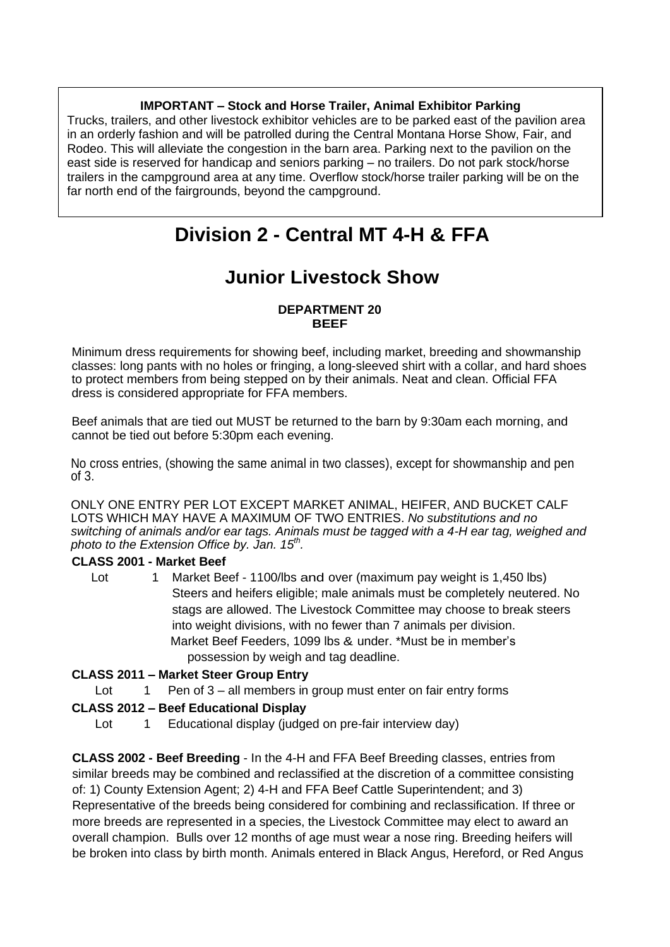## **IMPORTANT – Stock and Horse Trailer, Animal Exhibitor Parking**

Trucks, trailers, and other livestock exhibitor vehicles are to be parked east of the pavilion area in an orderly fashion and will be patrolled during the Central Montana Horse Show, Fair, and Rodeo. This will alleviate the congestion in the barn area. Parking next to the pavilion on the east side is reserved for handicap and seniors parking – no trailers. Do not park stock/horse trailers in the campground area at any time. Overflow stock/horse trailer parking will be on the far north end of the fairgrounds, beyond the campground.

# **Division 2 - Central MT 4-H & FFA**

# **Junior Livestock Show**

#### **DEPARTMENT 20 BEEF**

Minimum dress requirements for showing beef, including market, breeding and showmanship classes: long pants with no holes or fringing, a long-sleeved shirt with a collar, and hard shoes to protect members from being stepped on by their animals. Neat and clean. Official FFA dress is considered appropriate for FFA members.

Beef animals that are tied out MUST be returned to the barn by 9:30am each morning, and cannot be tied out before 5:30pm each evening.

No cross entries, (showing the same animal in two classes), except for showmanship and pen of 3.

ONLY ONE ENTRY PER LOT EXCEPT MARKET ANIMAL, HEIFER, AND BUCKET CALF LOTS WHICH MAY HAVE A MAXIMUM OF TWO ENTRIES. *No substitutions and no switching of animals and/or ear tags. Animals must be tagged with a 4-H ear tag, weighed and photo to the Extension Office by. Jan. 15th .*

## **CLASS 2001 - Market Beef**

Lot 1 Market Beef - 1100/lbs and over (maximum pay weight is 1,450 lbs) Steers and heifers eligible; male animals must be completely neutered. No stags are allowed. The Livestock Committee may choose to break steers into weight divisions, with no fewer than 7 animals per division. Market Beef Feeders, 1099 lbs & under. \*Must be in member's possession by weigh and tag deadline.

## **CLASS 2011 – Market Steer Group Entry**

Lot 1 Pen of 3 – all members in group must enter on fair entry forms

## **CLASS 2012 – Beef Educational Display**

Lot 1 Educational display (judged on pre-fair interview day)

**CLASS 2002 - Beef Breeding** - In the 4-H and FFA Beef Breeding classes, entries from similar breeds may be combined and reclassified at the discretion of a committee consisting of: 1) County Extension Agent; 2) 4-H and FFA Beef Cattle Superintendent; and 3) Representative of the breeds being considered for combining and reclassification. If three or more breeds are represented in a species, the Livestock Committee may elect to award an overall champion. Bulls over 12 months of age must wear a nose ring. Breeding heifers will be broken into class by birth month. Animals entered in Black Angus, Hereford, or Red Angus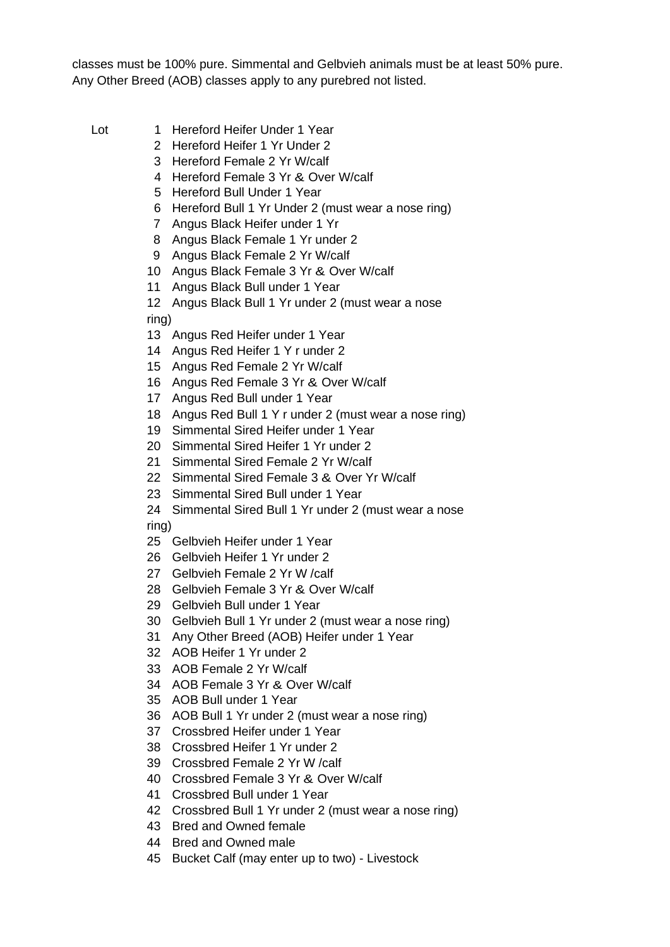classes must be 100% pure. Simmental and Gelbvieh animals must be at least 50% pure. Any Other Breed (AOB) classes apply to any purebred not listed.

- Lot 1 Hereford Heifer Under 1 Year
	- 2 Hereford Heifer 1 Yr Under 2
	- 3 Hereford Female 2 Yr W/calf
	- 4 Hereford Female 3 Yr & Over W/calf
	- 5 Hereford Bull Under 1 Year
	- 6 Hereford Bull 1 Yr Under 2 (must wear a nose ring)
	- 7 Angus Black Heifer under 1 Yr
	- 8 Angus Black Female 1 Yr under 2
	- 9 Angus Black Female 2 Yr W/calf
	- 10 Angus Black Female 3 Yr & Over W/calf
	- 11 Angus Black Bull under 1 Year

12 Angus Black Bull 1 Yr under 2 (must wear a nose ring)

- 13 Angus Red Heifer under 1 Year
- 14 Angus Red Heifer 1 Y r under 2
- 15 Angus Red Female 2 Yr W/calf
- 16 Angus Red Female 3 Yr & Over W/calf
- 17 Angus Red Bull under 1 Year
- 18 Angus Red Bull 1 Y r under 2 (must wear a nose ring)
- 19 Simmental Sired Heifer under 1 Year
- 20 Simmental Sired Heifer 1 Yr under 2
- 21 Simmental Sired Female 2 Yr W/calf
- 22 Simmental Sired Female 3 & Over Yr W/calf
- 23 Simmental Sired Bull under 1 Year
- 24 Simmental Sired Bull 1 Yr under 2 (must wear a nose

ring)

- 25 Gelbvieh Heifer under 1 Year
- 26 Gelbvieh Heifer 1 Yr under 2
- 27 Gelbvieh Female 2 Yr W /calf
- 28 Gelbvieh Female 3 Yr & Over W/calf
- 29 Gelbvieh Bull under 1 Year
- 30 Gelbvieh Bull 1 Yr under 2 (must wear a nose ring)
- 31 Any Other Breed (AOB) Heifer under 1 Year
- 32 AOB Heifer 1 Yr under 2
- 33 AOB Female 2 Yr W/calf
- 34 AOB Female 3 Yr & Over W/calf
- 35 AOB Bull under 1 Year
- 36 AOB Bull 1 Yr under 2 (must wear a nose ring)
- 37 Crossbred Heifer under 1 Year
- 38 Crossbred Heifer 1 Yr under 2
- 39 Crossbred Female 2 Yr W /calf
- 40 Crossbred Female 3 Yr & Over W/calf
- 41 Crossbred Bull under 1 Year
- 42 Crossbred Bull 1 Yr under 2 (must wear a nose ring)
- 43 Bred and Owned female
- 44 Bred and Owned male
- 45 Bucket Calf (may enter up to two) Livestock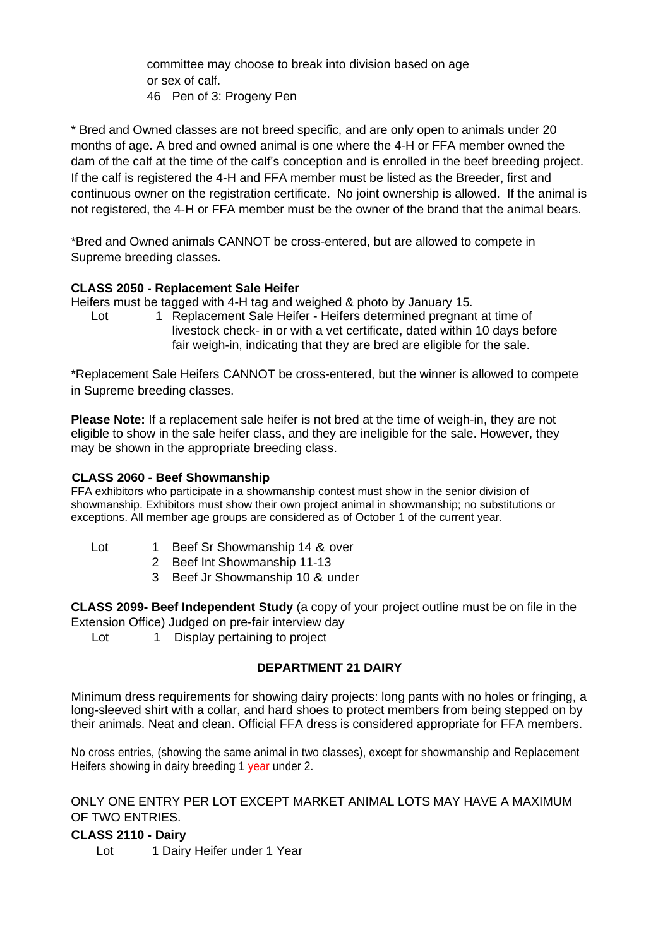committee may choose to break into division based on age or sex of calf. 46 Pen of 3: Progeny Pen

\* Bred and Owned classes are not breed specific, and are only open to animals under 20 months of age. A bred and owned animal is one where the 4-H or FFA member owned the dam of the calf at the time of the calf's conception and is enrolled in the beef breeding project. If the calf is registered the 4-H and FFA member must be listed as the Breeder, first and continuous owner on the registration certificate. No joint ownership is allowed. If the animal is not registered, the 4-H or FFA member must be the owner of the brand that the animal bears.

\*Bred and Owned animals CANNOT be cross-entered, but are allowed to compete in Supreme breeding classes.

## **CLASS 2050 - Replacement Sale Heifer**

Heifers must be tagged with 4-H tag and weighed & photo by January 15.

Lot 1 Replacement Sale Heifer - Heifers determined pregnant at time of livestock check- in or with a vet certificate, dated within 10 days before fair weigh-in, indicating that they are bred are eligible for the sale.

\*Replacement Sale Heifers CANNOT be cross-entered, but the winner is allowed to compete in Supreme breeding classes.

**Please Note:** If a replacement sale heifer is not bred at the time of weigh-in, they are not eligible to show in the sale heifer class, and they are ineligible for the sale. However, they may be shown in the appropriate breeding class.

#### **CLASS 2060 - Beef Showmanship**

FFA exhibitors who participate in a showmanship contest must show in the senior division of showmanship. Exhibitors must show their own project animal in showmanship; no substitutions or exceptions. All member age groups are considered as of October 1 of the current year.

- Lot 1 Beef Sr Showmanship 14 & over
	- 2 Beef Int Showmanship 11-13
	- 3 Beef Jr Showmanship 10 & under

**CLASS 2099- Beef Independent Study** (a copy of your project outline must be on file in the Extension Office) Judged on pre-fair interview day

Lot 1 Display pertaining to project

## **DEPARTMENT 21 DAIRY**

Minimum dress requirements for showing dairy projects: long pants with no holes or fringing, a long-sleeved shirt with a collar, and hard shoes to protect members from being stepped on by their animals. Neat and clean. Official FFA dress is considered appropriate for FFA members.

No cross entries, (showing the same animal in two classes), except for showmanship and Replacement Heifers showing in dairy breeding 1 year under 2.

ONLY ONE ENTRY PER LOT EXCEPT MARKET ANIMAL LOTS MAY HAVE A MAXIMUM OF TWO ENTRIES.

## **CLASS 2110 - Dairy**

Lot 1 Dairy Heifer under 1 Year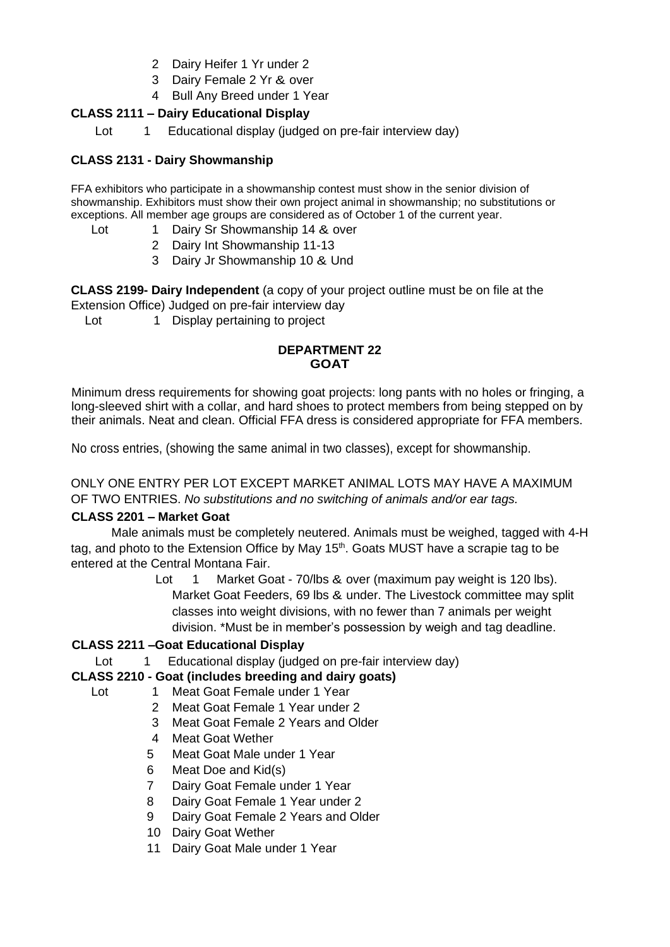- 2 Dairy Heifer 1 Yr under 2
- 3 Dairy Female 2 Yr & over
- 4 Bull Any Breed under 1 Year

## **CLASS 2111 – Dairy Educational Display**

Lot 1 Educational display (judged on pre-fair interview day)

## **CLASS 2131 - Dairy Showmanship**

FFA exhibitors who participate in a showmanship contest must show in the senior division of showmanship. Exhibitors must show their own project animal in showmanship; no substitutions or exceptions. All member age groups are considered as of October 1 of the current year.

- Lot 1 Dairy Sr Showmanship 14 & over
	- 2 Dairy Int Showmanship 11-13
	- 3 Dairy Jr Showmanship 10 & Und

**CLASS 2199- Dairy Independent** (a copy of your project outline must be on file at the Extension Office) Judged on pre-fair interview day

Lot 1 Display pertaining to project

#### **DEPARTMENT 22 GOAT**

Minimum dress requirements for showing goat projects: long pants with no holes or fringing, a long-sleeved shirt with a collar, and hard shoes to protect members from being stepped on by their animals. Neat and clean. Official FFA dress is considered appropriate for FFA members.

No cross entries, (showing the same animal in two classes), except for showmanship.

ONLY ONE ENTRY PER LOT EXCEPT MARKET ANIMAL LOTS MAY HAVE A MAXIMUM OF TWO ENTRIES. *No substitutions and no switching of animals and/or ear tags.*

## **CLASS 2201 – Market Goat**

Male animals must be completely neutered. Animals must be weighed, tagged with 4-H tag, and photo to the Extension Office by May 15<sup>th</sup>. Goats MUST have a scrapie tag to be entered at the Central Montana Fair.

> Lot 1 Market Goat - 70/lbs & over (maximum pay weight is 120 lbs). Market Goat Feeders, 69 lbs & under. The Livestock committee may split classes into weight divisions, with no fewer than 7 animals per weight division. \*Must be in member's possession by weigh and tag deadline.

## **CLASS 2211 –Goat Educational Display**

Lot 1 Educational display (judged on pre-fair interview day)

## **CLASS 2210 - Goat (includes breeding and dairy goats)**

- Lot 1 Meat Goat Female under 1 Year
	- 2 Meat Goat Female 1 Year under 2
	- 3 Meat Goat Female 2 Years and Older
	- 4 Meat Goat Wether
	- 5 Meat Goat Male under 1 Year
	- 6 Meat Doe and Kid(s)
	- 7 Dairy Goat Female under 1 Year
	- 8 Dairy Goat Female 1 Year under 2
	- 9 Dairy Goat Female 2 Years and Older
	- 10 Dairy Goat Wether
	- 11 Dairy Goat Male under 1 Year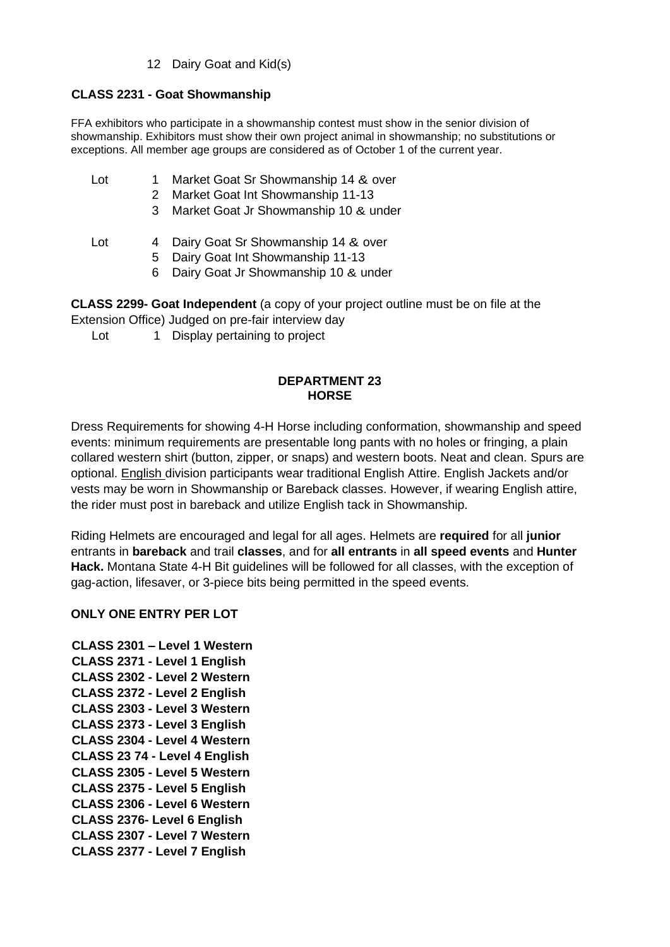#### 12 Dairy Goat and Kid(s)

## **CLASS 2231 - Goat Showmanship**

FFA exhibitors who participate in a showmanship contest must show in the senior division of showmanship. Exhibitors must show their own project animal in showmanship; no substitutions or exceptions. All member age groups are considered as of October 1 of the current year.

- Lot 1 Market Goat Sr Showmanship 14 & over
	- 2 Market Goat Int Showmanship 11-13
	- 3 Market Goat Jr Showmanship 10 & under
- Lot 4 Dairy Goat Sr Showmanship 14 & over
	- 5 Dairy Goat Int Showmanship 11-13
	- 6 Dairy Goat Jr Showmanship 10 & under

**CLASS 2299- Goat Independent** (a copy of your project outline must be on file at the Extension Office) Judged on pre-fair interview day

Lot 1 Display pertaining to project

#### **DEPARTMENT 23 HORSE**

Dress Requirements for showing 4-H Horse including conformation, showmanship and speed events: minimum requirements are presentable long pants with no holes or fringing, a plain collared western shirt (button, zipper, or snaps) and western boots. Neat and clean. Spurs are optional. English division participants wear traditional English Attire. English Jackets and/or vests may be worn in Showmanship or Bareback classes. However, if wearing English attire, the rider must post in bareback and utilize English tack in Showmanship.

Riding Helmets are encouraged and legal for all ages. Helmets are **required** for all **junior** entrants in **bareback** and trail **classes**, and for **all entrants** in **all speed events** and **Hunter Hack.** Montana State 4-H Bit guidelines will be followed for all classes, with the exception of gag-action, lifesaver, or 3-piece bits being permitted in the speed events.

## **ONLY ONE ENTRY PER LOT**

**CLASS 2301 – Level 1 Western CLASS 2371 - Level 1 English CLASS 2302 - Level 2 Western CLASS 2372 - Level 2 English CLASS 2303 - Level 3 Western CLASS 2373 - Level 3 English CLASS 2304 - Level 4 Western CLASS 23 74 - Level 4 English CLASS 2305 - Level 5 Western CLASS 2375 - Level 5 English CLASS 2306 - Level 6 Western CLASS 2376- Level 6 English CLASS 2307 - Level 7 Western CLASS 2377 - Level 7 English**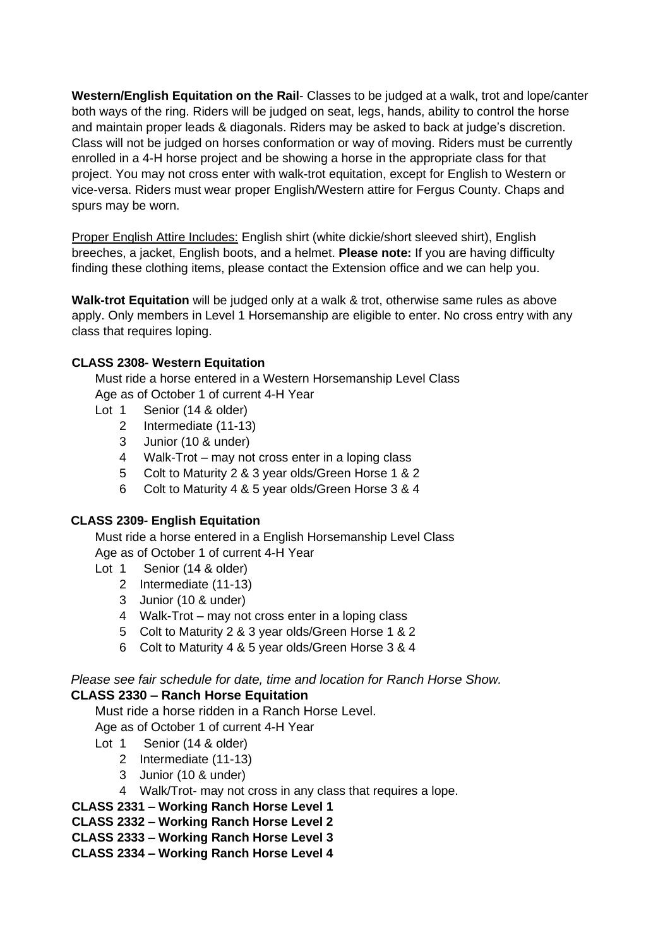**Western/English Equitation on the Rail**- Classes to be judged at a walk, trot and lope/canter both ways of the ring. Riders will be judged on seat, legs, hands, ability to control the horse and maintain proper leads & diagonals. Riders may be asked to back at judge's discretion. Class will not be judged on horses conformation or way of moving. Riders must be currently enrolled in a 4-H horse project and be showing a horse in the appropriate class for that project. You may not cross enter with walk-trot equitation, except for English to Western or vice-versa. Riders must wear proper English/Western attire for Fergus County. Chaps and spurs may be worn.

Proper English Attire Includes: English shirt (white dickie/short sleeved shirt), English breeches, a jacket, English boots, and a helmet. **Please note:** If you are having difficulty finding these clothing items, please contact the Extension office and we can help you.

**Walk-trot Equitation** will be judged only at a walk & trot, otherwise same rules as above apply. Only members in Level 1 Horsemanship are eligible to enter. No cross entry with any class that requires loping.

## **CLASS 2308- Western Equitation**

Must ride a horse entered in a Western Horsemanship Level Class Age as of October 1 of current 4-H Year

- Lot 1 Senior (14 & older)
	- 2 Intermediate (11-13)
	- 3 Junior (10 & under)
	- 4 Walk-Trot may not cross enter in a loping class
	- 5 Colt to Maturity 2 & 3 year olds/Green Horse 1 & 2
	- 6 Colt to Maturity 4 & 5 year olds/Green Horse 3 & 4

#### **CLASS 2309- English Equitation**

Must ride a horse entered in a English Horsemanship Level Class Age as of October 1 of current 4-H Year

- Lot 1 Senior (14 & older)
	- 2 Intermediate (11-13)
	- 3 Junior (10 & under)
	- 4 Walk-Trot may not cross enter in a loping class
	- 5 Colt to Maturity 2 & 3 year olds/Green Horse 1 & 2
	- 6 Colt to Maturity 4 & 5 year olds/Green Horse 3 & 4

*Please see fair schedule for date, time and location for Ranch Horse Show.* **CLASS 2330 – Ranch Horse Equitation** 

Must ride a horse ridden in a Ranch Horse Level.

Age as of October 1 of current 4-H Year

- Lot 1 Senior (14 & older)
	- 2 Intermediate (11-13)
	- 3 Junior (10 & under)
	- 4 Walk/Trot- may not cross in any class that requires a lope.
- **CLASS 2331 – Working Ranch Horse Level 1**
- **CLASS 2332 – Working Ranch Horse Level 2**
- **CLASS 2333 – Working Ranch Horse Level 3**
- **CLASS 2334 – Working Ranch Horse Level 4**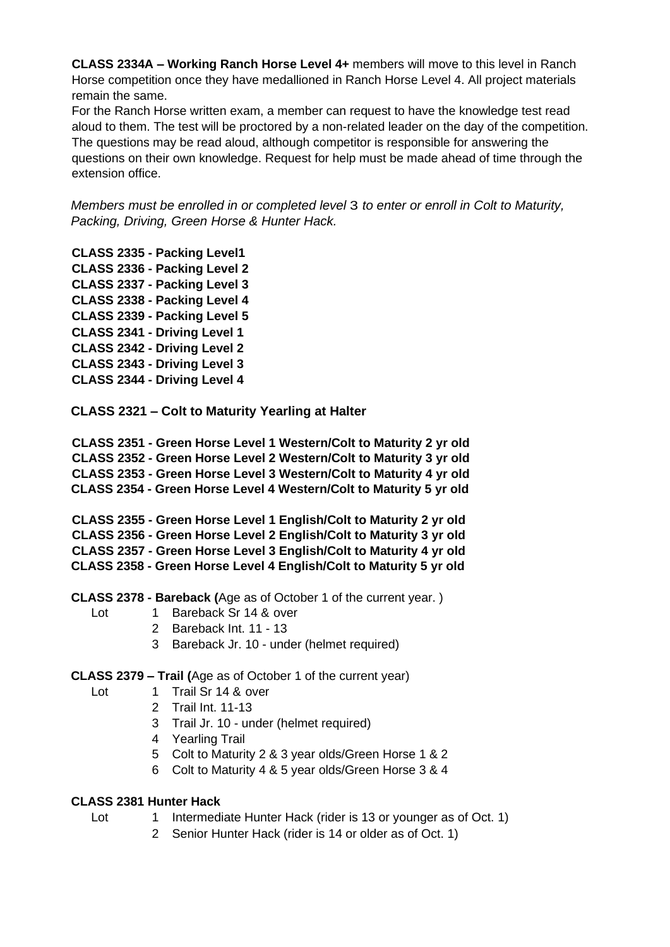**CLASS 2334A – Working Ranch Horse Level 4+** members will move to this level in Ranch Horse competition once they have medallioned in Ranch Horse Level 4. All project materials remain the same.

For the Ranch Horse written exam, a member can request to have the knowledge test read aloud to them. The test will be proctored by a non-related leader on the day of the competition. The questions may be read aloud, although competitor is responsible for answering the questions on their own knowledge. Request for help must be made ahead of time through the extension office.

*Members must be enrolled in or completed level* 3 *to enter or enroll in Colt to Maturity, Packing, Driving, Green Horse & Hunter Hack.* 

- **CLASS 2335 - Packing Level1 CLASS 2336 - Packing Level 2 CLASS 2337 - Packing Level 3 CLASS 2338 - Packing Level 4 CLASS 2339 - Packing Level 5 CLASS 2341 - Driving Level 1 CLASS 2342 - Driving Level 2 CLASS 2343 - Driving Level 3 CLASS 2344 - Driving Level 4**
- **CLASS 2321 – Colt to Maturity Yearling at Halter**

**CLASS 2351 - Green Horse Level 1 Western/Colt to Maturity 2 yr old CLASS 2352 - Green Horse Level 2 Western/Colt to Maturity 3 yr old CLASS 2353 - Green Horse Level 3 Western/Colt to Maturity 4 yr old CLASS 2354 - Green Horse Level 4 Western/Colt to Maturity 5 yr old**

**CLASS 2355 - Green Horse Level 1 English/Colt to Maturity 2 yr old CLASS 2356 - Green Horse Level 2 English/Colt to Maturity 3 yr old CLASS 2357 - Green Horse Level 3 English/Colt to Maturity 4 yr old CLASS 2358 - Green Horse Level 4 English/Colt to Maturity 5 yr old**

**CLASS 2378 - Bareback (**Age as of October 1 of the current year. )

- Lot 1 Bareback Sr 14 & over
	- 2 Bareback Int. 11 13
	- 3 Bareback Jr. 10 under (helmet required)

**CLASS 2379 – Trail (**Age as of October 1 of the current year)

- Lot 1 Trail Sr 14 & over
	- 2 Trail Int. 11-13
	- 3 Trail Jr. 10 under (helmet required)
	- 4 Yearling Trail
	- 5 Colt to Maturity 2 & 3 year olds/Green Horse 1 & 2
	- 6 Colt to Maturity 4 & 5 year olds/Green Horse 3 & 4

#### **CLASS 2381 Hunter Hack**

- Lot 1 Intermediate Hunter Hack (rider is 13 or younger as of Oct. 1)
	- 2 Senior Hunter Hack (rider is 14 or older as of Oct. 1)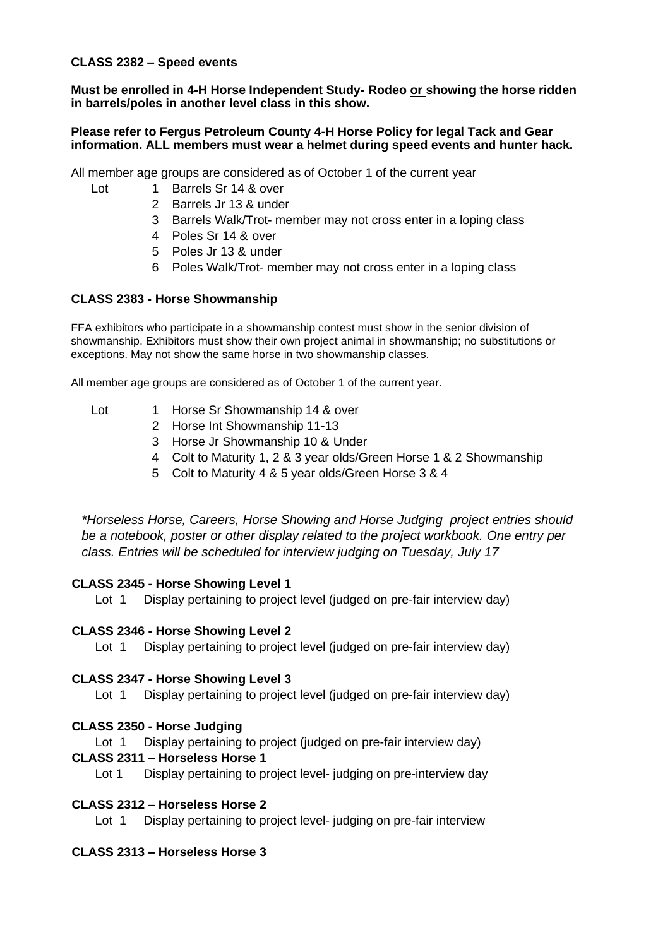**CLASS 2382 – Speed events**

**Must be enrolled in 4-H Horse Independent Study- Rodeo or showing the horse ridden in barrels/poles in another level class in this show.** 

#### **Please refer to Fergus Petroleum County 4-H Horse Policy for legal Tack and Gear information. ALL members must wear a helmet during speed events and hunter hack.**

All member age groups are considered as of October 1 of the current year

- Lot 1 Barrels Sr 14 & over
	- 2 Barrels Jr 13 & under
	- 3 Barrels Walk/Trot- member may not cross enter in a loping class
	- 4 Poles Sr 14 & over
	- 5 Poles Jr 13 & under
	- 6 Poles Walk/Trot- member may not cross enter in a loping class

## **CLASS 2383 - Horse Showmanship**

FFA exhibitors who participate in a showmanship contest must show in the senior division of showmanship. Exhibitors must show their own project animal in showmanship; no substitutions or exceptions. May not show the same horse in two showmanship classes.

All member age groups are considered as of October 1 of the current year.

- Lot 1 Horse Sr Showmanship 14 & over
	- 2 Horse Int Showmanship 11-13
	- 3 Horse Jr Showmanship 10 & Under
	- 4 Colt to Maturity 1, 2 & 3 year olds/Green Horse 1 & 2 Showmanship
	- 5 Colt to Maturity 4 & 5 year olds/Green Horse 3 & 4

*\*Horseless Horse, Careers, Horse Showing and Horse Judging project entries should be a notebook, poster or other display related to the project workbook. One entry per class. Entries will be scheduled for interview judging on Tuesday, July 17*

## **CLASS 2345 - Horse Showing Level 1**

Lot 1 Display pertaining to project level (judged on pre-fair interview day)

#### **CLASS 2346 - Horse Showing Level 2**

Lot 1 Display pertaining to project level (judged on pre-fair interview day)

#### **CLASS 2347 - Horse Showing Level 3**

Lot 1 Display pertaining to project level (judged on pre-fair interview day)

## **CLASS 2350 - Horse Judging**

Lot 1 Display pertaining to project (judged on pre-fair interview day)

## **CLASS 2311 – Horseless Horse 1**

Lot 1 Display pertaining to project level- judging on pre-interview day

## **CLASS 2312 – Horseless Horse 2**

Lot 1 Display pertaining to project level- judging on pre-fair interview

## **CLASS 2313 – Horseless Horse 3**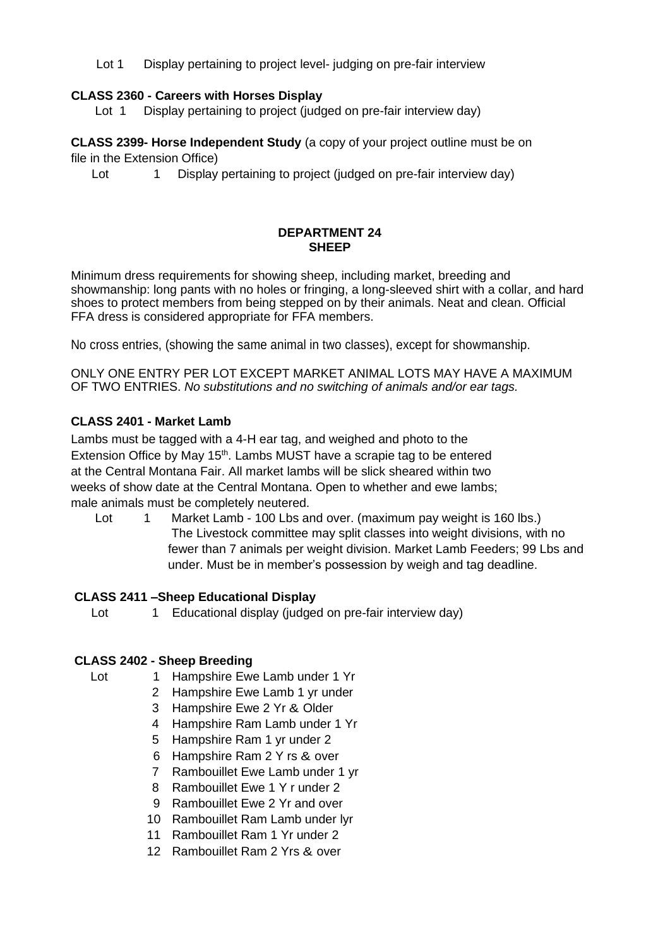Lot 1 Display pertaining to project level- judging on pre-fair interview

## **CLASS 2360 - Careers with Horses Display**

Lot 1 Display pertaining to project (judged on pre-fair interview day)

**CLASS 2399- Horse Independent Study** (a copy of your project outline must be on file in the Extension Office)

Lot 1 Display pertaining to project (judged on pre-fair interview day)

#### **DEPARTMENT 24 SHEEP**

Minimum dress requirements for showing sheep, including market, breeding and showmanship: long pants with no holes or fringing, a long-sleeved shirt with a collar, and hard shoes to protect members from being stepped on by their animals. Neat and clean. Official FFA dress is considered appropriate for FFA members.

No cross entries, (showing the same animal in two classes), except for showmanship.

ONLY ONE ENTRY PER LOT EXCEPT MARKET ANIMAL LOTS MAY HAVE A MAXIMUM OF TWO ENTRIES. *No substitutions and no switching of animals and/or ear tags.*

## **CLASS 2401 - Market Lamb**

Lambs must be tagged with a 4-H ear tag, and weighed and photo to the Extension Office by May 15<sup>th</sup>. Lambs MUST have a scrapie tag to be entered at the Central Montana Fair. All market lambs will be slick sheared within two weeks of show date at the Central Montana. Open to whether and ewe lambs; male animals must be completely neutered.

Lot 1 Market Lamb - 100 Lbs and over. (maximum pay weight is 160 lbs.) The Livestock committee may split classes into weight divisions, with no fewer than 7 animals per weight division. Market Lamb Feeders; 99 Lbs and under. Must be in member's possession by weigh and tag deadline.

#### **CLASS 2411 –Sheep Educational Display**

Lot 1 Educational display (judged on pre-fair interview day)

## **CLASS 2402 - Sheep Breeding**

- Lot 1 Hampshire Ewe Lamb under 1 Yr
	- 2 Hampshire Ewe Lamb 1 yr under
	- 3 Hampshire Ewe 2 Yr & Older
	- 4 Hampshire Ram Lamb under 1 Yr
	- 5 Hampshire Ram 1 yr under 2
	- 6 Hampshire Ram 2 Y rs & over
	- 7 Rambouillet Ewe Lamb under 1 yr
	- 8 Rambouillet Ewe 1 Y r under 2
	- 9 Rambouillet Ewe 2 Yr and over
	- 10 Rambouillet Ram Lamb under lyr
	- 11 Rambouillet Ram 1 Yr under 2
	- 12 Rambouillet Ram 2 Yrs & over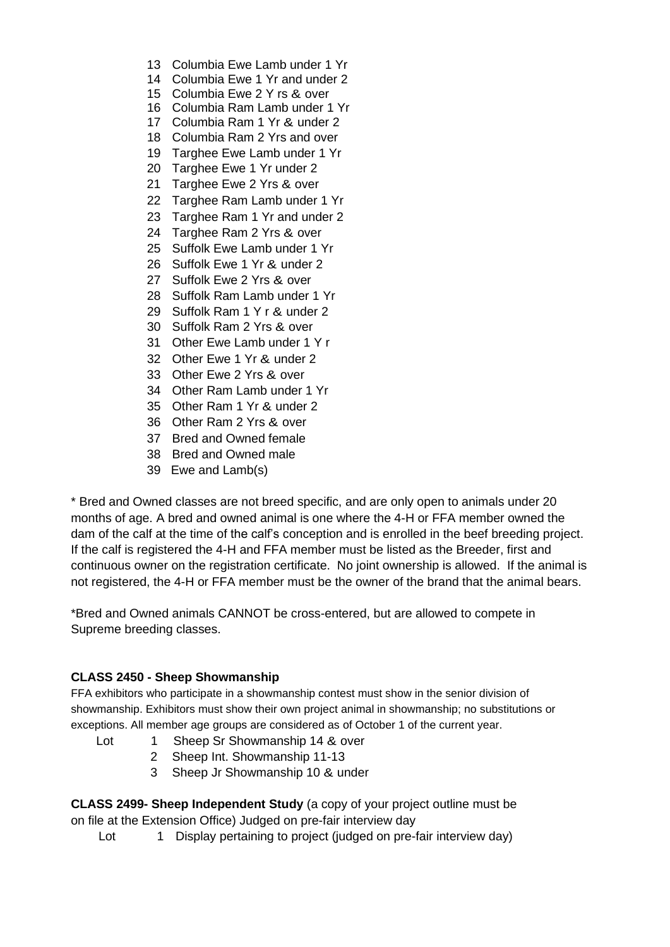- 13 Columbia Ewe Lamb under 1 Yr
- 14 Columbia Ewe 1 Yr and under 2
- 15 Columbia Ewe 2 Y rs & over
- 16 Columbia Ram Lamb under 1 Yr
- 17 Columbia Ram 1 Yr & under 2
- 18 Columbia Ram 2 Yrs and over
- 19 Targhee Ewe Lamb under 1 Yr
- 20 Targhee Ewe 1 Yr under 2
- 21 Targhee Ewe 2 Yrs & over
- 22 Targhee Ram Lamb under 1 Yr
- 23 Targhee Ram 1 Yr and under 2
- 24 Targhee Ram 2 Yrs & over
- 25 Suffolk Ewe Lamb under 1 Yr
- 26 Suffolk Ewe 1 Yr & under 2
- 27 Suffolk Ewe 2 Yrs & over
- 28 Suffolk Ram Lamb under 1 Yr
- 29 Suffolk Ram 1 Y r & under 2
- 30 Suffolk Ram 2 Yrs & over
- 31 Other Ewe Lamb under 1 Y r
- 32 Other Ewe 1 Yr & under 2
- 33 Other Ewe 2 Yrs & over
- 34 Other Ram Lamb under 1 Yr
- 35 Other Ram 1 Yr & under 2
- 36 Other Ram 2 Yrs & over
- 37 Bred and Owned female
- 38 Bred and Owned male
- 39 Ewe and Lamb(s)

\* Bred and Owned classes are not breed specific, and are only open to animals under 20 months of age. A bred and owned animal is one where the 4-H or FFA member owned the dam of the calf at the time of the calf's conception and is enrolled in the beef breeding project. If the calf is registered the 4-H and FFA member must be listed as the Breeder, first and continuous owner on the registration certificate. No joint ownership is allowed. If the animal is not registered, the 4-H or FFA member must be the owner of the brand that the animal bears.

\*Bred and Owned animals CANNOT be cross-entered, but are allowed to compete in Supreme breeding classes.

#### **CLASS 2450 - Sheep Showmanship**

FFA exhibitors who participate in a showmanship contest must show in the senior division of showmanship. Exhibitors must show their own project animal in showmanship; no substitutions or exceptions. All member age groups are considered as of October 1 of the current year.

- Lot 1 Sheep Sr Showmanship 14 & over
	- 2 Sheep Int. Showmanship 11-13
	- 3 Sheep Jr Showmanship 10 & under

**CLASS 2499- Sheep Independent Study** (a copy of your project outline must be on file at the Extension Office) Judged on pre-fair interview day

Lot 1 Display pertaining to project (judged on pre-fair interview day)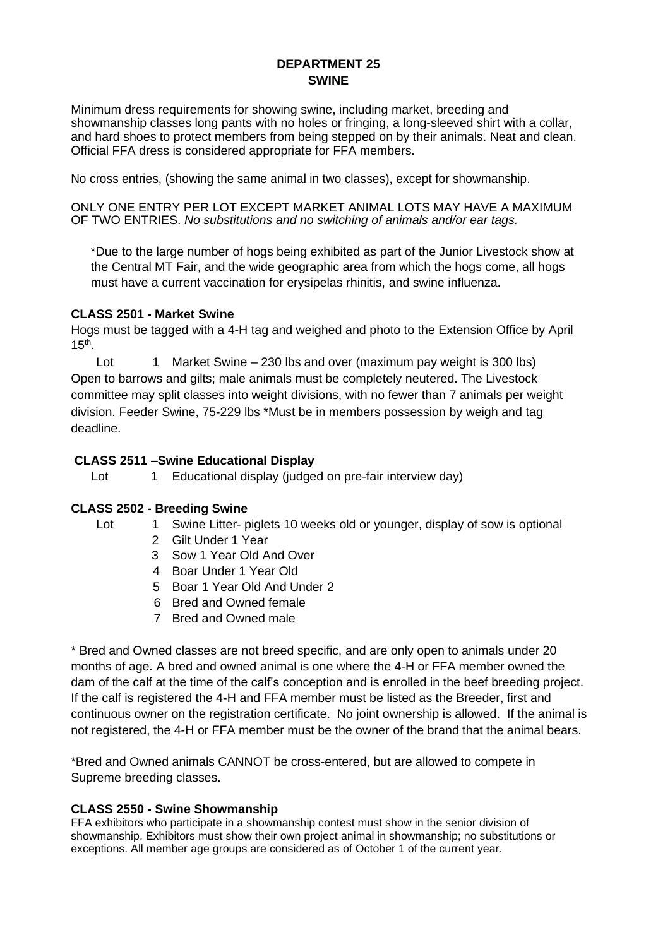## **DEPARTMENT 25 SWINE**

Minimum dress requirements for showing swine, including market, breeding and showmanship classes long pants with no holes or fringing, a long-sleeved shirt with a collar, and hard shoes to protect members from being stepped on by their animals. Neat and clean. Official FFA dress is considered appropriate for FFA members.

No cross entries, (showing the same animal in two classes), except for showmanship.

ONLY ONE ENTRY PER LOT EXCEPT MARKET ANIMAL LOTS MAY HAVE A MAXIMUM OF TWO ENTRIES. *No substitutions and no switching of animals and/or ear tags.*

\*Due to the large number of hogs being exhibited as part of the Junior Livestock show at the Central MT Fair, and the wide geographic area from which the hogs come, all hogs must have a current vaccination for erysipelas rhinitis, and swine influenza.

#### **CLASS 2501 - Market Swine**

Hogs must be tagged with a 4-H tag and weighed and photo to the Extension Office by April  $15<sup>th</sup>$ .

Lot 1 Market Swine – 230 lbs and over (maximum pay weight is 300 lbs) Open to barrows and gilts; male animals must be completely neutered. The Livestock committee may split classes into weight divisions, with no fewer than 7 animals per weight division. Feeder Swine, 75-229 lbs \*Must be in members possession by weigh and tag deadline.

## **CLASS 2511 –Swine Educational Display**

Lot 1 Educational display (judged on pre-fair interview day)

## **CLASS 2502 - Breeding Swine**

- Lot 1 Swine Litter- piglets 10 weeks old or younger, display of sow is optional
	- 2 Gilt Under 1 Year
	- 3 Sow 1 Year Old And Over
	- 4 Boar Under 1 Year Old
	- 5 Boar 1 Year Old And Under 2
	- 6 Bred and Owned female
	- 7 Bred and Owned male

\* Bred and Owned classes are not breed specific, and are only open to animals under 20 months of age. A bred and owned animal is one where the 4-H or FFA member owned the dam of the calf at the time of the calf's conception and is enrolled in the beef breeding project. If the calf is registered the 4-H and FFA member must be listed as the Breeder, first and continuous owner on the registration certificate. No joint ownership is allowed. If the animal is not registered, the 4-H or FFA member must be the owner of the brand that the animal bears.

\*Bred and Owned animals CANNOT be cross-entered, but are allowed to compete in Supreme breeding classes.

#### **CLASS 2550 - Swine Showmanship**

FFA exhibitors who participate in a showmanship contest must show in the senior division of showmanship. Exhibitors must show their own project animal in showmanship; no substitutions or exceptions. All member age groups are considered as of October 1 of the current year.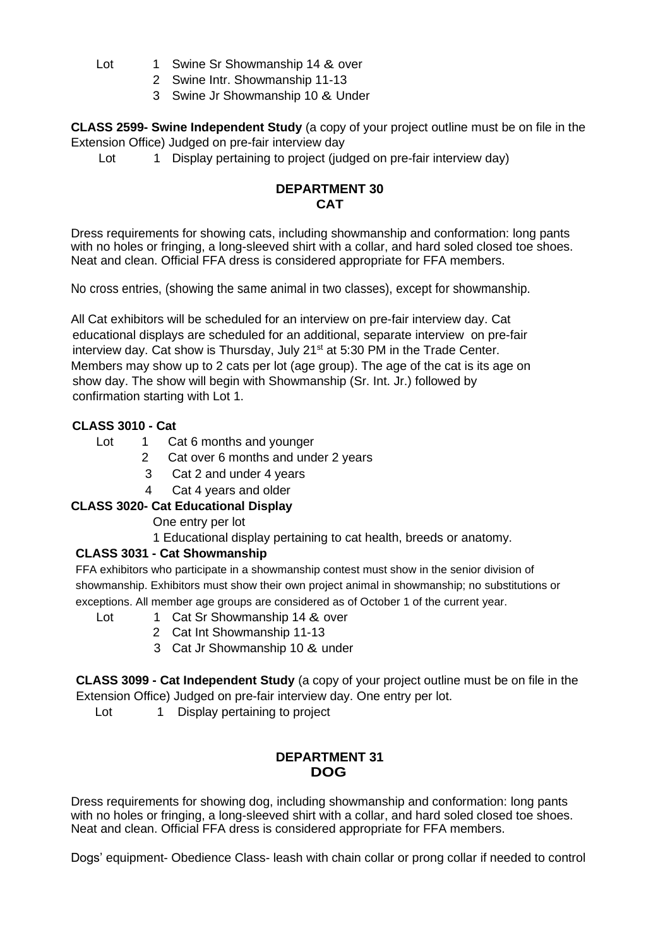- Lot 1 Swine Sr Showmanship 14 & over
	- 2 Swine Intr. Showmanship 11-13
	- 3 Swine Jr Showmanship 10 & Under

**CLASS 2599- Swine Independent Study** (a copy of your project outline must be on file in the Extension Office) Judged on pre-fair interview day

Lot 1 Display pertaining to project (judged on pre-fair interview day)

## **DEPARTMENT 30 CAT**

Dress requirements for showing cats, including showmanship and conformation: long pants with no holes or fringing, a long-sleeved shirt with a collar, and hard soled closed toe shoes. Neat and clean. Official FFA dress is considered appropriate for FFA members.

No cross entries, (showing the same animal in two classes), except for showmanship.

All Cat exhibitors will be scheduled for an interview on pre-fair interview day. Cat educational displays are scheduled for an additional, separate interview on pre-fair interview day. Cat show is Thursday, July 21<sup>st</sup> at 5:30 PM in the Trade Center. Members may show up to 2 cats per lot (age group). The age of the cat is its age on show day. The show will begin with Showmanship (Sr. Int. Jr.) followed by confirmation starting with Lot 1.

## **CLASS 3010 - Cat**

- Lot 1 Cat 6 months and younger
	- 2 Cat over 6 months and under 2 years
		- 3 Cat 2 and under 4 years
		- 4 Cat 4 years and older

## **CLASS 3020- Cat Educational Display**

One entry per lot

1 Educational display pertaining to cat health, breeds or anatomy.

## **CLASS 3031 - Cat Showmanship**

FFA exhibitors who participate in a showmanship contest must show in the senior division of showmanship. Exhibitors must show their own project animal in showmanship; no substitutions or exceptions. All member age groups are considered as of October 1 of the current year.

- Lot 1 Cat Sr Showmanship 14 & over
	- 2 Cat Int Showmanship 11-13
	- 3 Cat Jr Showmanship 10 & under

**CLASS 3099 - Cat Independent Study** (a copy of your project outline must be on file in the Extension Office) Judged on pre-fair interview day. One entry per lot.

Lot 1 Display pertaining to project

## **DEPARTMENT 31 DOG**

Dress requirements for showing dog, including showmanship and conformation: long pants with no holes or fringing, a long-sleeved shirt with a collar, and hard soled closed toe shoes. Neat and clean. Official FFA dress is considered appropriate for FFA members.

Dogs' equipment- Obedience Class- leash with chain collar or prong collar if needed to control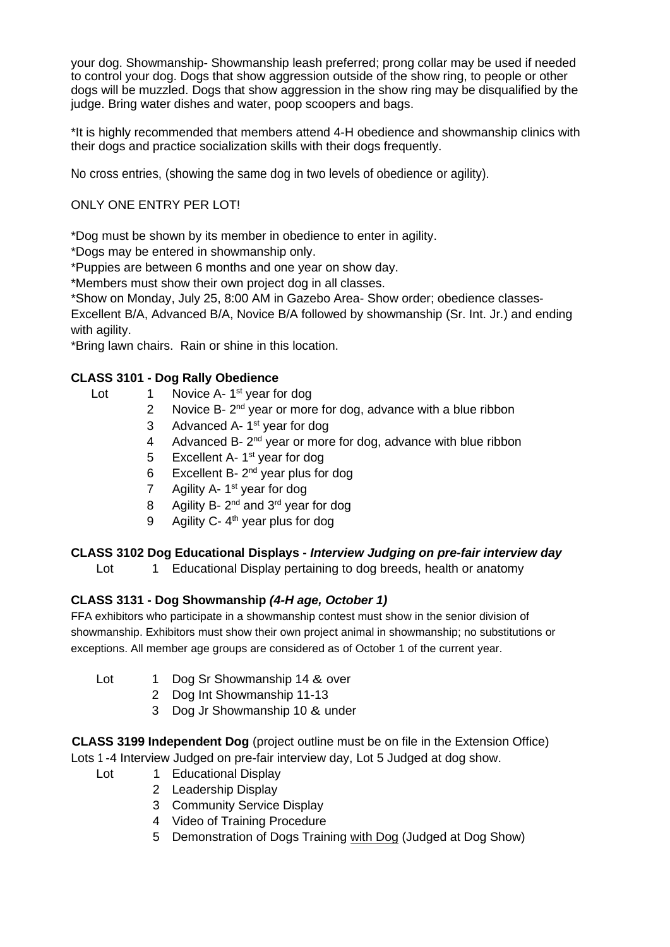your dog. Showmanship- Showmanship leash preferred; prong collar may be used if needed to control your dog. Dogs that show aggression outside of the show ring, to people or other dogs will be muzzled. Dogs that show aggression in the show ring may be disqualified by the judge. Bring water dishes and water, poop scoopers and bags.

\*It is highly recommended that members attend 4-H obedience and showmanship clinics with their dogs and practice socialization skills with their dogs frequently.

No cross entries, (showing the same dog in two levels of obedience or agility).

## ONLY ONE ENTRY PER LOT!

\*Dog must be shown by its member in obedience to enter in agility.

\*Dogs may be entered in showmanship only.

\*Puppies are between 6 months and one year on show day.

\*Members must show their own project dog in all classes.

\*Show on Monday, July 25, 8:00 AM in Gazebo Area- Show order; obedience classes-

Excellent B/A, Advanced B/A, Novice B/A followed by showmanship (Sr. Int. Jr.) and ending with agility.

\*Bring lawn chairs. Rain or shine in this location.

## **CLASS 3101 - Dog Rally Obedience**

- Lot 1 Novice A- 1<sup>st</sup> year for dog
	- 2 Novice B-  $2<sup>nd</sup>$  year or more for dog, advance with a blue ribbon
	- 3 Advanced A-1<sup>st</sup> year for dog
	- 4 Advanced B- 2<sup>nd</sup> year or more for dog, advance with blue ribbon
	- 5 Excellent A- 1<sup>st</sup> year for dog
	- 6 Excellent B- $2^{nd}$  year plus for dog
	- 7 Agility A- 1<sup>st</sup> year for dog
	- 8 Agility B- 2<sup>nd</sup> and 3<sup>rd</sup> year for dog
	- 9 Agility C-  $4<sup>th</sup>$  year plus for dog

## **CLASS 3102 Dog Educational Displays -** *Interview Judging on pre-fair interview day*

Lot 1 Educational Display pertaining to dog breeds, health or anatomy

## **CLASS 3131 - Dog Showmanship** *(4-H age, October 1)*

FFA exhibitors who participate in a showmanship contest must show in the senior division of showmanship. Exhibitors must show their own project animal in showmanship; no substitutions or exceptions. All member age groups are considered as of October 1 of the current year.

- Lot 1 Dog Sr Showmanship 14 & over
	- 2 Dog Int Showmanship 11-13
	- 3 Dog Jr Showmanship 10 & under

**CLASS 3199 Independent Dog** (project outline must be on file in the Extension Office) Lots 1 -4 Interview Judged on pre-fair interview day, Lot 5 Judged at dog show.

- Lot 1 Educational Display
	- 2 Leadership Display
	- 3 Community Service Display
	- 4 Video of Training Procedure
	- 5 Demonstration of Dogs Training with Dog (Judged at Dog Show)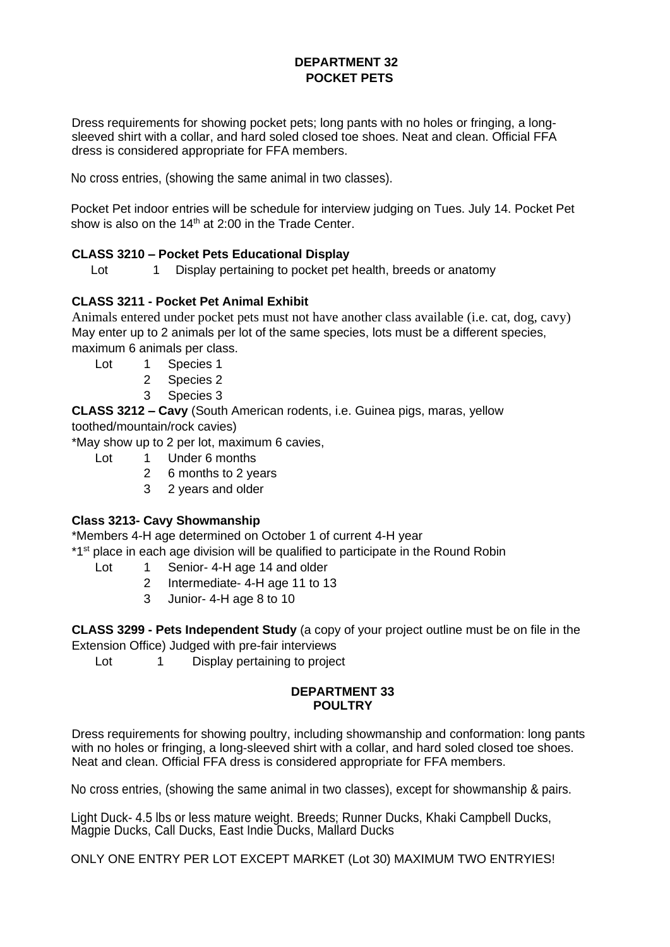## **DEPARTMENT 32 POCKET PETS**

Dress requirements for showing pocket pets; long pants with no holes or fringing, a longsleeved shirt with a collar, and hard soled closed toe shoes. Neat and clean. Official FFA dress is considered appropriate for FFA members.

No cross entries, (showing the same animal in two classes).

Pocket Pet indoor entries will be schedule for interview judging on Tues. July 14. Pocket Pet show is also on the  $14<sup>th</sup>$  at 2:00 in the Trade Center.

## **CLASS 3210 – Pocket Pets Educational Display**

Lot 1 Display pertaining to pocket pet health, breeds or anatomy

## **CLASS 3211 - Pocket Pet Animal Exhibit**

Animals entered under pocket pets must not have another class available (i.e. cat, dog, cavy) May enter up to 2 animals per lot of the same species, lots must be a different species, maximum 6 animals per class.

- Lot 1 Species 1
	- 2 Species 2
	- 3 Species 3

**CLASS 3212 – Cavy** (South American rodents, i.e. Guinea pigs, maras, yellow toothed/mountain/rock cavies)

\*May show up to 2 per lot, maximum 6 cavies,

- Lot 1 Under 6 months
	- 2 6 months to 2 years
	- 3 2 years and older

## **Class 3213- Cavy Showmanship**

\*Members 4-H age determined on October 1 of current 4-H year

\*1<sup>st</sup> place in each age division will be qualified to participate in the Round Robin

- Lot 1 Senior- 4-H age 14 and older
	- 2 Intermediate- 4-H age 11 to 13
	- 3 Junior- 4-H age 8 to 10

**CLASS 3299 - Pets Independent Study** (a copy of your project outline must be on file in the Extension Office) Judged with pre-fair interviews

Lot 1 Display pertaining to project

#### **DEPARTMENT 33 POULTRY**

Dress requirements for showing poultry, including showmanship and conformation: long pants with no holes or fringing, a long-sleeved shirt with a collar, and hard soled closed toe shoes. Neat and clean. Official FFA dress is considered appropriate for FFA members.

No cross entries, (showing the same animal in two classes), except for showmanship & pairs.

Light Duck- 4.5 lbs or less mature weight. Breeds; Runner Ducks, Khaki Campbell Ducks, Magpie Ducks, Call Ducks, East Indie Ducks, Mallard Ducks

ONLY ONE ENTRY PER LOT EXCEPT MARKET (Lot 30) MAXIMUM TWO ENTRYIES!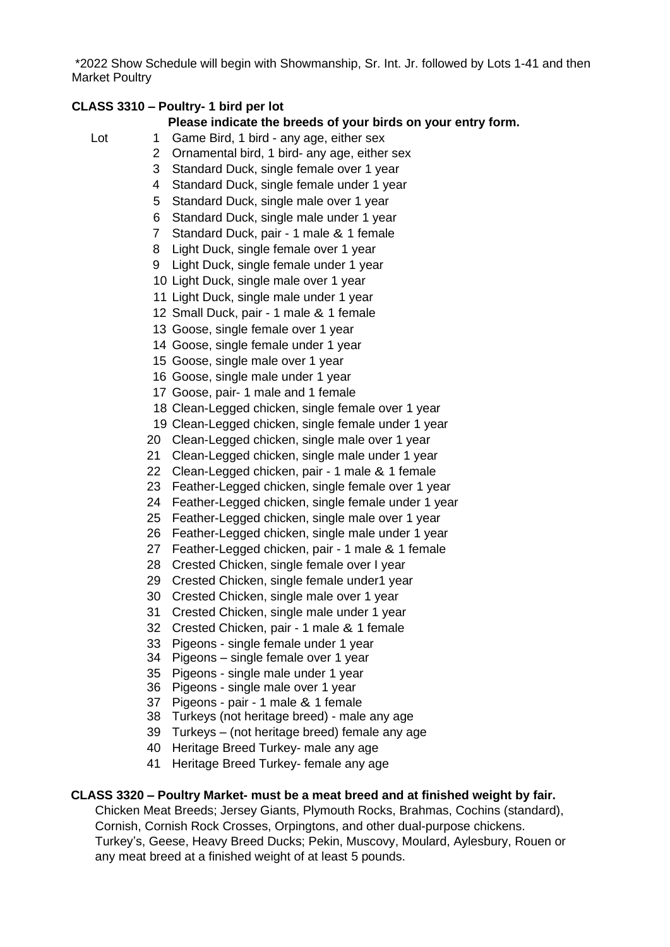\*2022 Show Schedule will begin with Showmanship, Sr. Int. Jr. followed by Lots 1-41 and then Market Poultry

## **CLASS 3310 – Poultry- 1 bird per lot**

## **Please indicate the breeds of your birds on your entry form.**

- Lot 1 Game Bird, 1 bird any age, either sex
	- 2 Ornamental bird, 1 bird- any age, either sex
	- 3 Standard Duck, single female over 1 year
	- 4 Standard Duck, single female under 1 year
	- 5 Standard Duck, single male over 1 year
	- 6 Standard Duck, single male under 1 year
	- 7 Standard Duck, pair 1 male & 1 female
	- 8 Light Duck, single female over 1 year
	- 9 Light Duck, single female under 1 year
	- 10 Light Duck, single male over 1 year
	- 11 Light Duck, single male under 1 year
	- 12 Small Duck, pair 1 male & 1 female
	- 13 Goose, single female over 1 year
	- 14 Goose, single female under 1 year
	- 15 Goose, single male over 1 year
	- 16 Goose, single male under 1 year
	- 17 Goose, pair- 1 male and 1 female
	- 18 Clean-Legged chicken, single female over 1 year
	- 19 Clean-Legged chicken, single female under 1 year
	- 20 Clean-Legged chicken, single male over 1 year
	- 21 Clean-Legged chicken, single male under 1 year
	- 22 Clean-Legged chicken, pair 1 male & 1 female
	- 23 Feather-Legged chicken, single female over 1 year
	- 24 Feather-Legged chicken, single female under 1 year
	- 25 Feather-Legged chicken, single male over 1 year
	- 26 Feather-Legged chicken, single male under 1 year
	- 27 Feather-Legged chicken, pair 1 male & 1 female
	- 28 Crested Chicken, single female over I year
	- 29 Crested Chicken, single female under1 year
	- 30 Crested Chicken, single male over 1 year
	- 31 Crested Chicken, single male under 1 year
	- 32 Crested Chicken, pair 1 male & 1 female
	- 33 Pigeons single female under 1 year
	- 34 Pigeons single female over 1 year
	- 35 Pigeons single male under 1 year
	- 36 Pigeons single male over 1 year
	- 37 Pigeons pair 1 male & 1 female
	- 38 Turkeys (not heritage breed) male any age
	- 39 Turkeys (not heritage breed) female any age
	- 40 Heritage Breed Turkey- male any age
	- 41 Heritage Breed Turkey- female any age

#### **CLASS 3320 – Poultry Market- must be a meat breed and at finished weight by fair.**

Chicken Meat Breeds; Jersey Giants, Plymouth Rocks, Brahmas, Cochins (standard), Cornish, Cornish Rock Crosses, Orpingtons, and other dual-purpose chickens. Turkey's, Geese, Heavy Breed Ducks; Pekin, Muscovy, Moulard, Aylesbury, Rouen or any meat breed at a finished weight of at least 5 pounds.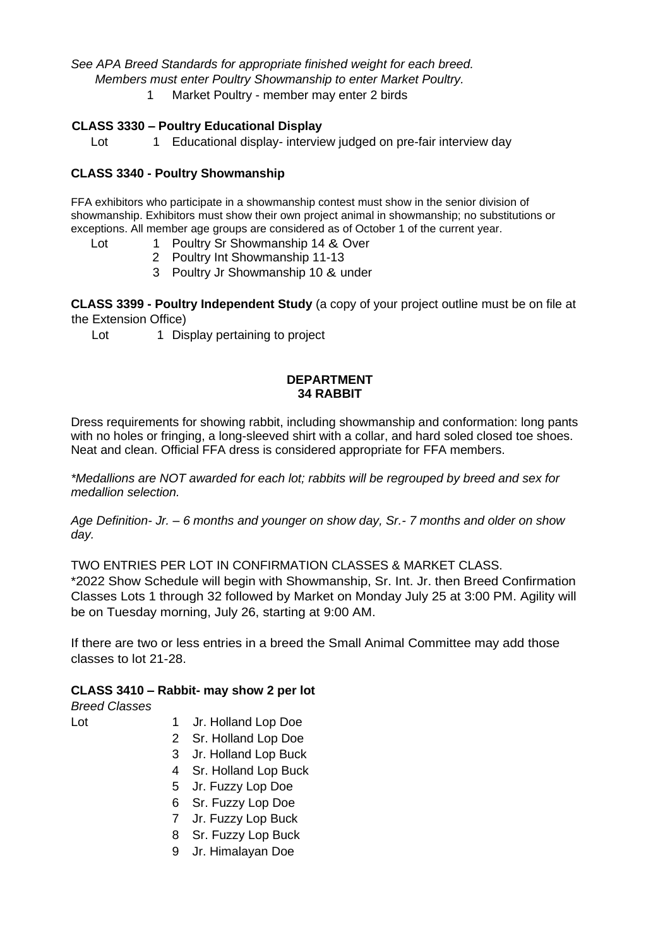*See APA Breed Standards for appropriate finished weight for each breed. Members must enter Poultry Showmanship to enter Market Poultry.* 1 Market Poultry - member may enter 2 birds

## **CLASS 3330 – Poultry Educational Display**

Lot 1 Educational display- interview judged on pre-fair interview day

#### **CLASS 3340 - Poultry Showmanship**

FFA exhibitors who participate in a showmanship contest must show in the senior division of showmanship. Exhibitors must show their own project animal in showmanship; no substitutions or exceptions. All member age groups are considered as of October 1 of the current year.

- Lot 1 Poultry Sr Showmanship 14 & Over
	- 2 Poultry Int Showmanship 11-13
	- 3 Poultry Jr Showmanship 10 & under

**CLASS 3399 - Poultry Independent Study** (a copy of your project outline must be on file at the Extension Office)

Lot 1 Display pertaining to project

#### **DEPARTMENT 34 RABBIT**

Dress requirements for showing rabbit, including showmanship and conformation: long pants with no holes or fringing, a long-sleeved shirt with a collar, and hard soled closed toe shoes. Neat and clean. Official FFA dress is considered appropriate for FFA members.

*\*Medallions are NOT awarded for each lot; rabbits will be regrouped by breed and sex for medallion selection.* 

*Age Definition- Jr. – 6 months and younger on show day, Sr.- 7 months and older on show day.*

TWO ENTRIES PER LOT IN CONFIRMATION CLASSES & MARKET CLASS.

\*2022 Show Schedule will begin with Showmanship, Sr. Int. Jr. then Breed Confirmation Classes Lots 1 through 32 followed by Market on Monday July 25 at 3:00 PM. Agility will be on Tuesday morning, July 26, starting at 9:00 AM.

If there are two or less entries in a breed the Small Animal Committee may add those classes to lot 21-28.

#### **CLASS 3410 – Rabbit- may show 2 per lot**

*Breed Classes*

- 
- Lot 1 Jr. Holland Lop Doe
	- 2 Sr. Holland Lop Doe
	- 3 Jr. Holland Lop Buck
	- 4 Sr. Holland Lop Buck
	- 5 Jr. Fuzzy Lop Doe
	- 6 Sr. Fuzzy Lop Doe
	- 7 Jr. Fuzzy Lop Buck
	- 8 Sr. Fuzzy Lop Buck
	- 9 Jr. Himalayan Doe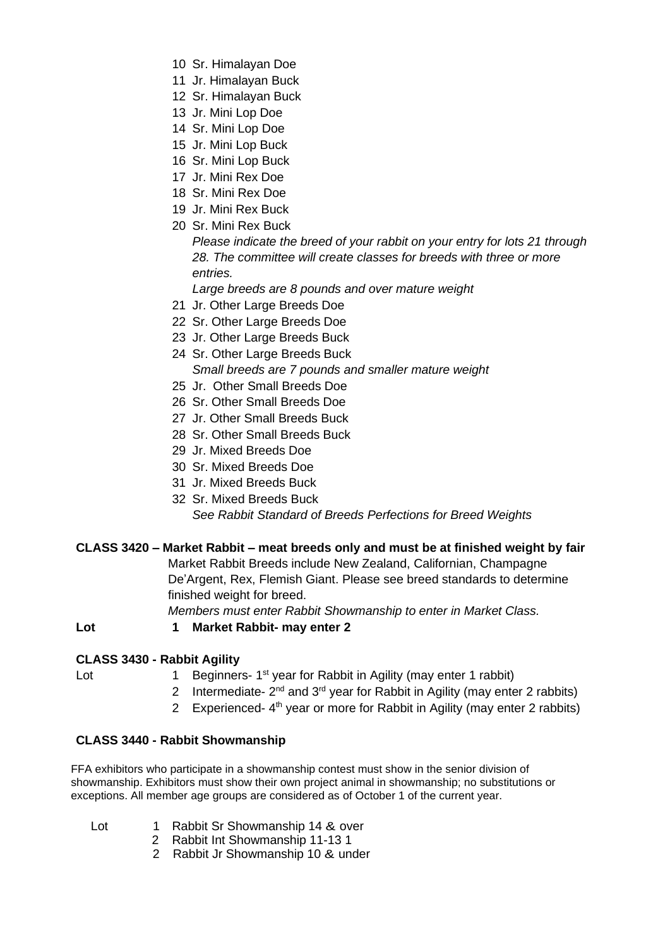- 10 Sr. Himalayan Doe
- 11 Jr. Himalayan Buck
- 12 Sr. Himalayan Buck
- 13 Jr. Mini Lop Doe
- 14 Sr. Mini Lop Doe
- 15 Jr. Mini Lop Buck
- 16 Sr. Mini Lop Buck
- 17 Jr. Mini Rex Doe
- 18 Sr. Mini Rex Doe
- 19 Jr. Mini Rex Buck
- 20 Sr. Mini Rex Buck

*Please indicate the breed of your rabbit on your entry for lots 21 through 28. The committee will create classes for breeds with three or more entries.* 

*Large breeds are 8 pounds and over mature weight*

- 21 Jr. Other Large Breeds Doe
- 22 Sr. Other Large Breeds Doe
- 23 Jr. Other Large Breeds Buck
- 24 Sr. Other Large Breeds Buck *Small breeds are 7 pounds and smaller mature weight*
- 25 Jr. Other Small Breeds Doe
- 26 Sr. Other Small Breeds Doe
- 27 Jr. Other Small Breeds Buck
- 28 Sr. Other Small Breeds Buck
- 29 Jr. Mixed Breeds Doe
- 30 Sr. Mixed Breeds Doe
- 31 Jr. Mixed Breeds Buck
- 32 Sr. Mixed Breeds Buck

*See Rabbit Standard of Breeds Perfections for Breed Weights*

## **CLASS 3420 – Market Rabbit – meat breeds only and must be at finished weight by fair**

Market Rabbit Breeds include New Zealand, Californian, Champagne De'Argent, Rex, Flemish Giant. Please see breed standards to determine finished weight for breed.

*Members must enter Rabbit Showmanship to enter in Market Class.* 

**Lot 1 Market Rabbit- may enter 2**

## **CLASS 3430 - Rabbit Agility**

- Lot 1 Beginners- 1<sup>st</sup> year for Rabbit in Agility (may enter 1 rabbit)
	- 2 Intermediate-  $2^{nd}$  and  $3^{rd}$  year for Rabbit in Agility (may enter 2 rabbits)
	- 2 Experienced- 4<sup>th</sup> year or more for Rabbit in Agility (may enter 2 rabbits)

#### **CLASS 3440 - Rabbit Showmanship**

FFA exhibitors who participate in a showmanship contest must show in the senior division of showmanship. Exhibitors must show their own project animal in showmanship; no substitutions or exceptions. All member age groups are considered as of October 1 of the current year.

- Lot 1 Rabbit Sr Showmanship 14 & over
	- 2 Rabbit Int Showmanship 11-13 1
	- 2 Rabbit Jr Showmanship 10 & under